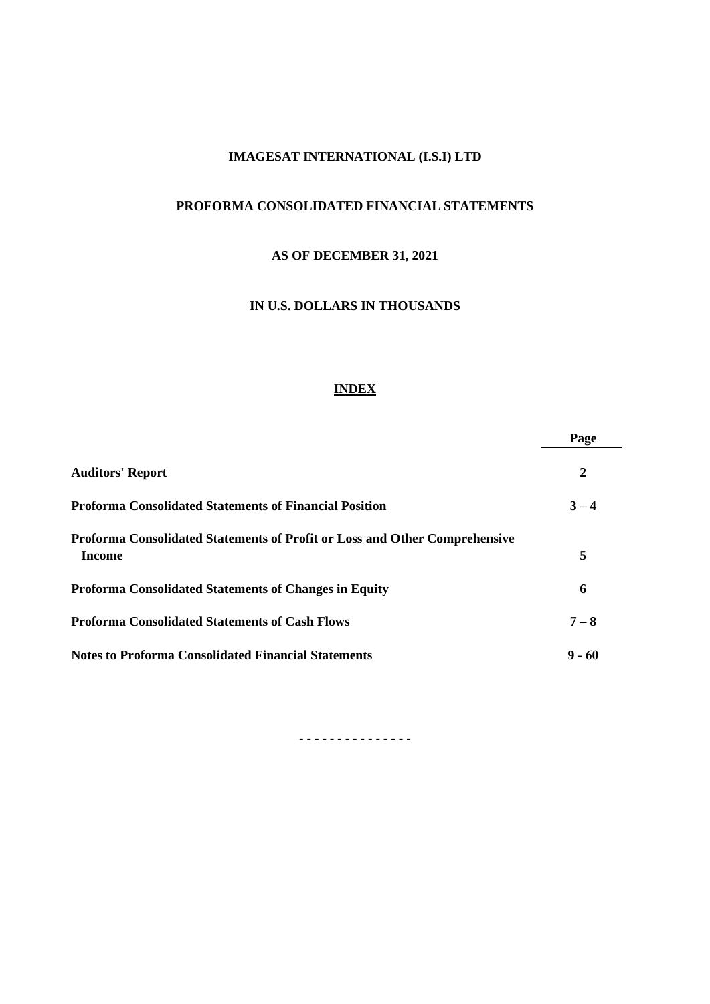# **IMAGESAT INTERNATIONAL (I.S.I) LTD**

# **PROFORMA CONSOLIDATED FINANCIAL STATEMENTS**

# **AS OF DECEMBER 31, 2021**

# **IN U.S. DOLLARS IN THOUSANDS**

# **INDEX**

|                                                                                             | Page             |
|---------------------------------------------------------------------------------------------|------------------|
| <b>Auditors' Report</b>                                                                     | $\boldsymbol{2}$ |
| <b>Proforma Consolidated Statements of Financial Position</b>                               | $3 - 4$          |
| Proforma Consolidated Statements of Profit or Loss and Other Comprehensive<br><b>Income</b> | 5                |
| <b>Proforma Consolidated Statements of Changes in Equity</b>                                | 6                |
| <b>Proforma Consolidated Statements of Cash Flows</b>                                       | $7 - 8$          |
| <b>Notes to Proforma Consolidated Financial Statements</b>                                  | $9 - 60$         |

- - - - - - - - - - - - - - -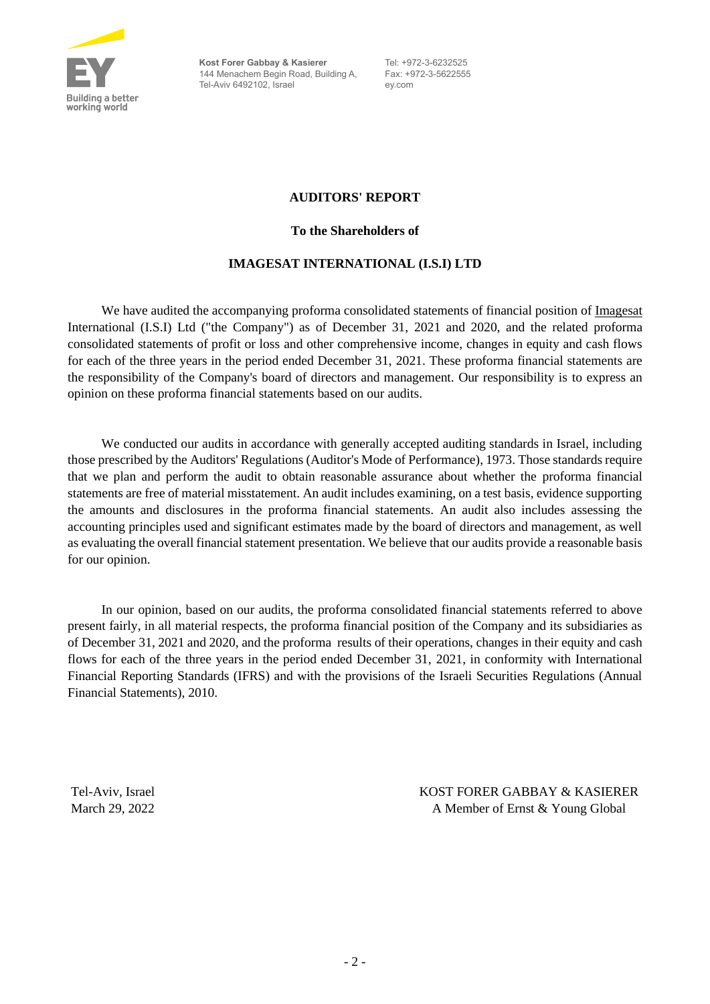

**Kost Forer Gabbay & Kasierer** 144 Menachem Begin Road, Building A, Tel-Aviv 6492102, Israel

Tel: +972-3-6232525 Fax: +972-3-5622555 ey.com

## **AUDITORS' REPORT**

#### **To the Shareholders of**

# **IMAGESAT INTERNATIONAL (I.S.I) LTD**

We have audited the accompanying proforma consolidated statements of financial position of Imagesat International (I.S.I) Ltd ("the Company") as of December 31, 2021 and 2020, and the related proforma consolidated statements of profit or loss and other comprehensive income, changes in equity and cash flows for each of the three years in the period ended December 31, 2021. These proforma financial statements are the responsibility of the Company's board of directors and management. Our responsibility is to express an opinion on these proforma financial statements based on our audits.

We conducted our audits in accordance with generally accepted auditing standards in Israel, including those prescribed by the Auditors' Regulations (Auditor's Mode of Performance), 1973. Those standards require that we plan and perform the audit to obtain reasonable assurance about whether the proforma financial statements are free of material misstatement. An audit includes examining, on a test basis, evidence supporting the amounts and disclosures in the proforma financial statements. An audit also includes assessing the accounting principles used and significant estimates made by the board of directors and management, as well as evaluating the overall financial statement presentation. We believe that our audits provide a reasonable basis for our opinion.

In our opinion, based on our audits, the proforma consolidated financial statements referred to above present fairly, in all material respects, the proforma financial position of the Company and its subsidiaries as of December 31, 2021 and 2020, and the proforma results of their operations, changes in their equity and cash flows for each of the three years in the period ended December 31, 2021, in conformity with International Financial Reporting Standards (IFRS) and with the provisions of the Israeli Securities Regulations (Annual Financial Statements), 2010.

Tel-Aviv, Israel KOST FORER GABBAY & KASIERER March 29, 2022 A Member of Ernst & Young Global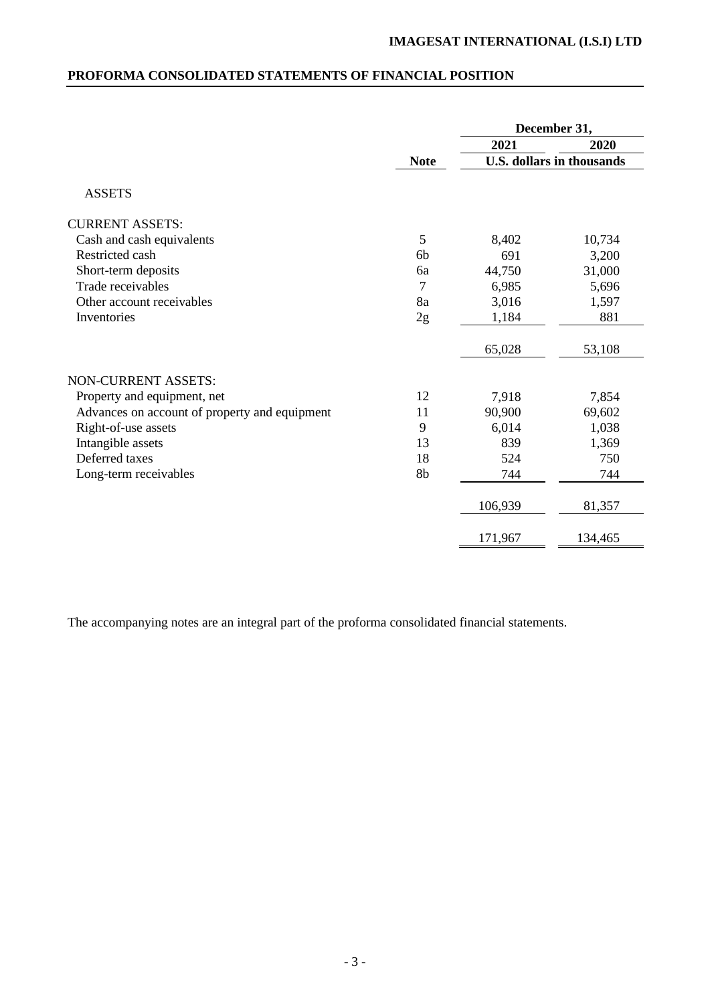# **PROFORMA CONSOLIDATED STATEMENTS OF FINANCIAL POSITION**

|                                               |             | December 31, |                                  |  |
|-----------------------------------------------|-------------|--------------|----------------------------------|--|
|                                               |             | 2021         | 2020                             |  |
|                                               | <b>Note</b> |              | <b>U.S. dollars in thousands</b> |  |
| <b>ASSETS</b>                                 |             |              |                                  |  |
| <b>CURRENT ASSETS:</b>                        |             |              |                                  |  |
| Cash and cash equivalents                     | 5           | 8,402        | 10,734                           |  |
| Restricted cash                               | 6b          | 691          | 3,200                            |  |
| Short-term deposits                           | 6a          | 44,750       | 31,000                           |  |
| Trade receivables                             | 7           | 6,985        | 5,696                            |  |
| Other account receivables                     | 8a          | 3,016        | 1,597                            |  |
| Inventories                                   | 2g          | 1,184        | 881                              |  |
|                                               |             | 65,028       | 53,108                           |  |
| <b>NON-CURRENT ASSETS:</b>                    |             |              |                                  |  |
| Property and equipment, net                   | 12          | 7,918        | 7,854                            |  |
| Advances on account of property and equipment | 11          | 90,900       | 69,602                           |  |
| Right-of-use assets                           | 9           | 6,014        | 1,038                            |  |
| Intangible assets                             | 13          | 839          | 1,369                            |  |
| Deferred taxes                                | 18          | 524          | 750                              |  |
| Long-term receivables                         | 8b          | 744          | 744                              |  |
|                                               |             | 106,939      | 81,357                           |  |
|                                               |             | 171,967      | 134,465                          |  |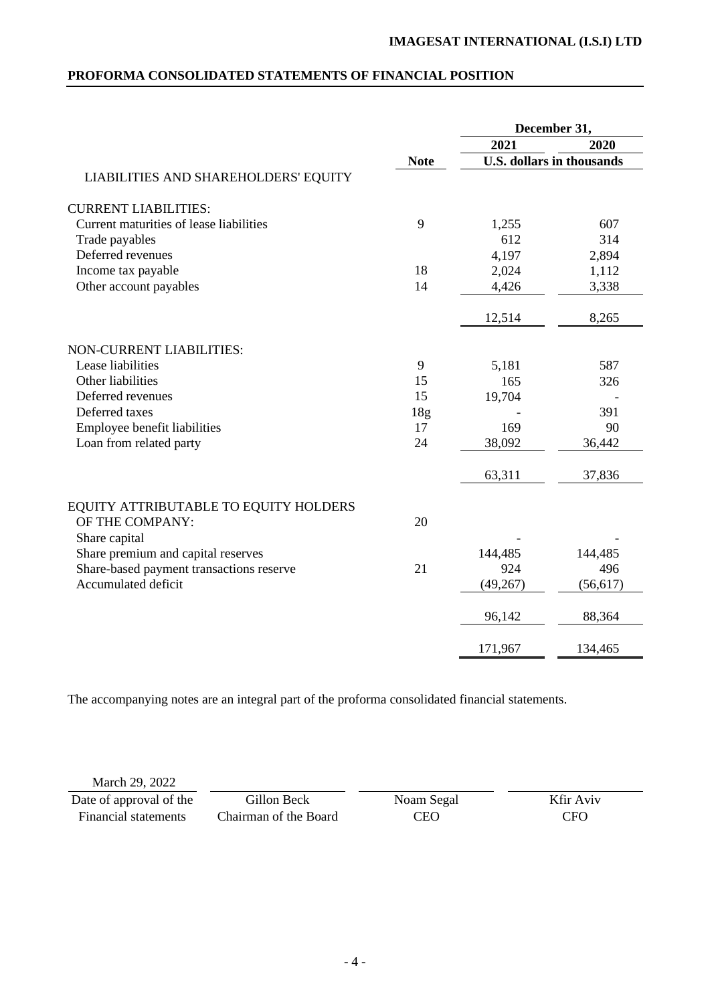# **PROFORMA CONSOLIDATED STATEMENTS OF FINANCIAL POSITION**

|                                          |                 | December 31, |                                  |
|------------------------------------------|-----------------|--------------|----------------------------------|
|                                          |                 | 2021         | 2020                             |
|                                          | <b>Note</b>     |              | <b>U.S. dollars in thousands</b> |
| LIABILITIES AND SHAREHOLDERS' EQUITY     |                 |              |                                  |
| <b>CURRENT LIABILITIES:</b>              |                 |              |                                  |
| Current maturities of lease liabilities  | 9               | 1,255        | 607                              |
| Trade payables                           |                 | 612          | 314                              |
| Deferred revenues                        |                 | 4,197        | 2,894                            |
| Income tax payable                       | 18              | 2,024        | 1,112                            |
| Other account payables                   | 14              | 4,426        | 3,338                            |
|                                          |                 | 12,514       | 8,265                            |
| <b>NON-CURRENT LIABILITIES:</b>          |                 |              |                                  |
| Lease liabilities                        | 9               | 5,181        | 587                              |
| Other liabilities                        | 15              | 165          | 326                              |
| Deferred revenues                        | 15              | 19,704       |                                  |
| Deferred taxes                           | 18 <sub>g</sub> |              | 391                              |
| Employee benefit liabilities             | 17              | 169          | 90                               |
| Loan from related party                  | 24              | 38,092       | 36,442                           |
|                                          |                 | 63,311       | 37,836                           |
| EQUITY ATTRIBUTABLE TO EQUITY HOLDERS    |                 |              |                                  |
| OF THE COMPANY:                          | 20              |              |                                  |
| Share capital                            |                 |              |                                  |
| Share premium and capital reserves       |                 | 144,485      | 144,485                          |
| Share-based payment transactions reserve | 21              | 924          | 496                              |
| Accumulated deficit                      |                 | (49, 267)    | (56, 617)                        |
|                                          |                 | 96,142       | 88,364                           |
|                                          |                 | 171,967      | 134,465                          |

The accompanying notes are an integral part of the proforma consolidated financial statements.

March 29, 2022

Date of approval of the Financial statements

Gillon Beck Chairman of the Board Noam Segal CEO

Kfir Aviv CFO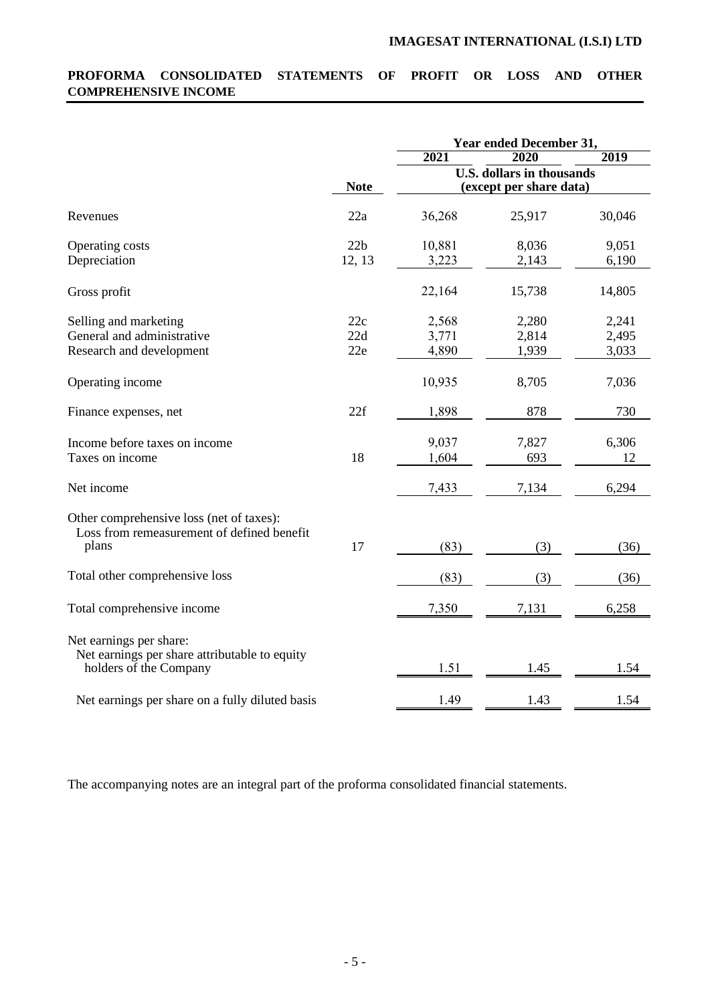# **PROFORMA CONSOLIDATED STATEMENTS OF PROFIT OR LOSS AND OTHER COMPREHENSIVE INCOME**

|                                                                                        |             |        | Year ended December 31,                                     |        |
|----------------------------------------------------------------------------------------|-------------|--------|-------------------------------------------------------------|--------|
|                                                                                        |             | 2021   | 2020                                                        | 2019   |
|                                                                                        | <b>Note</b> |        | <b>U.S. dollars in thousands</b><br>(except per share data) |        |
|                                                                                        |             |        |                                                             |        |
| Revenues                                                                               | 22a         | 36,268 | 25,917                                                      | 30,046 |
| Operating costs                                                                        | 22b         | 10,881 | 8,036                                                       | 9,051  |
| Depreciation                                                                           | 12, 13      | 3,223  | 2,143                                                       | 6,190  |
| Gross profit                                                                           |             | 22,164 | 15,738                                                      | 14,805 |
| Selling and marketing                                                                  | 22c         | 2,568  | 2,280                                                       | 2,241  |
| General and administrative                                                             | 22d         | 3,771  | 2,814                                                       | 2,495  |
| Research and development                                                               | 22e         | 4,890  | 1,939                                                       | 3,033  |
| Operating income                                                                       |             | 10,935 | 8,705                                                       | 7,036  |
| Finance expenses, net                                                                  | 22f         | 1,898  | 878                                                         | 730    |
| Income before taxes on income                                                          |             | 9,037  | 7,827                                                       | 6,306  |
| Taxes on income                                                                        | 18          | 1,604  | 693                                                         | 12     |
| Net income                                                                             |             | 7,433  | 7,134                                                       | 6,294  |
| Other comprehensive loss (net of taxes):<br>Loss from remeasurement of defined benefit |             |        |                                                             |        |
| plans                                                                                  | 17          | (83)   | (3)                                                         | (36)   |
| Total other comprehensive loss                                                         |             | (83)   | (3)                                                         | (36)   |
| Total comprehensive income                                                             |             | 7,350  | 7,131                                                       | 6,258  |
| Net earnings per share:                                                                |             |        |                                                             |        |
| Net earnings per share attributable to equity<br>holders of the Company                |             | 1.51   | 1.45                                                        | 1.54   |
|                                                                                        |             |        |                                                             |        |
| Net earnings per share on a fully diluted basis                                        |             | 1.49   | 1.43                                                        | 1.54   |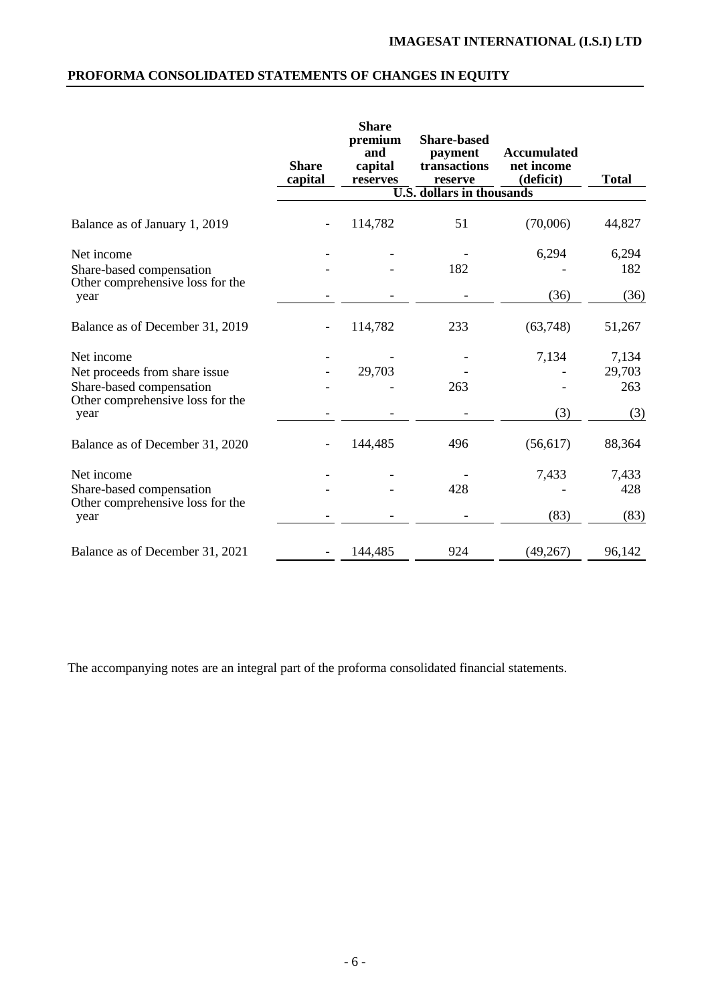# **PROFORMA CONSOLIDATED STATEMENTS OF CHANGES IN EQUITY**

|                                          | <b>Share</b><br>capital | <b>Share</b><br>premium<br>and<br>capital<br>reserves | <b>Share-based</b><br>payment<br>transactions<br>reserve<br><b>U.S.</b> dollars in thousands | <b>Accumulated</b><br>net income<br>(deficit) | <b>Total</b> |
|------------------------------------------|-------------------------|-------------------------------------------------------|----------------------------------------------------------------------------------------------|-----------------------------------------------|--------------|
|                                          |                         |                                                       |                                                                                              |                                               |              |
| Balance as of January 1, 2019            |                         | 114,782                                               | 51                                                                                           | (70,006)                                      | 44,827       |
| Net income                               |                         |                                                       |                                                                                              | 6,294                                         | 6,294        |
| Share-based compensation                 |                         |                                                       | 182                                                                                          |                                               | 182          |
| Other comprehensive loss for the<br>year |                         |                                                       |                                                                                              | (36)                                          | (36)         |
| Balance as of December 31, 2019          |                         | 114,782                                               | 233                                                                                          | (63,748)                                      | 51,267       |
| Net income                               |                         |                                                       |                                                                                              | 7,134                                         | 7,134        |
| Net proceeds from share issue            |                         | 29,703                                                |                                                                                              |                                               | 29,703       |
| Share-based compensation                 |                         |                                                       | 263                                                                                          |                                               | 263          |
| Other comprehensive loss for the<br>year |                         |                                                       |                                                                                              | (3)                                           | (3)          |
| Balance as of December 31, 2020          |                         | 144,485                                               | 496                                                                                          | (56, 617)                                     | 88,364       |
| Net income                               |                         |                                                       |                                                                                              | 7,433                                         | 7,433        |
| Share-based compensation                 |                         |                                                       | 428                                                                                          |                                               | 428          |
| Other comprehensive loss for the<br>year |                         |                                                       |                                                                                              | (83)                                          | (83)         |
| Balance as of December 31, 2021          |                         | 144,485                                               | 924                                                                                          | (49, 267)                                     | 96,142       |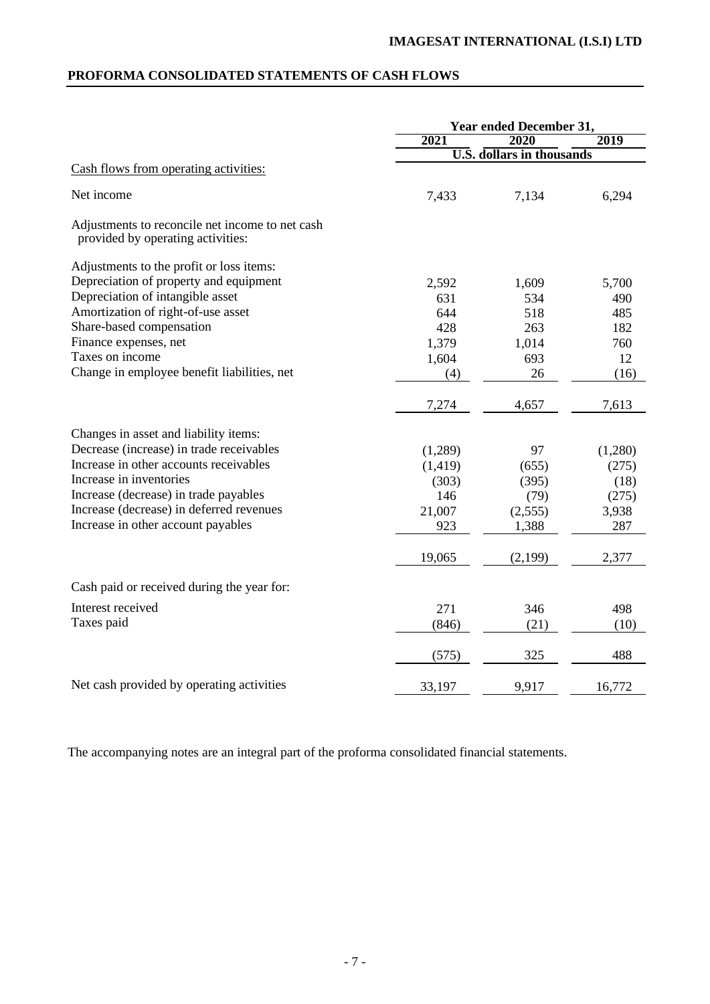# **PROFORMA CONSOLIDATED STATEMENTS OF CASH FLOWS**

|                                                                                      | <b>Year ended December 31,</b> |                                  |         |
|--------------------------------------------------------------------------------------|--------------------------------|----------------------------------|---------|
|                                                                                      | 2021                           | 2020                             | 2019    |
|                                                                                      |                                | <b>U.S. dollars in thousands</b> |         |
| Cash flows from operating activities:                                                |                                |                                  |         |
| Net income                                                                           | 7,433                          | 7,134                            | 6,294   |
| Adjustments to reconcile net income to net cash<br>provided by operating activities: |                                |                                  |         |
| Adjustments to the profit or loss items:                                             |                                |                                  |         |
| Depreciation of property and equipment                                               | 2,592                          | 1,609                            | 5,700   |
| Depreciation of intangible asset                                                     | 631                            | 534                              | 490     |
| Amortization of right-of-use asset                                                   | 644                            | 518                              | 485     |
| Share-based compensation                                                             | 428                            | 263                              | 182     |
| Finance expenses, net                                                                | 1,379                          | 1,014                            | 760     |
| Taxes on income                                                                      | 1,604                          | 693                              | 12      |
| Change in employee benefit liabilities, net                                          | (4)                            | 26                               | (16)    |
|                                                                                      | 7,274                          | 4,657                            | 7,613   |
| Changes in asset and liability items:                                                |                                |                                  |         |
| Decrease (increase) in trade receivables                                             | (1,289)                        | 97                               | (1,280) |
| Increase in other accounts receivables                                               | (1, 419)                       | (655)                            | (275)   |
| Increase in inventories                                                              | (303)                          | (395)                            | (18)    |
| Increase (decrease) in trade payables                                                | 146                            | (79)                             | (275)   |
| Increase (decrease) in deferred revenues                                             | 21,007                         | (2,555)                          | 3,938   |
| Increase in other account payables                                                   | 923                            | 1,388                            | 287     |
|                                                                                      | 19,065                         | (2,199)                          | 2,377   |
| Cash paid or received during the year for:                                           |                                |                                  |         |
| Interest received                                                                    | 271                            | 346                              | 498     |
| Taxes paid                                                                           | (846)                          | (21)                             | (10)    |
|                                                                                      |                                |                                  |         |
|                                                                                      | (575)                          | 325                              | 488     |
| Net cash provided by operating activities                                            | 33,197                         | 9,917                            | 16,772  |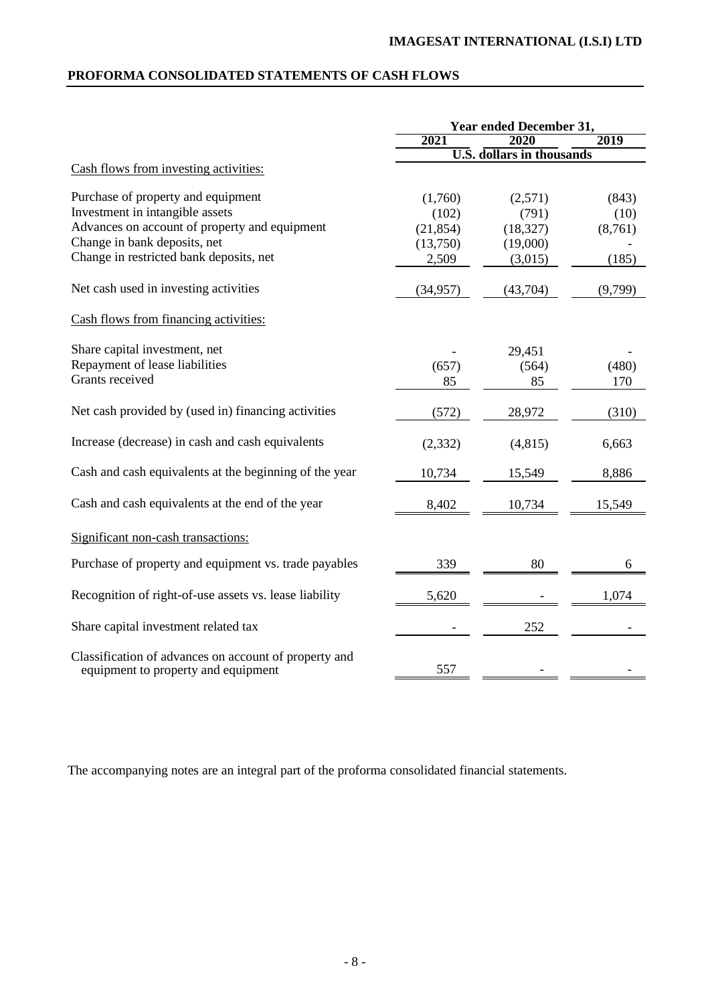# **PROFORMA CONSOLIDATED STATEMENTS OF CASH FLOWS**

|                                                                                              | Year ended December 31, |                                  |         |
|----------------------------------------------------------------------------------------------|-------------------------|----------------------------------|---------|
|                                                                                              | 2021                    | 2020                             | 2019    |
|                                                                                              |                         | <b>U.S. dollars in thousands</b> |         |
| Cash flows from investing activities:                                                        |                         |                                  |         |
| Purchase of property and equipment                                                           | (1,760)                 | (2,571)                          | (843)   |
| Investment in intangible assets                                                              | (102)                   | (791)                            | (10)    |
| Advances on account of property and equipment                                                | (21, 854)               | (18, 327)                        | (8,761) |
| Change in bank deposits, net                                                                 | (13,750)                | (19,000)                         |         |
| Change in restricted bank deposits, net                                                      | 2,509                   | (3,015)                          | (185)   |
| Net cash used in investing activities                                                        | (34, 957)               | (43,704)                         | (9,799) |
| Cash flows from financing activities:                                                        |                         |                                  |         |
| Share capital investment, net                                                                |                         | 29,451                           |         |
| Repayment of lease liabilities                                                               | (657)                   | (564)                            | (480)   |
| Grants received                                                                              | 85                      | 85                               | 170     |
|                                                                                              |                         |                                  |         |
| Net cash provided by (used in) financing activities                                          | (572)                   | 28,972                           | (310)   |
| Increase (decrease) in cash and cash equivalents                                             | (2, 332)                | (4, 815)                         | 6,663   |
| Cash and cash equivalents at the beginning of the year                                       | 10,734                  | 15,549                           | 8,886   |
| Cash and cash equivalents at the end of the year                                             | 8,402                   | 10,734                           | 15,549  |
| Significant non-cash transactions:                                                           |                         |                                  |         |
| Purchase of property and equipment vs. trade payables                                        | 339                     | 80                               | 6       |
| Recognition of right-of-use assets vs. lease liability                                       | 5,620                   |                                  | 1,074   |
| Share capital investment related tax                                                         |                         | 252                              |         |
| Classification of advances on account of property and<br>equipment to property and equipment | 557                     |                                  |         |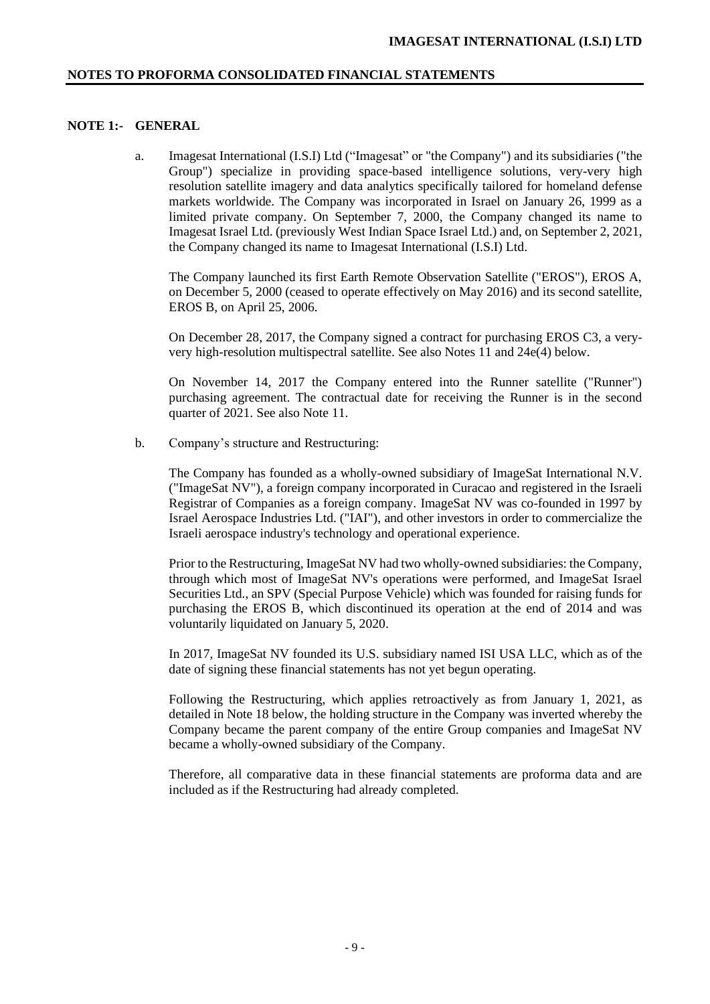# **NOTE 1:- GENERAL**

a. Imagesat International (I.S.I) Ltd ("Imagesat" or "the Company") and its subsidiaries ("the Group") specialize in providing space-based intelligence solutions, very-very high resolution satellite imagery and data analytics specifically tailored for homeland defense markets worldwide. The Company was incorporated in Israel on January 26, 1999 as a limited private company. On September 7, 2000, the Company changed its name to Imagesat Israel Ltd. (previously West Indian Space Israel Ltd.) and, on September 2, 2021, the Company changed its name to Imagesat International (I.S.I) Ltd.

The Company launched its first Earth Remote Observation Satellite ("EROS"), EROS A, on December 5, 2000 (ceased to operate effectively on May 2016) and its second satellite, EROS B, on April 25, 2006.

On December 28, 2017, the Company signed a contract for purchasing EROS C3, a veryvery high-resolution multispectral satellite. See also Notes 11 and 24e(4) below.

On November 14, 2017 the Company entered into the Runner satellite ("Runner") purchasing agreement. The contractual date for receiving the Runner is in the second quarter of 2021. See also Note 11.

b. Company's structure and Restructuring:

The Company has founded as a wholly-owned subsidiary of ImageSat International N.V. ("ImageSat NV"), a foreign company incorporated in Curacao and registered in the Israeli Registrar of Companies as a foreign company. ImageSat NV was co-founded in 1997 by Israel Aerospace Industries Ltd. ("IAI"), and other investors in order to commercialize the Israeli aerospace industry's technology and operational experience.

Prior to the Restructuring, ImageSat NV had two wholly-owned subsidiaries: the Company, through which most of ImageSat NV's operations were performed, and ImageSat Israel Securities Ltd., an SPV (Special Purpose Vehicle) which was founded for raising funds for purchasing the EROS B, which discontinued its operation at the end of 2014 and was voluntarily liquidated on January 5, 2020.

In 2017, ImageSat NV founded its U.S. subsidiary named ISI USA LLC, which as of the date of signing these financial statements has not yet begun operating.

Following the Restructuring, which applies retroactively as from January 1, 2021, as detailed in Note 18 below, the holding structure in the Company was inverted whereby the Company became the parent company of the entire Group companies and ImageSat NV became a wholly-owned subsidiary of the Company.

Therefore, all comparative data in these financial statements are proforma data and are included as if the Restructuring had already completed.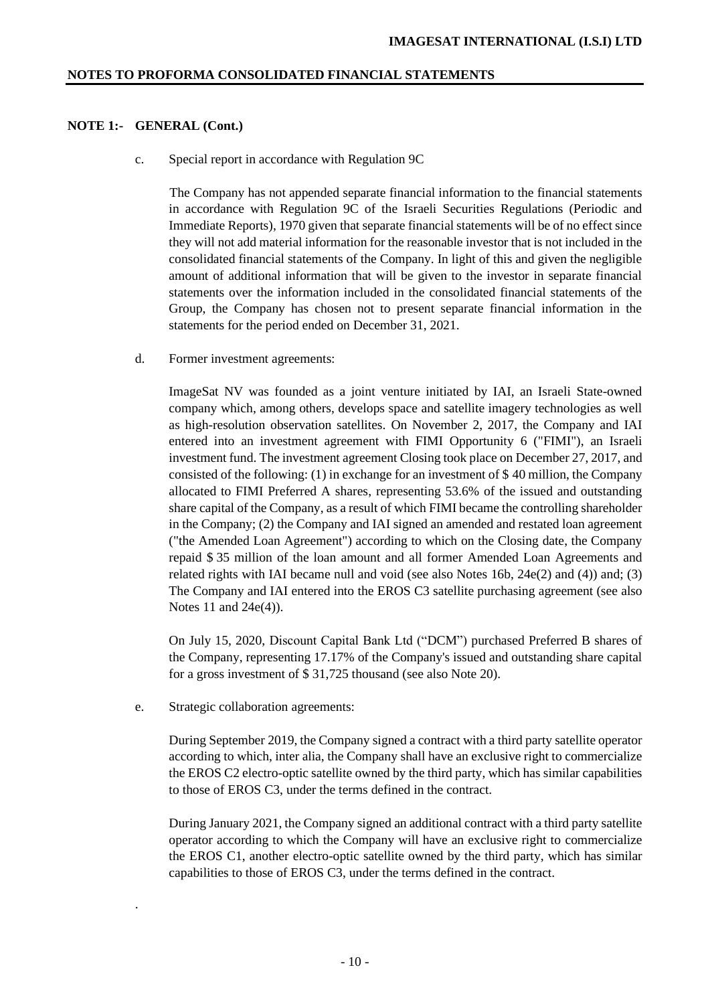## **NOTE 1:- GENERAL (Cont.)**

c. Special report in accordance with Regulation 9C

The Company has not appended separate financial information to the financial statements in accordance with Regulation 9C of the Israeli Securities Regulations (Periodic and Immediate Reports), 1970 given that separate financial statements will be of no effect since they will not add material information for the reasonable investor that is not included in the consolidated financial statements of the Company. In light of this and given the negligible amount of additional information that will be given to the investor in separate financial statements over the information included in the consolidated financial statements of the Group, the Company has chosen not to present separate financial information in the statements for the period ended on December 31, 2021.

d. Former investment agreements:

ImageSat NV was founded as a joint venture initiated by IAI, an Israeli State-owned company which, among others, develops space and satellite imagery technologies as well as high-resolution observation satellites. On November 2, 2017, the Company and IAI entered into an investment agreement with FIMI Opportunity 6 ("FIMI"), an Israeli investment fund. The investment agreement Closing took place on December 27, 2017, and consisted of the following: (1) in exchange for an investment of \$ 40 million, the Company allocated to FIMI Preferred A shares, representing 53.6% of the issued and outstanding share capital of the Company, as a result of which FIMI became the controlling shareholder in the Company; (2) the Company and IAI signed an amended and restated loan agreement ("the Amended Loan Agreement") according to which on the Closing date, the Company repaid \$ 35 million of the loan amount and all former Amended Loan Agreements and related rights with IAI became null and void (see also Notes 16b,  $24e(2)$  and (4)) and; (3) The Company and IAI entered into the EROS C3 satellite purchasing agreement (see also Notes 11 and 24e(4)).

On July 15, 2020, Discount Capital Bank Ltd ("DCM") purchased Preferred B shares of the Company, representing 17.17% of the Company's issued and outstanding share capital for a gross investment of \$ 31,725 thousand (see also Note 20).

e. Strategic collaboration agreements:

.

During September 2019, the Company signed a contract with a third party satellite operator according to which, inter alia, the Company shall have an exclusive right to commercialize the EROS C2 electro-optic satellite owned by the third party, which has similar capabilities to those of EROS C3, under the terms defined in the contract.

During January 2021, the Company signed an additional contract with a third party satellite operator according to which the Company will have an exclusive right to commercialize the EROS C1, another electro-optic satellite owned by the third party, which has similar capabilities to those of EROS C3, under the terms defined in the contract.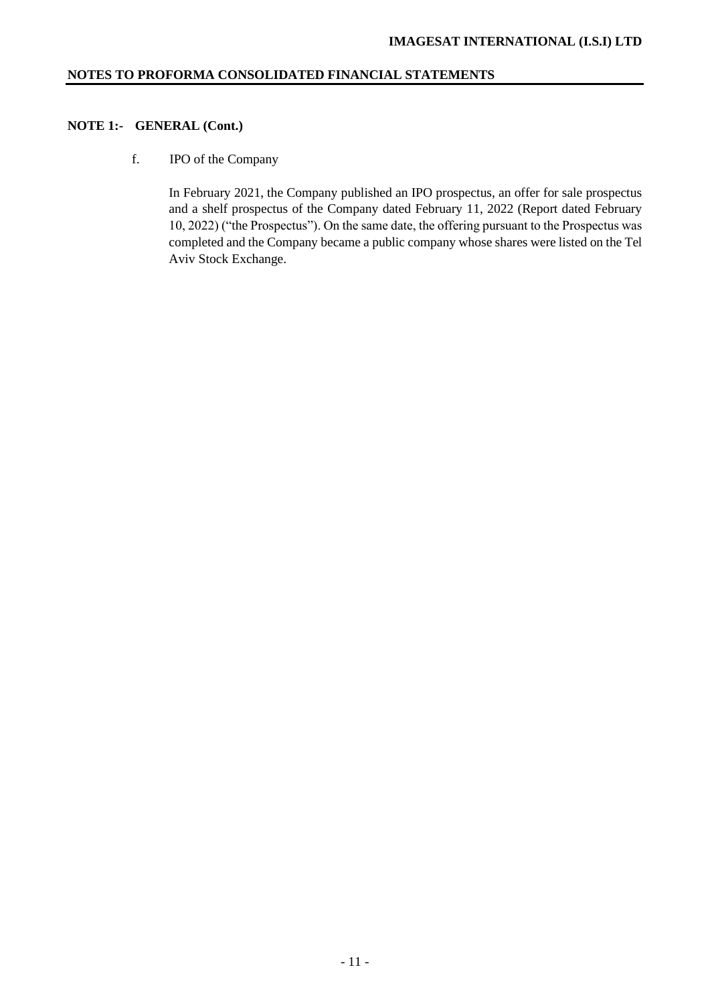# **NOTE 1:- GENERAL (Cont.)**

f. IPO of the Company

In February 2021, the Company published an IPO prospectus, an offer for sale prospectus and a shelf prospectus of the Company dated February 11, 2022 (Report dated February 10, 2022) ("the Prospectus"). On the same date, the offering pursuant to the Prospectus was completed and the Company became a public company whose shares were listed on the Tel Aviv Stock Exchange.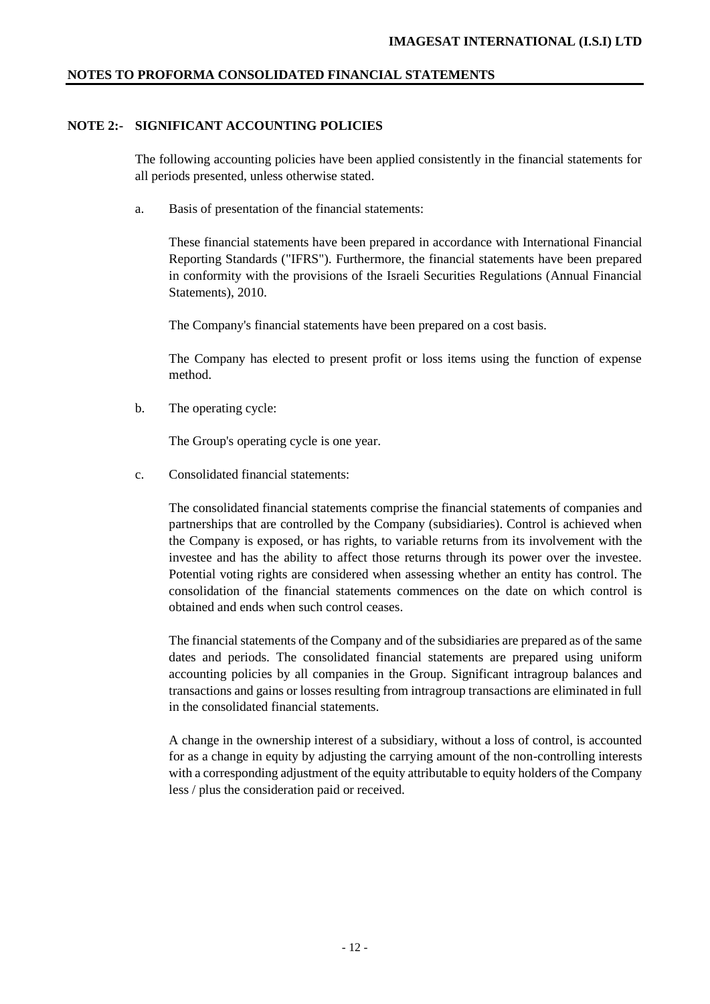# **NOTE 2:- SIGNIFICANT ACCOUNTING POLICIES**

The following accounting policies have been applied consistently in the financial statements for all periods presented, unless otherwise stated.

a. Basis of presentation of the financial statements:

These financial statements have been prepared in accordance with International Financial Reporting Standards ("IFRS"). Furthermore, the financial statements have been prepared in conformity with the provisions of the Israeli Securities Regulations (Annual Financial Statements), 2010.

The Company's financial statements have been prepared on a cost basis.

The Company has elected to present profit or loss items using the function of expense method.

b. The operating cycle:

The Group's operating cycle is one year.

c. Consolidated financial statements:

The consolidated financial statements comprise the financial statements of companies and partnerships that are controlled by the Company (subsidiaries). Control is achieved when the Company is exposed, or has rights, to variable returns from its involvement with the investee and has the ability to affect those returns through its power over the investee. Potential voting rights are considered when assessing whether an entity has control. The consolidation of the financial statements commences on the date on which control is obtained and ends when such control ceases.

The financial statements of the Company and of the subsidiaries are prepared as of the same dates and periods. The consolidated financial statements are prepared using uniform accounting policies by all companies in the Group. Significant intragroup balances and transactions and gains or losses resulting from intragroup transactions are eliminated in full in the consolidated financial statements.

A change in the ownership interest of a subsidiary, without a loss of control, is accounted for as a change in equity by adjusting the carrying amount of the non-controlling interests with a corresponding adjustment of the equity attributable to equity holders of the Company less / plus the consideration paid or received.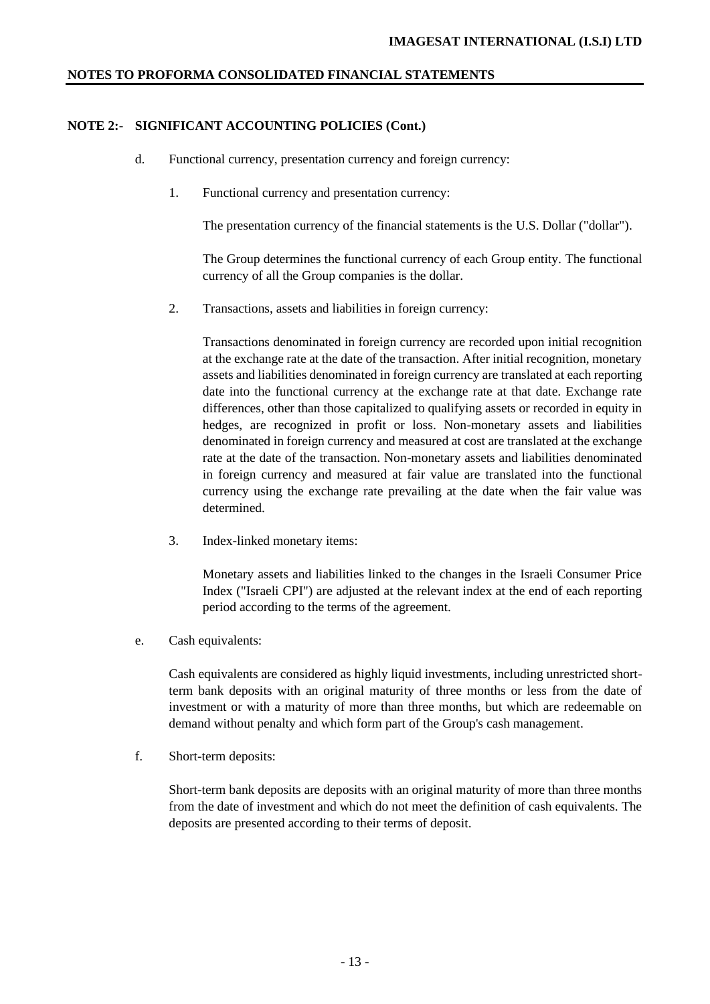## **NOTE 2:- SIGNIFICANT ACCOUNTING POLICIES (Cont.)**

- d. Functional currency, presentation currency and foreign currency:
	- 1. Functional currency and presentation currency:

The presentation currency of the financial statements is the U.S. Dollar ("dollar").

The Group determines the functional currency of each Group entity. The functional currency of all the Group companies is the dollar.

2. Transactions, assets and liabilities in foreign currency:

Transactions denominated in foreign currency are recorded upon initial recognition at the exchange rate at the date of the transaction. After initial recognition, monetary assets and liabilities denominated in foreign currency are translated at each reporting date into the functional currency at the exchange rate at that date. Exchange rate differences, other than those capitalized to qualifying assets or recorded in equity in hedges, are recognized in profit or loss. Non-monetary assets and liabilities denominated in foreign currency and measured at cost are translated at the exchange rate at the date of the transaction. Non-monetary assets and liabilities denominated in foreign currency and measured at fair value are translated into the functional currency using the exchange rate prevailing at the date when the fair value was determined.

3. Index-linked monetary items:

Monetary assets and liabilities linked to the changes in the Israeli Consumer Price Index ("Israeli CPI") are adjusted at the relevant index at the end of each reporting period according to the terms of the agreement.

e. Cash equivalents:

Cash equivalents are considered as highly liquid investments, including unrestricted shortterm bank deposits with an original maturity of three months or less from the date of investment or with a maturity of more than three months, but which are redeemable on demand without penalty and which form part of the Group's cash management.

f. Short-term deposits:

Short-term bank deposits are deposits with an original maturity of more than three months from the date of investment and which do not meet the definition of cash equivalents. The deposits are presented according to their terms of deposit.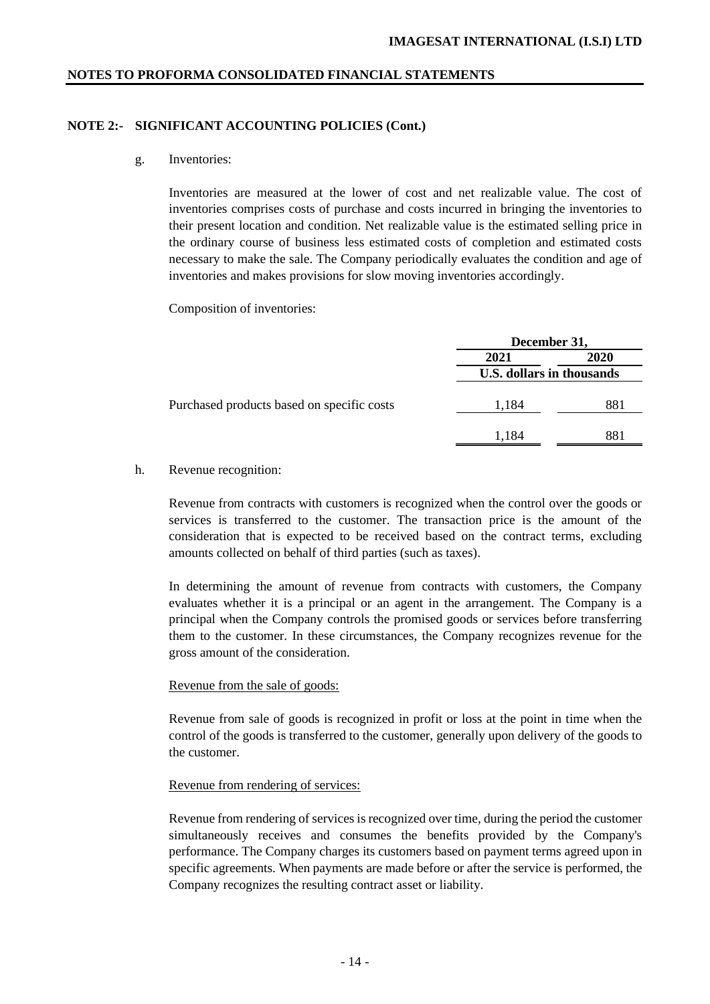## **NOTE 2:- SIGNIFICANT ACCOUNTING POLICIES (Cont.)**

g. Inventories:

Inventories are measured at the lower of cost and net realizable value. The cost of inventories comprises costs of purchase and costs incurred in bringing the inventories to their present location and condition. Net realizable value is the estimated selling price in the ordinary course of business less estimated costs of completion and estimated costs necessary to make the sale. The Company periodically evaluates the condition and age of inventories and makes provisions for slow moving inventories accordingly.

Composition of inventories:

|                                            | December 31,              |      |  |
|--------------------------------------------|---------------------------|------|--|
|                                            | 2021                      | 2020 |  |
|                                            | U.S. dollars in thousands |      |  |
| Purchased products based on specific costs | 1,184                     | 881  |  |
|                                            | 1,184                     | 881  |  |

## h. Revenue recognition:

Revenue from contracts with customers is recognized when the control over the goods or services is transferred to the customer. The transaction price is the amount of the consideration that is expected to be received based on the contract terms, excluding amounts collected on behalf of third parties (such as taxes).

In determining the amount of revenue from contracts with customers, the Company evaluates whether it is a principal or an agent in the arrangement. The Company is a principal when the Company controls the promised goods or services before transferring them to the customer. In these circumstances, the Company recognizes revenue for the gross amount of the consideration.

## Revenue from the sale of goods:

Revenue from sale of goods is recognized in profit or loss at the point in time when the control of the goods is transferred to the customer, generally upon delivery of the goods to the customer.

## Revenue from rendering of services:

Revenue from rendering of services is recognized over time, during the period the customer simultaneously receives and consumes the benefits provided by the Company's performance. The Company charges its customers based on payment terms agreed upon in specific agreements. When payments are made before or after the service is performed, the Company recognizes the resulting contract asset or liability.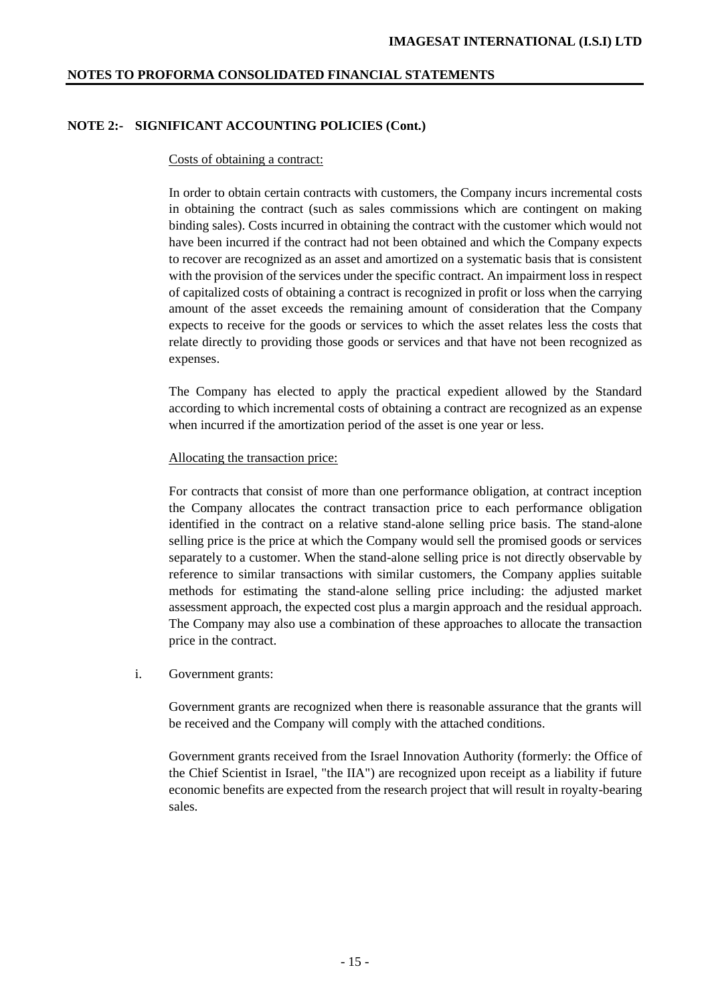# **NOTE 2:- SIGNIFICANT ACCOUNTING POLICIES (Cont.)**

### Costs of obtaining a contract:

In order to obtain certain contracts with customers, the Company incurs incremental costs in obtaining the contract (such as sales commissions which are contingent on making binding sales). Costs incurred in obtaining the contract with the customer which would not have been incurred if the contract had not been obtained and which the Company expects to recover are recognized as an asset and amortized on a systematic basis that is consistent with the provision of the services under the specific contract. An impairment loss in respect of capitalized costs of obtaining a contract is recognized in profit or loss when the carrying amount of the asset exceeds the remaining amount of consideration that the Company expects to receive for the goods or services to which the asset relates less the costs that relate directly to providing those goods or services and that have not been recognized as expenses.

The Company has elected to apply the practical expedient allowed by the Standard according to which incremental costs of obtaining a contract are recognized as an expense when incurred if the amortization period of the asset is one year or less.

## Allocating the transaction price:

For contracts that consist of more than one performance obligation, at contract inception the Company allocates the contract transaction price to each performance obligation identified in the contract on a relative stand-alone selling price basis. The stand-alone selling price is the price at which the Company would sell the promised goods or services separately to a customer. When the stand-alone selling price is not directly observable by reference to similar transactions with similar customers, the Company applies suitable methods for estimating the stand-alone selling price including: the adjusted market assessment approach, the expected cost plus a margin approach and the residual approach. The Company may also use a combination of these approaches to allocate the transaction price in the contract.

i. Government grants:

Government grants are recognized when there is reasonable assurance that the grants will be received and the Company will comply with the attached conditions.

Government grants received from the Israel Innovation Authority (formerly: the Office of the Chief Scientist in Israel, "the IIA") are recognized upon receipt as a liability if future economic benefits are expected from the research project that will result in royalty-bearing sales.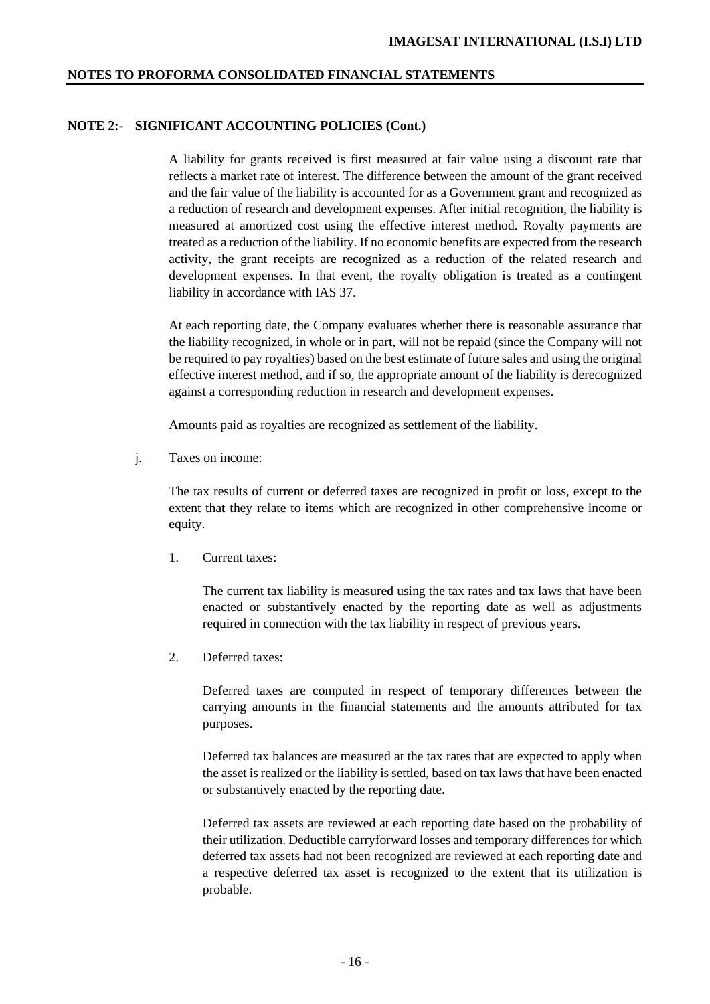## **NOTE 2:- SIGNIFICANT ACCOUNTING POLICIES (Cont.)**

A liability for grants received is first measured at fair value using a discount rate that reflects a market rate of interest. The difference between the amount of the grant received and the fair value of the liability is accounted for as a Government grant and recognized as a reduction of research and development expenses. After initial recognition, the liability is measured at amortized cost using the effective interest method. Royalty payments are treated as a reduction of the liability. If no economic benefits are expected from the research activity, the grant receipts are recognized as a reduction of the related research and development expenses. In that event, the royalty obligation is treated as a contingent liability in accordance with IAS 37.

At each reporting date, the Company evaluates whether there is reasonable assurance that the liability recognized, in whole or in part, will not be repaid (since the Company will not be required to pay royalties) based on the best estimate of future sales and using the original effective interest method, and if so, the appropriate amount of the liability is derecognized against a corresponding reduction in research and development expenses.

Amounts paid as royalties are recognized as settlement of the liability.

j. Taxes on income:

The tax results of current or deferred taxes are recognized in profit or loss, except to the extent that they relate to items which are recognized in other comprehensive income or equity.

1. Current taxes:

The current tax liability is measured using the tax rates and tax laws that have been enacted or substantively enacted by the reporting date as well as adjustments required in connection with the tax liability in respect of previous years.

2. Deferred taxes:

Deferred taxes are computed in respect of temporary differences between the carrying amounts in the financial statements and the amounts attributed for tax purposes.

Deferred tax balances are measured at the tax rates that are expected to apply when the asset is realized or the liability is settled, based on tax laws that have been enacted or substantively enacted by the reporting date.

Deferred tax assets are reviewed at each reporting date based on the probability of their utilization. Deductible carryforward losses and temporary differences for which deferred tax assets had not been recognized are reviewed at each reporting date and a respective deferred tax asset is recognized to the extent that its utilization is probable.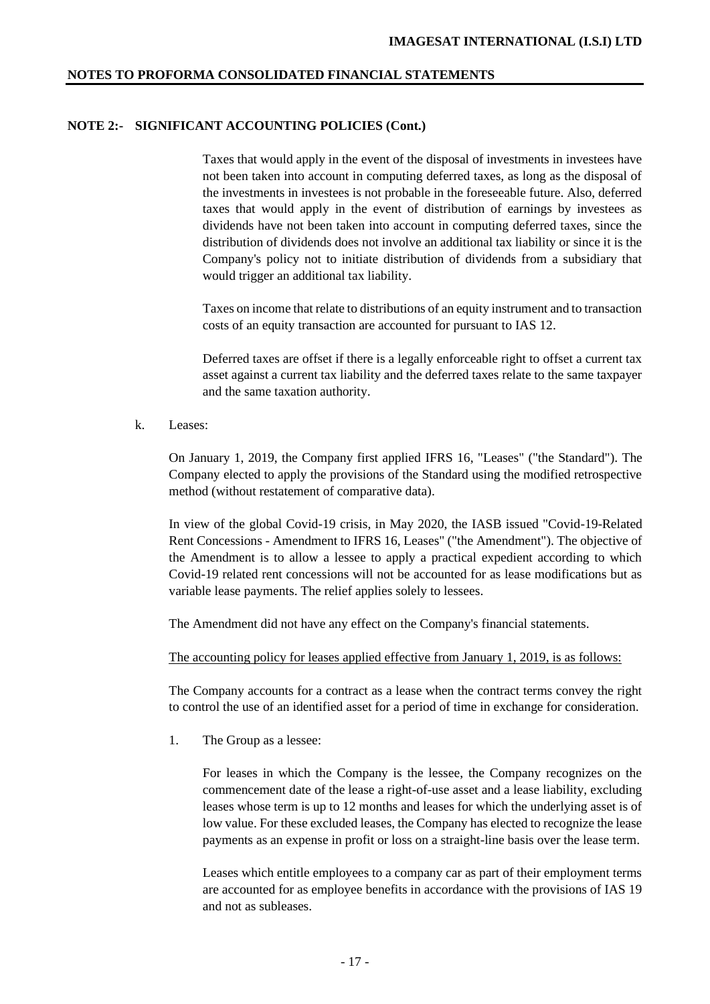## **NOTE 2:- SIGNIFICANT ACCOUNTING POLICIES (Cont.)**

Taxes that would apply in the event of the disposal of investments in investees have not been taken into account in computing deferred taxes, as long as the disposal of the investments in investees is not probable in the foreseeable future. Also, deferred taxes that would apply in the event of distribution of earnings by investees as dividends have not been taken into account in computing deferred taxes, since the distribution of dividends does not involve an additional tax liability or since it is the Company's policy not to initiate distribution of dividends from a subsidiary that would trigger an additional tax liability.

Taxes on income that relate to distributions of an equity instrument and to transaction costs of an equity transaction are accounted for pursuant to IAS 12.

Deferred taxes are offset if there is a legally enforceable right to offset a current tax asset against a current tax liability and the deferred taxes relate to the same taxpayer and the same taxation authority.

k. Leases:

On January 1, 2019, the Company first applied IFRS 16, "Leases" ("the Standard"). The Company elected to apply the provisions of the Standard using the modified retrospective method (without restatement of comparative data).

In view of the global Covid-19 crisis, in May 2020, the IASB issued "Covid-19-Related Rent Concessions - Amendment to IFRS 16, Leases" ("the Amendment"). The objective of the Amendment is to allow a lessee to apply a practical expedient according to which Covid-19 related rent concessions will not be accounted for as lease modifications but as variable lease payments. The relief applies solely to lessees.

The Amendment did not have any effect on the Company's financial statements.

The accounting policy for leases applied effective from January 1, 2019, is as follows:

The Company accounts for a contract as a lease when the contract terms convey the right to control the use of an identified asset for a period of time in exchange for consideration.

1. The Group as a lessee:

For leases in which the Company is the lessee, the Company recognizes on the commencement date of the lease a right-of-use asset and a lease liability, excluding leases whose term is up to 12 months and leases for which the underlying asset is of low value. For these excluded leases, the Company has elected to recognize the lease payments as an expense in profit or loss on a straight-line basis over the lease term.

Leases which entitle employees to a company car as part of their employment terms are accounted for as employee benefits in accordance with the provisions of IAS 19 and not as subleases.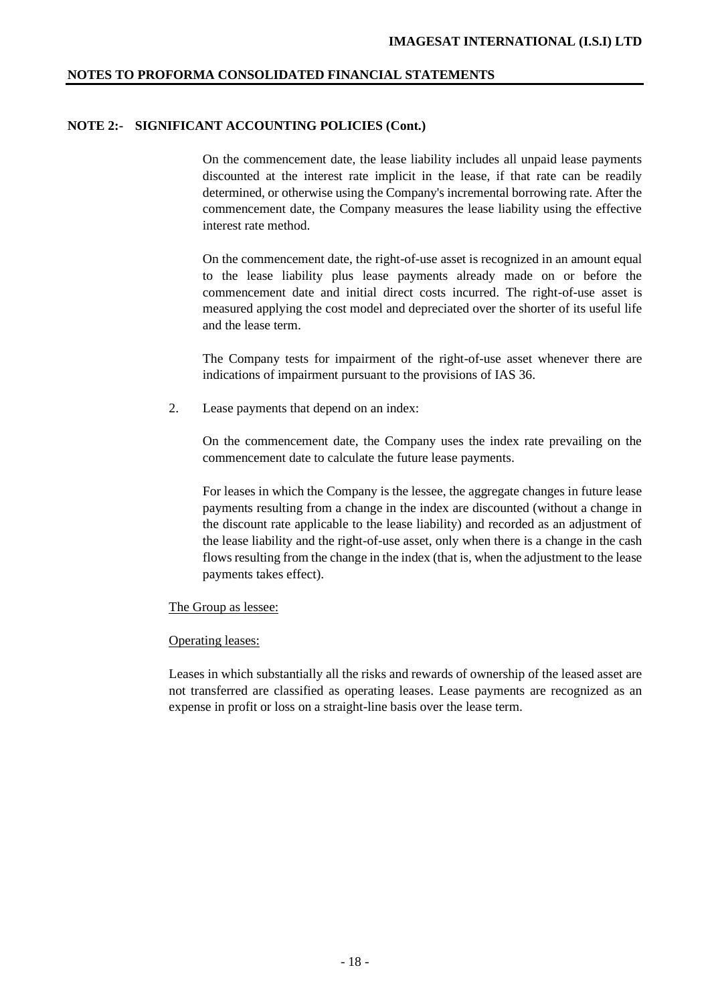# **NOTE 2:- SIGNIFICANT ACCOUNTING POLICIES (Cont.)**

On the commencement date, the lease liability includes all unpaid lease payments discounted at the interest rate implicit in the lease, if that rate can be readily determined, or otherwise using the Company's incremental borrowing rate. After the commencement date, the Company measures the lease liability using the effective interest rate method.

On the commencement date, the right-of-use asset is recognized in an amount equal to the lease liability plus lease payments already made on or before the commencement date and initial direct costs incurred. The right-of-use asset is measured applying the cost model and depreciated over the shorter of its useful life and the lease term.

The Company tests for impairment of the right-of-use asset whenever there are indications of impairment pursuant to the provisions of IAS 36.

2. Lease payments that depend on an index:

On the commencement date, the Company uses the index rate prevailing on the commencement date to calculate the future lease payments.

For leases in which the Company is the lessee, the aggregate changes in future lease payments resulting from a change in the index are discounted (without a change in the discount rate applicable to the lease liability) and recorded as an adjustment of the lease liability and the right-of-use asset, only when there is a change in the cash flows resulting from the change in the index (that is, when the adjustment to the lease payments takes effect).

#### The Group as lessee:

#### Operating leases:

Leases in which substantially all the risks and rewards of ownership of the leased asset are not transferred are classified as operating leases. Lease payments are recognized as an expense in profit or loss on a straight-line basis over the lease term.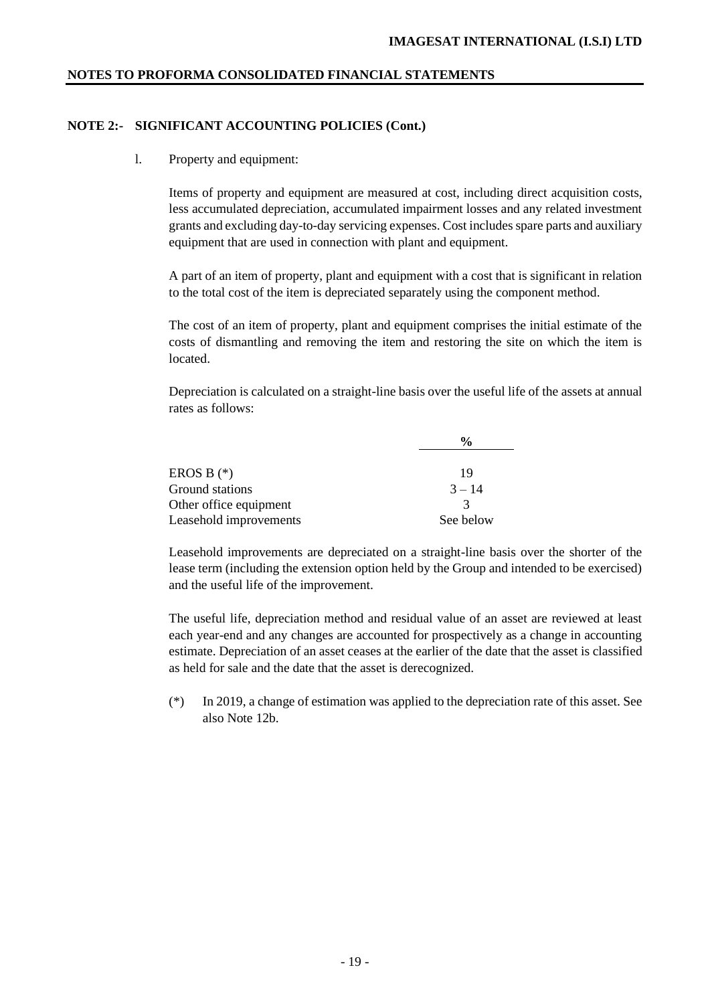# **NOTE 2:- SIGNIFICANT ACCOUNTING POLICIES (Cont.)**

## l. Property and equipment:

Items of property and equipment are measured at cost, including direct acquisition costs, less accumulated depreciation, accumulated impairment losses and any related investment grants and excluding day-to-day servicing expenses. Cost includes spare parts and auxiliary equipment that are used in connection with plant and equipment.

A part of an item of property, plant and equipment with a cost that is significant in relation to the total cost of the item is depreciated separately using the component method.

The cost of an item of property, plant and equipment comprises the initial estimate of the costs of dismantling and removing the item and restoring the site on which the item is located.

Depreciation is calculated on a straight-line basis over the useful life of the assets at annual rates as follows:

|                        | $\frac{0}{0}$ |
|------------------------|---------------|
| EROS B $(*)$           | 19            |
| Ground stations        | $3 - 14$      |
| Other office equipment | $\mathcal{R}$ |
| Leasehold improvements | See below     |

Leasehold improvements are depreciated on a straight-line basis over the shorter of the lease term (including the extension option held by the Group and intended to be exercised) and the useful life of the improvement.

The useful life, depreciation method and residual value of an asset are reviewed at least each year-end and any changes are accounted for prospectively as a change in accounting estimate. Depreciation of an asset ceases at the earlier of the date that the asset is classified as held for sale and the date that the asset is derecognized.

(\*) In 2019, a change of estimation was applied to the depreciation rate of this asset. See also Note 12b.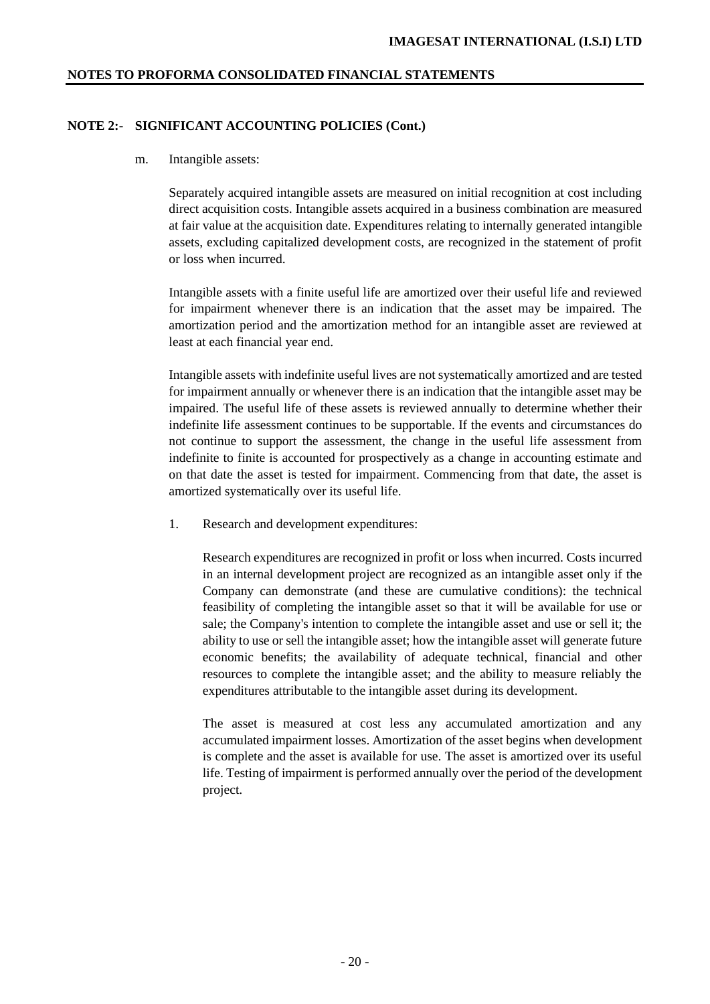### **NOTE 2:- SIGNIFICANT ACCOUNTING POLICIES (Cont.)**

#### m. Intangible assets:

Separately acquired intangible assets are measured on initial recognition at cost including direct acquisition costs. Intangible assets acquired in a business combination are measured at fair value at the acquisition date. Expenditures relating to internally generated intangible assets, excluding capitalized development costs, are recognized in the statement of profit or loss when incurred.

Intangible assets with a finite useful life are amortized over their useful life and reviewed for impairment whenever there is an indication that the asset may be impaired. The amortization period and the amortization method for an intangible asset are reviewed at least at each financial year end.

Intangible assets with indefinite useful lives are not systematically amortized and are tested for impairment annually or whenever there is an indication that the intangible asset may be impaired. The useful life of these assets is reviewed annually to determine whether their indefinite life assessment continues to be supportable. If the events and circumstances do not continue to support the assessment, the change in the useful life assessment from indefinite to finite is accounted for prospectively as a change in accounting estimate and on that date the asset is tested for impairment. Commencing from that date, the asset is amortized systematically over its useful life.

1. Research and development expenditures:

Research expenditures are recognized in profit or loss when incurred. Costs incurred in an internal development project are recognized as an intangible asset only if the Company can demonstrate (and these are cumulative conditions): the technical feasibility of completing the intangible asset so that it will be available for use or sale; the Company's intention to complete the intangible asset and use or sell it; the ability to use or sell the intangible asset; how the intangible asset will generate future economic benefits; the availability of adequate technical, financial and other resources to complete the intangible asset; and the ability to measure reliably the expenditures attributable to the intangible asset during its development.

The asset is measured at cost less any accumulated amortization and any accumulated impairment losses. Amortization of the asset begins when development is complete and the asset is available for use. The asset is amortized over its useful life. Testing of impairment is performed annually over the period of the development project.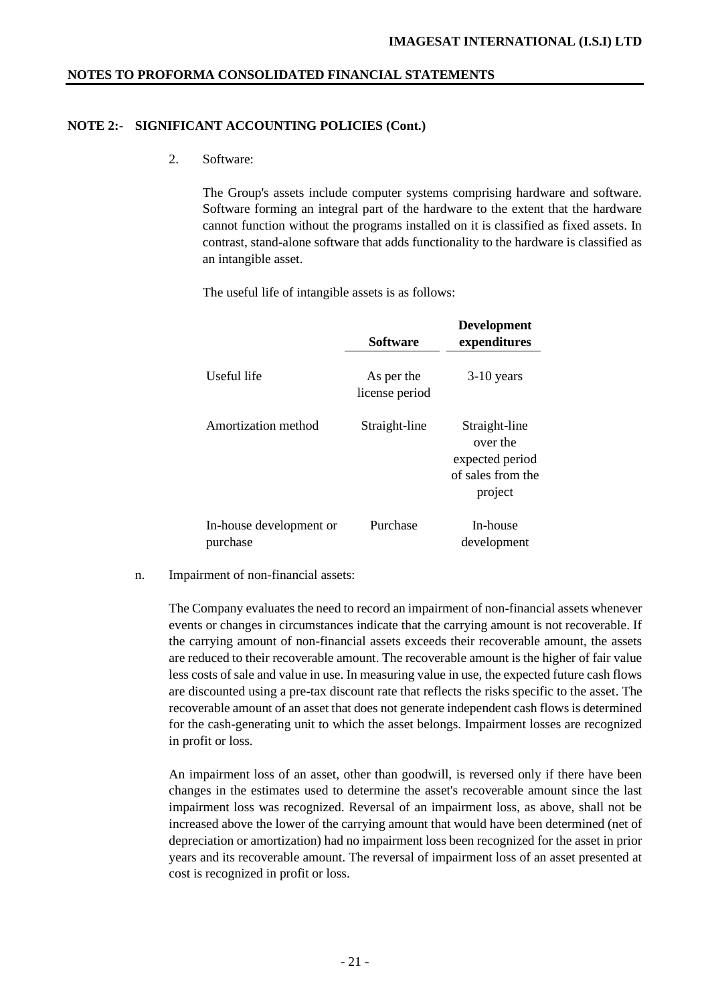# **NOTE 2:- SIGNIFICANT ACCOUNTING POLICIES (Cont.)**

2. Software:

The Group's assets include computer systems comprising hardware and software. Software forming an integral part of the hardware to the extent that the hardware cannot function without the programs installed on it is classified as fixed assets. In contrast, stand-alone software that adds functionality to the hardware is classified as an intangible asset.

The useful life of intangible assets is as follows:

|                                     | <b>Software</b>              | <b>Development</b><br>expenditures                                           |
|-------------------------------------|------------------------------|------------------------------------------------------------------------------|
| Useful life                         | As per the<br>license period | $3-10$ years                                                                 |
| Amortization method                 | Straight-line                | Straight-line<br>over the<br>expected period<br>of sales from the<br>project |
| In-house development or<br>purchase | Purchase                     | In-house<br>development                                                      |

n. Impairment of non-financial assets:

The Company evaluates the need to record an impairment of non-financial assets whenever events or changes in circumstances indicate that the carrying amount is not recoverable. If the carrying amount of non-financial assets exceeds their recoverable amount, the assets are reduced to their recoverable amount. The recoverable amount is the higher of fair value less costs of sale and value in use. In measuring value in use, the expected future cash flows are discounted using a pre-tax discount rate that reflects the risks specific to the asset. The recoverable amount of an asset that does not generate independent cash flows is determined for the cash-generating unit to which the asset belongs. Impairment losses are recognized in profit or loss.

An impairment loss of an asset, other than goodwill, is reversed only if there have been changes in the estimates used to determine the asset's recoverable amount since the last impairment loss was recognized. Reversal of an impairment loss, as above, shall not be increased above the lower of the carrying amount that would have been determined (net of depreciation or amortization) had no impairment loss been recognized for the asset in prior years and its recoverable amount. The reversal of impairment loss of an asset presented at cost is recognized in profit or loss.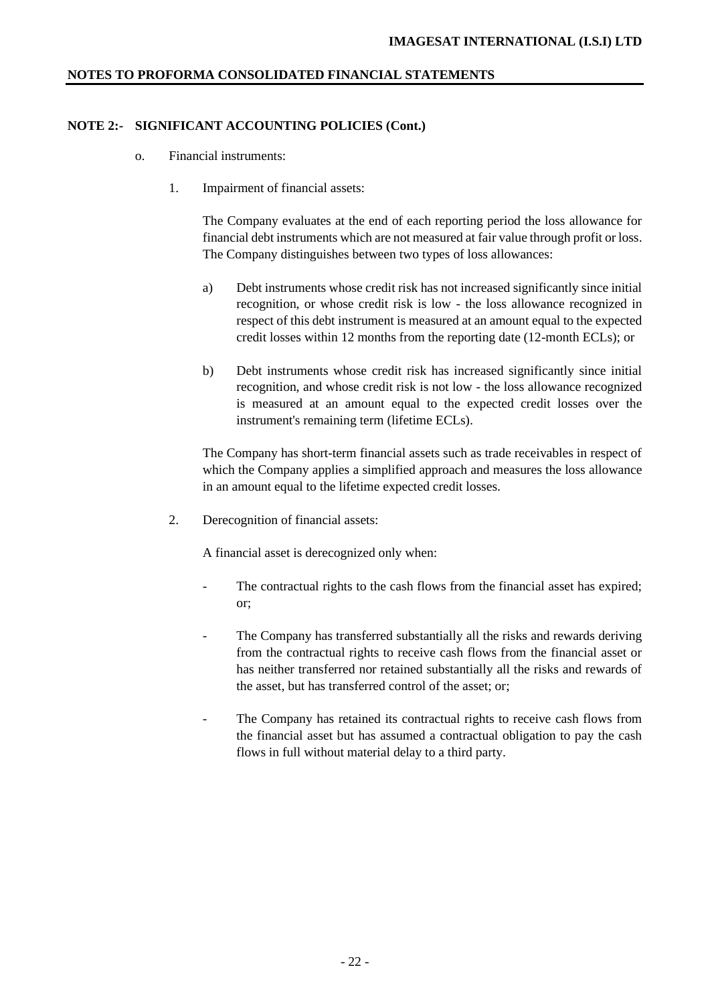# **NOTE 2:- SIGNIFICANT ACCOUNTING POLICIES (Cont.)**

- o. Financial instruments:
	- 1. Impairment of financial assets:

The Company evaluates at the end of each reporting period the loss allowance for financial debt instruments which are not measured at fair value through profit or loss. The Company distinguishes between two types of loss allowances:

- a) Debt instruments whose credit risk has not increased significantly since initial recognition, or whose credit risk is low - the loss allowance recognized in respect of this debt instrument is measured at an amount equal to the expected credit losses within 12 months from the reporting date (12-month ECLs); or
- b) Debt instruments whose credit risk has increased significantly since initial recognition, and whose credit risk is not low - the loss allowance recognized is measured at an amount equal to the expected credit losses over the instrument's remaining term (lifetime ECLs).

The Company has short-term financial assets such as trade receivables in respect of which the Company applies a simplified approach and measures the loss allowance in an amount equal to the lifetime expected credit losses.

2. Derecognition of financial assets:

A financial asset is derecognized only when:

- The contractual rights to the cash flows from the financial asset has expired; or;
- The Company has transferred substantially all the risks and rewards deriving from the contractual rights to receive cash flows from the financial asset or has neither transferred nor retained substantially all the risks and rewards of the asset, but has transferred control of the asset; or;
- The Company has retained its contractual rights to receive cash flows from the financial asset but has assumed a contractual obligation to pay the cash flows in full without material delay to a third party.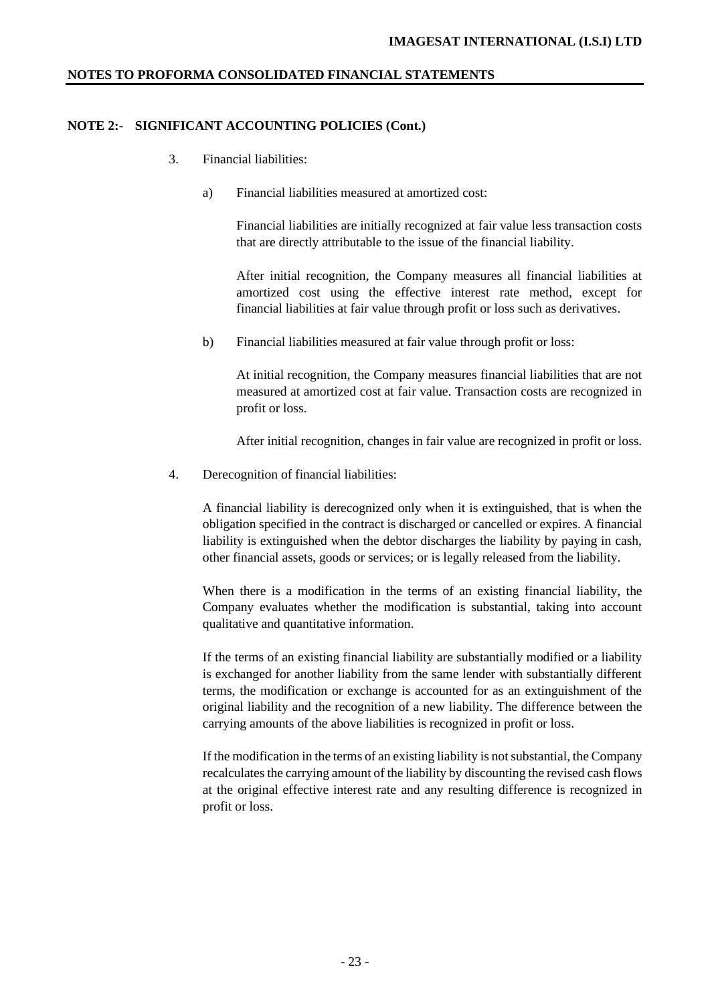#### **NOTE 2:- SIGNIFICANT ACCOUNTING POLICIES (Cont.)**

- 3. Financial liabilities:
	- a) Financial liabilities measured at amortized cost:

Financial liabilities are initially recognized at fair value less transaction costs that are directly attributable to the issue of the financial liability.

After initial recognition, the Company measures all financial liabilities at amortized cost using the effective interest rate method, except for financial liabilities at fair value through profit or loss such as derivatives.

b) Financial liabilities measured at fair value through profit or loss:

At initial recognition, the Company measures financial liabilities that are not measured at amortized cost at fair value. Transaction costs are recognized in profit or loss.

After initial recognition, changes in fair value are recognized in profit or loss.

4. Derecognition of financial liabilities:

A financial liability is derecognized only when it is extinguished, that is when the obligation specified in the contract is discharged or cancelled or expires. A financial liability is extinguished when the debtor discharges the liability by paying in cash, other financial assets, goods or services; or is legally released from the liability.

When there is a modification in the terms of an existing financial liability, the Company evaluates whether the modification is substantial, taking into account qualitative and quantitative information.

If the terms of an existing financial liability are substantially modified or a liability is exchanged for another liability from the same lender with substantially different terms, the modification or exchange is accounted for as an extinguishment of the original liability and the recognition of a new liability. The difference between the carrying amounts of the above liabilities is recognized in profit or loss.

If the modification in the terms of an existing liability is not substantial, the Company recalculates the carrying amount of the liability by discounting the revised cash flows at the original effective interest rate and any resulting difference is recognized in profit or loss.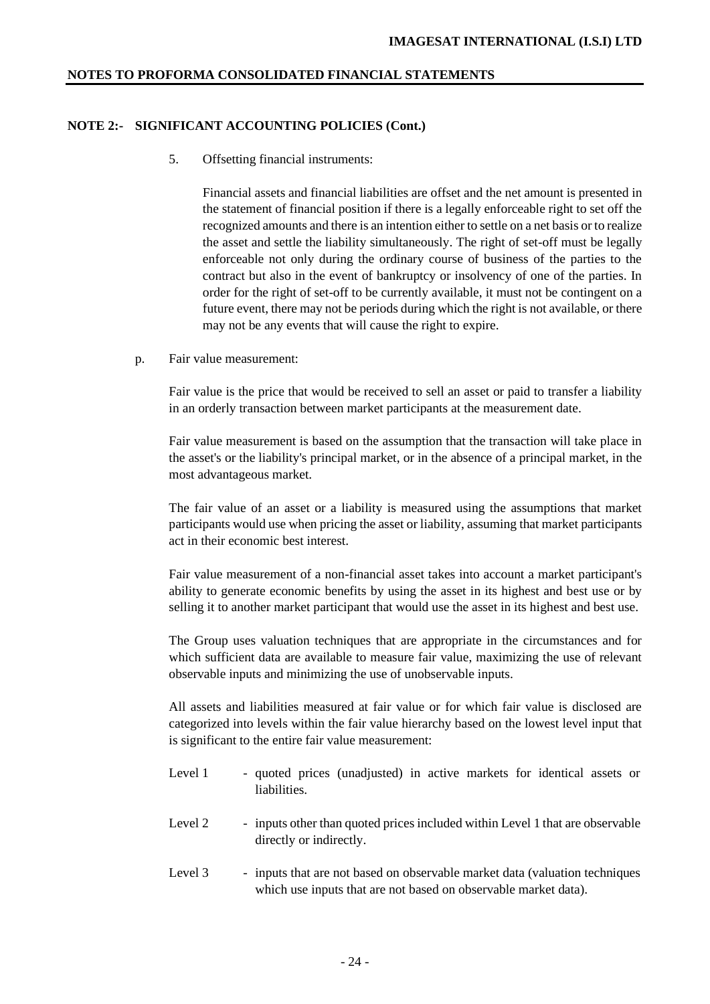## **NOTE 2:- SIGNIFICANT ACCOUNTING POLICIES (Cont.)**

5. Offsetting financial instruments:

Financial assets and financial liabilities are offset and the net amount is presented in the statement of financial position if there is a legally enforceable right to set off the recognized amounts and there is an intention either to settle on a net basis or to realize the asset and settle the liability simultaneously. The right of set-off must be legally enforceable not only during the ordinary course of business of the parties to the contract but also in the event of bankruptcy or insolvency of one of the parties. In order for the right of set-off to be currently available, it must not be contingent on a future event, there may not be periods during which the right is not available, or there may not be any events that will cause the right to expire.

p. Fair value measurement:

Fair value is the price that would be received to sell an asset or paid to transfer a liability in an orderly transaction between market participants at the measurement date.

Fair value measurement is based on the assumption that the transaction will take place in the asset's or the liability's principal market, or in the absence of a principal market, in the most advantageous market.

The fair value of an asset or a liability is measured using the assumptions that market participants would use when pricing the asset or liability, assuming that market participants act in their economic best interest.

Fair value measurement of a non-financial asset takes into account a market participant's ability to generate economic benefits by using the asset in its highest and best use or by selling it to another market participant that would use the asset in its highest and best use.

The Group uses valuation techniques that are appropriate in the circumstances and for which sufficient data are available to measure fair value, maximizing the use of relevant observable inputs and minimizing the use of unobservable inputs.

All assets and liabilities measured at fair value or for which fair value is disclosed are categorized into levels within the fair value hierarchy based on the lowest level input that is significant to the entire fair value measurement:

- Level 1 quoted prices (unadjusted) in active markets for identical assets or liabilities.
- Level 2 inputs other than quoted prices included within Level 1 that are observable directly or indirectly.
- Level 3 inputs that are not based on observable market data (valuation techniques which use inputs that are not based on observable market data).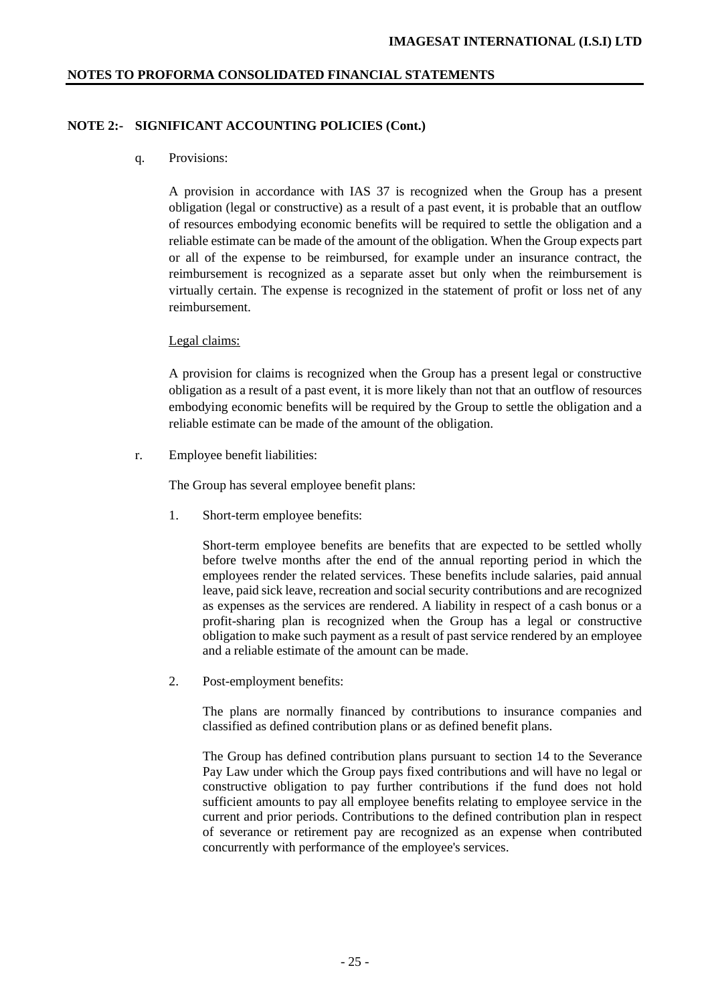# **NOTE 2:- SIGNIFICANT ACCOUNTING POLICIES (Cont.)**

## q. Provisions:

A provision in accordance with IAS 37 is recognized when the Group has a present obligation (legal or constructive) as a result of a past event, it is probable that an outflow of resources embodying economic benefits will be required to settle the obligation and a reliable estimate can be made of the amount of the obligation. When the Group expects part or all of the expense to be reimbursed, for example under an insurance contract, the reimbursement is recognized as a separate asset but only when the reimbursement is virtually certain. The expense is recognized in the statement of profit or loss net of any reimbursement.

## Legal claims:

A provision for claims is recognized when the Group has a present legal or constructive obligation as a result of a past event, it is more likely than not that an outflow of resources embodying economic benefits will be required by the Group to settle the obligation and a reliable estimate can be made of the amount of the obligation.

r. Employee benefit liabilities:

The Group has several employee benefit plans:

1. Short-term employee benefits:

Short-term employee benefits are benefits that are expected to be settled wholly before twelve months after the end of the annual reporting period in which the employees render the related services. These benefits include salaries, paid annual leave, paid sick leave, recreation and social security contributions and are recognized as expenses as the services are rendered. A liability in respect of a cash bonus or a profit-sharing plan is recognized when the Group has a legal or constructive obligation to make such payment as a result of past service rendered by an employee and a reliable estimate of the amount can be made.

2. Post-employment benefits:

The plans are normally financed by contributions to insurance companies and classified as defined contribution plans or as defined benefit plans.

The Group has defined contribution plans pursuant to section 14 to the Severance Pay Law under which the Group pays fixed contributions and will have no legal or constructive obligation to pay further contributions if the fund does not hold sufficient amounts to pay all employee benefits relating to employee service in the current and prior periods. Contributions to the defined contribution plan in respect of severance or retirement pay are recognized as an expense when contributed concurrently with performance of the employee's services.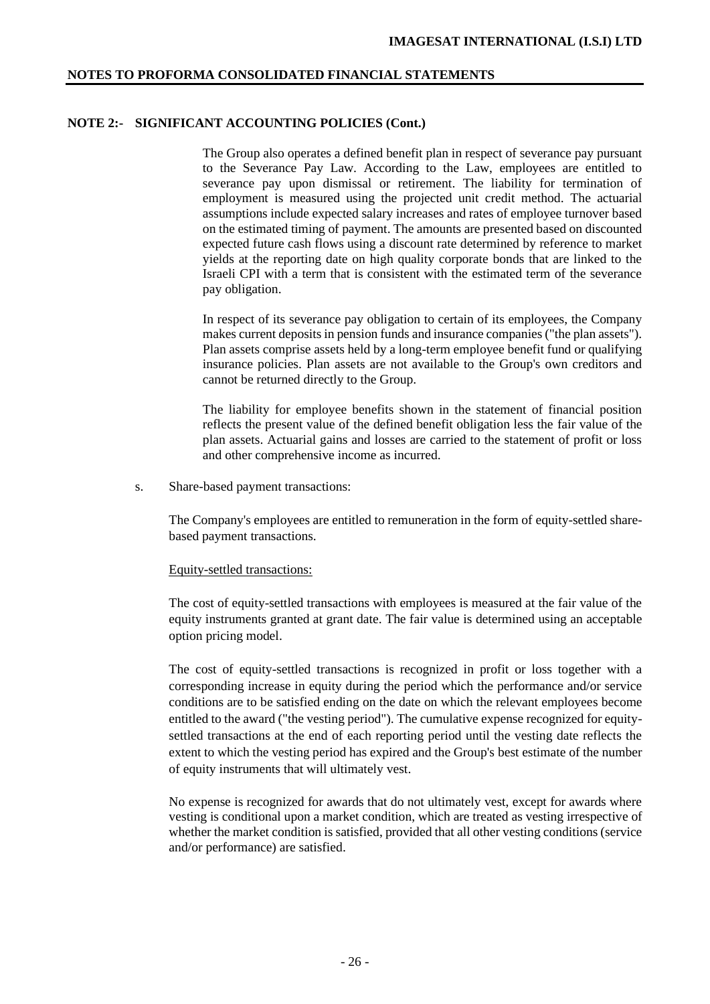#### **NOTE 2:- SIGNIFICANT ACCOUNTING POLICIES (Cont.)**

The Group also operates a defined benefit plan in respect of severance pay pursuant to the Severance Pay Law. According to the Law, employees are entitled to severance pay upon dismissal or retirement. The liability for termination of employment is measured using the projected unit credit method. The actuarial assumptions include expected salary increases and rates of employee turnover based on the estimated timing of payment. The amounts are presented based on discounted expected future cash flows using a discount rate determined by reference to market yields at the reporting date on high quality corporate bonds that are linked to the Israeli CPI with a term that is consistent with the estimated term of the severance pay obligation.

In respect of its severance pay obligation to certain of its employees, the Company makes current deposits in pension funds and insurance companies ("the plan assets"). Plan assets comprise assets held by a long-term employee benefit fund or qualifying insurance policies. Plan assets are not available to the Group's own creditors and cannot be returned directly to the Group.

The liability for employee benefits shown in the statement of financial position reflects the present value of the defined benefit obligation less the fair value of the plan assets. Actuarial gains and losses are carried to the statement of profit or loss and other comprehensive income as incurred.

s. Share-based payment transactions:

The Company's employees are entitled to remuneration in the form of equity-settled sharebased payment transactions.

#### Equity-settled transactions:

The cost of equity-settled transactions with employees is measured at the fair value of the equity instruments granted at grant date. The fair value is determined using an acceptable option pricing model.

The cost of equity-settled transactions is recognized in profit or loss together with a corresponding increase in equity during the period which the performance and/or service conditions are to be satisfied ending on the date on which the relevant employees become entitled to the award ("the vesting period"). The cumulative expense recognized for equitysettled transactions at the end of each reporting period until the vesting date reflects the extent to which the vesting period has expired and the Group's best estimate of the number of equity instruments that will ultimately vest.

No expense is recognized for awards that do not ultimately vest, except for awards where vesting is conditional upon a market condition, which are treated as vesting irrespective of whether the market condition is satisfied, provided that all other vesting conditions (service and/or performance) are satisfied.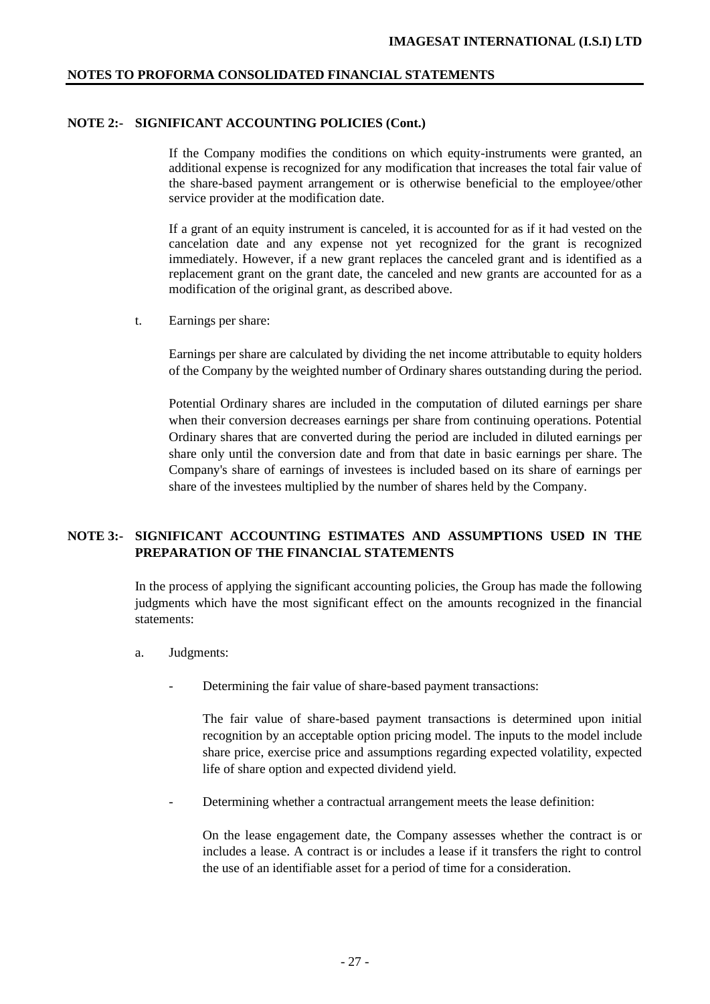#### **NOTE 2:- SIGNIFICANT ACCOUNTING POLICIES (Cont.)**

If the Company modifies the conditions on which equity-instruments were granted, an additional expense is recognized for any modification that increases the total fair value of the share-based payment arrangement or is otherwise beneficial to the employee/other service provider at the modification date.

If a grant of an equity instrument is canceled, it is accounted for as if it had vested on the cancelation date and any expense not yet recognized for the grant is recognized immediately. However, if a new grant replaces the canceled grant and is identified as a replacement grant on the grant date, the canceled and new grants are accounted for as a modification of the original grant, as described above.

t. Earnings per share:

Earnings per share are calculated by dividing the net income attributable to equity holders of the Company by the weighted number of Ordinary shares outstanding during the period.

Potential Ordinary shares are included in the computation of diluted earnings per share when their conversion decreases earnings per share from continuing operations. Potential Ordinary shares that are converted during the period are included in diluted earnings per share only until the conversion date and from that date in basic earnings per share. The Company's share of earnings of investees is included based on its share of earnings per share of the investees multiplied by the number of shares held by the Company.

# **NOTE 3:- SIGNIFICANT ACCOUNTING ESTIMATES AND ASSUMPTIONS USED IN THE PREPARATION OF THE FINANCIAL STATEMENTS**

In the process of applying the significant accounting policies, the Group has made the following judgments which have the most significant effect on the amounts recognized in the financial statements:

- a. Judgments:
	- Determining the fair value of share-based payment transactions:

The fair value of share-based payment transactions is determined upon initial recognition by an acceptable option pricing model. The inputs to the model include share price, exercise price and assumptions regarding expected volatility, expected life of share option and expected dividend yield.

Determining whether a contractual arrangement meets the lease definition:

On the lease engagement date, the Company assesses whether the contract is or includes a lease. A contract is or includes a lease if it transfers the right to control the use of an identifiable asset for a period of time for a consideration.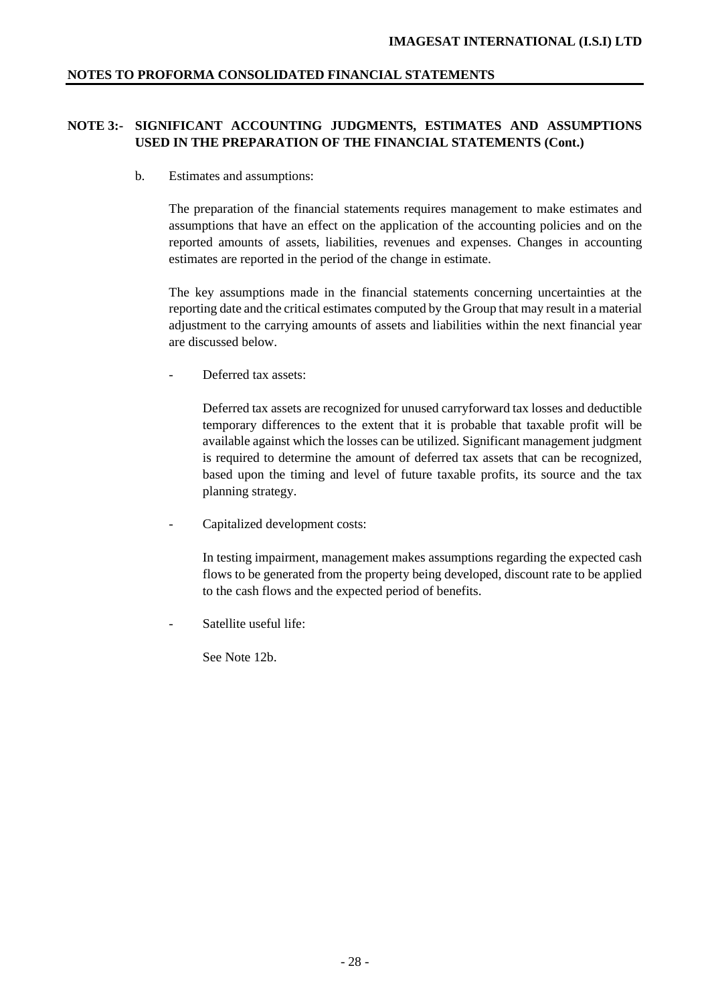# **NOTE 3:- SIGNIFICANT ACCOUNTING JUDGMENTS, ESTIMATES AND ASSUMPTIONS USED IN THE PREPARATION OF THE FINANCIAL STATEMENTS (Cont.)**

b. Estimates and assumptions:

The preparation of the financial statements requires management to make estimates and assumptions that have an effect on the application of the accounting policies and on the reported amounts of assets, liabilities, revenues and expenses. Changes in accounting estimates are reported in the period of the change in estimate.

The key assumptions made in the financial statements concerning uncertainties at the reporting date and the critical estimates computed by the Group that may result in a material adjustment to the carrying amounts of assets and liabilities within the next financial year are discussed below.

Deferred tax assets:

Deferred tax assets are recognized for unused carryforward tax losses and deductible temporary differences to the extent that it is probable that taxable profit will be available against which the losses can be utilized. Significant management judgment is required to determine the amount of deferred tax assets that can be recognized, based upon the timing and level of future taxable profits, its source and the tax planning strategy.

Capitalized development costs:

In testing impairment, management makes assumptions regarding the expected cash flows to be generated from the property being developed, discount rate to be applied to the cash flows and the expected period of benefits.

Satellite useful life:

See Note 12b.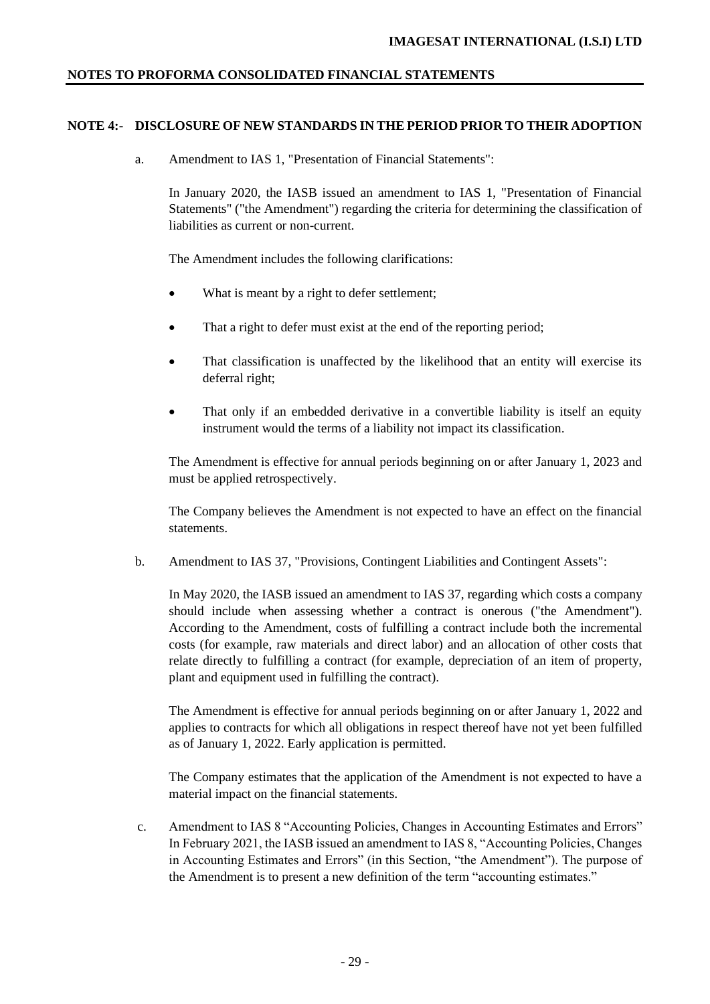## **NOTE 4:- DISCLOSURE OF NEW STANDARDS IN THE PERIOD PRIOR TO THEIR ADOPTION**

a. Amendment to IAS 1, "Presentation of Financial Statements":

In January 2020, the IASB issued an amendment to IAS 1, "Presentation of Financial Statements" ("the Amendment") regarding the criteria for determining the classification of liabilities as current or non-current.

The Amendment includes the following clarifications:

- What is meant by a right to defer settlement;
- That a right to defer must exist at the end of the reporting period;
- That classification is unaffected by the likelihood that an entity will exercise its deferral right;
- That only if an embedded derivative in a convertible liability is itself an equity instrument would the terms of a liability not impact its classification.

The Amendment is effective for annual periods beginning on or after January 1, 2023 and must be applied retrospectively.

The Company believes the Amendment is not expected to have an effect on the financial statements.

b. Amendment to IAS 37, "Provisions, Contingent Liabilities and Contingent Assets":

In May 2020, the IASB issued an amendment to IAS 37, regarding which costs a company should include when assessing whether a contract is onerous ("the Amendment"). According to the Amendment, costs of fulfilling a contract include both the incremental costs (for example, raw materials and direct labor) and an allocation of other costs that relate directly to fulfilling a contract (for example, depreciation of an item of property, plant and equipment used in fulfilling the contract).

The Amendment is effective for annual periods beginning on or after January 1, 2022 and applies to contracts for which all obligations in respect thereof have not yet been fulfilled as of January 1, 2022. Early application is permitted.

The Company estimates that the application of the Amendment is not expected to have a material impact on the financial statements.

c. Amendment to IAS 8 "Accounting Policies, Changes in Accounting Estimates and Errors" In February 2021, the IASB issued an amendment to IAS 8, "Accounting Policies, Changes in Accounting Estimates and Errors" (in this Section, "the Amendment"). The purpose of the Amendment is to present a new definition of the term "accounting estimates."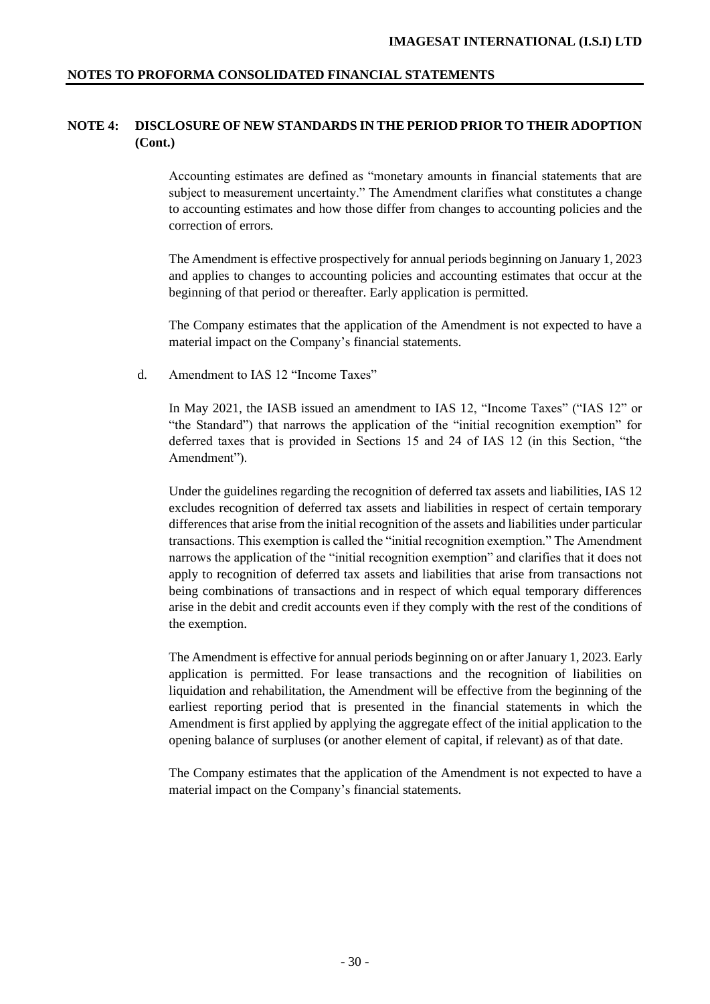# **NOTE 4: DISCLOSURE OF NEW STANDARDS IN THE PERIOD PRIOR TO THEIR ADOPTION (Cont.)**

Accounting estimates are defined as "monetary amounts in financial statements that are subject to measurement uncertainty." The Amendment clarifies what constitutes a change to accounting estimates and how those differ from changes to accounting policies and the correction of errors.

The Amendment is effective prospectively for annual periods beginning on January 1, 2023 and applies to changes to accounting policies and accounting estimates that occur at the beginning of that period or thereafter. Early application is permitted.

The Company estimates that the application of the Amendment is not expected to have a material impact on the Company's financial statements.

### d. Amendment to IAS 12 "Income Taxes"

In May 2021, the IASB issued an amendment to IAS 12, "Income Taxes" ("IAS 12" or "the Standard") that narrows the application of the "initial recognition exemption" for deferred taxes that is provided in Sections 15 and 24 of IAS 12 (in this Section, "the Amendment").

Under the guidelines regarding the recognition of deferred tax assets and liabilities, IAS 12 excludes recognition of deferred tax assets and liabilities in respect of certain temporary differences that arise from the initial recognition of the assets and liabilities under particular transactions. This exemption is called the "initial recognition exemption." The Amendment narrows the application of the "initial recognition exemption" and clarifies that it does not apply to recognition of deferred tax assets and liabilities that arise from transactions not being combinations of transactions and in respect of which equal temporary differences arise in the debit and credit accounts even if they comply with the rest of the conditions of the exemption.

The Amendment is effective for annual periods beginning on or after January 1, 2023. Early application is permitted. For lease transactions and the recognition of liabilities on liquidation and rehabilitation, the Amendment will be effective from the beginning of the earliest reporting period that is presented in the financial statements in which the Amendment is first applied by applying the aggregate effect of the initial application to the opening balance of surpluses (or another element of capital, if relevant) as of that date.

The Company estimates that the application of the Amendment is not expected to have a material impact on the Company's financial statements.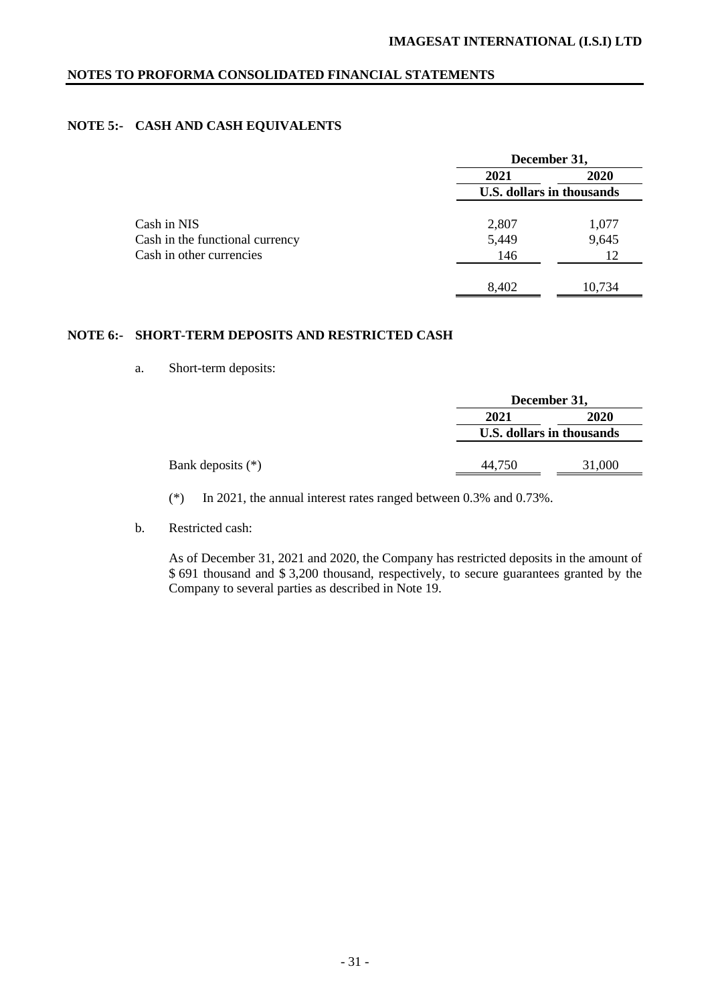# **NOTE 5:- CASH AND CASH EQUIVALENTS**

|                                 | December 31,                     |        |
|---------------------------------|----------------------------------|--------|
|                                 | 2021                             | 2020   |
|                                 | <b>U.S. dollars in thousands</b> |        |
|                                 |                                  |        |
| Cash in NIS                     | 2,807                            | 1,077  |
| Cash in the functional currency | 5,449                            | 9,645  |
| Cash in other currencies        | 146                              | 12     |
|                                 |                                  |        |
|                                 | 8,402                            | 10,734 |

# **NOTE 6:- SHORT-TERM DEPOSITS AND RESTRICTED CASH**

a. Short-term deposits:

|                     |        | December 31,              |  |  |
|---------------------|--------|---------------------------|--|--|
|                     | 2021   | 2020                      |  |  |
|                     |        | U.S. dollars in thousands |  |  |
| Bank deposits $(*)$ | 44,750 | 31,000                    |  |  |

(\*) In 2021, the annual interest rates ranged between 0.3% and 0.73%.

b. Restricted cash:

As of December 31, 2021 and 2020, the Company has restricted deposits in the amount of \$ 691 thousand and \$ 3,200 thousand, respectively, to secure guarantees granted by the Company to several parties as described in Note 19.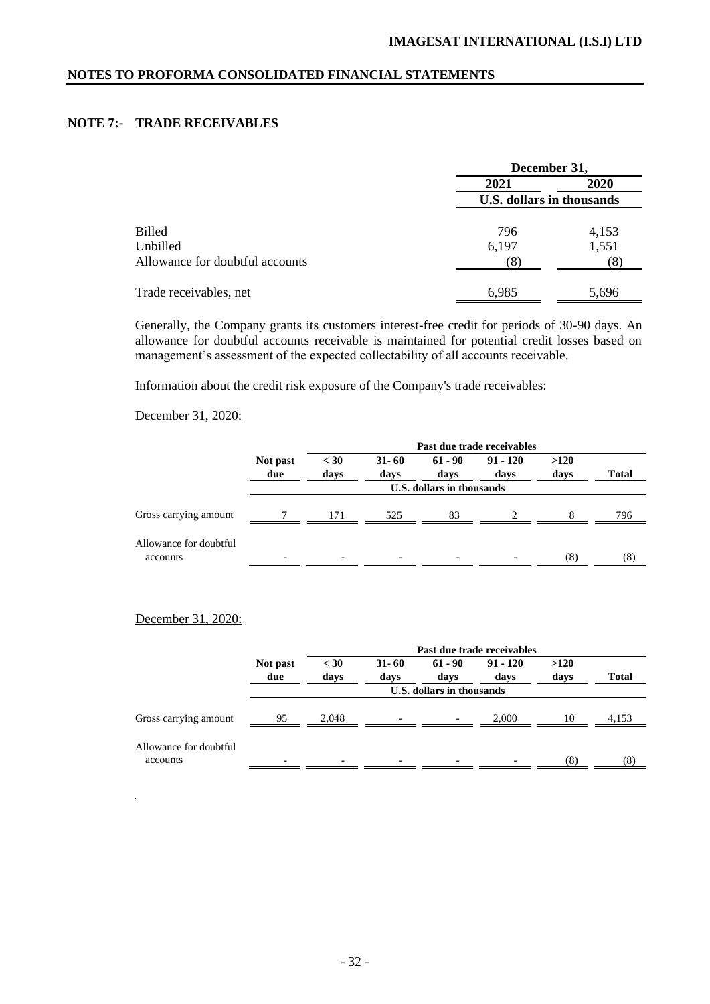# **NOTE 7:- TRADE RECEIVABLES**

|                                 |                           | December 31, |  |  |  |
|---------------------------------|---------------------------|--------------|--|--|--|
|                                 | 2021                      | <b>2020</b>  |  |  |  |
|                                 | U.S. dollars in thousands |              |  |  |  |
|                                 |                           |              |  |  |  |
| <b>Billed</b>                   | 796                       | 4,153        |  |  |  |
| Unbilled                        | 6,197                     | 1,551        |  |  |  |
| Allowance for doubtful accounts | 8                         | (8)          |  |  |  |
|                                 |                           |              |  |  |  |
| Trade receivables, net          | 6,985                     | 5,696        |  |  |  |

Generally, the Company grants its customers interest-free credit for periods of 30-90 days. An allowance for doubtful accounts receivable is maintained for potential credit losses based on management's assessment of the expected collectability of all accounts receivable.

Information about the credit risk exposure of the Company's trade receivables:

# December 31, 2020:

|                                    |                           | Past due trade receivables |                   |                   |                    |              |              |  |  |
|------------------------------------|---------------------------|----------------------------|-------------------|-------------------|--------------------|--------------|--------------|--|--|
|                                    | Not past<br>due           | $<$ 30<br>days             | $31 - 60$<br>days | $61 - 90$<br>days | $91 - 120$<br>days | >120<br>days | <b>Total</b> |  |  |
|                                    | U.S. dollars in thousands |                            |                   |                   |                    |              |              |  |  |
| Gross carrying amount              |                           | 171                        | 525               | 83                |                    | 8            | 796          |  |  |
| Allowance for doubtful<br>accounts |                           |                            |                   |                   |                    | (8)          | (8)          |  |  |

# December 31, 2020:

|                        |                           | Past due trade receivables |                   |                          |                    |              |              |  |
|------------------------|---------------------------|----------------------------|-------------------|--------------------------|--------------------|--------------|--------------|--|
|                        | Not past<br>due           | $<$ 30<br>days             | $31 - 60$<br>days | $61 - 90$<br>days        | $91 - 120$<br>days | >120<br>days | <b>Total</b> |  |
|                        | U.S. dollars in thousands |                            |                   |                          |                    |              |              |  |
| Gross carrying amount  | 95                        | 2.048                      |                   | $\overline{\phantom{0}}$ | 2.000              | 10           | 4,153        |  |
| Allowance for doubtful |                           |                            |                   |                          |                    |              |              |  |
| accounts               |                           | $\overline{\phantom{0}}$   |                   |                          |                    | (8)          | (8)          |  |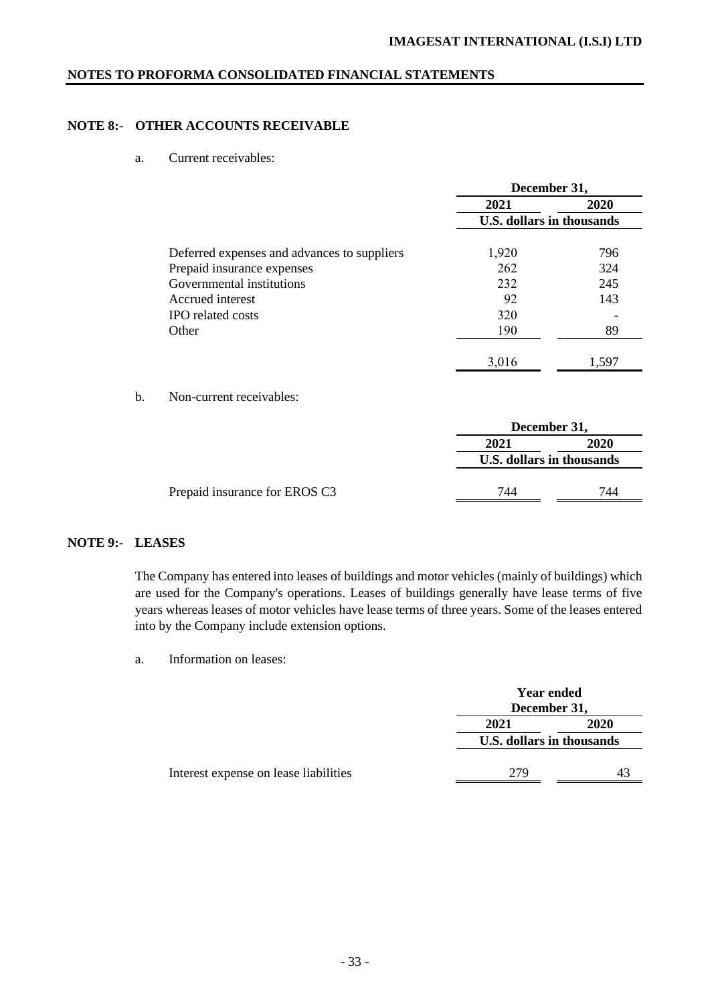# **NOTE 8:- OTHER ACCOUNTS RECEIVABLE**

a. Current receivables:

|                                             | December 31,                     |       |  |
|---------------------------------------------|----------------------------------|-------|--|
|                                             | 2021                             | 2020  |  |
|                                             | <b>U.S. dollars in thousands</b> |       |  |
| Deferred expenses and advances to suppliers | 1,920                            | 796   |  |
| Prepaid insurance expenses                  | 262                              | 324   |  |
| Governmental institutions                   | 232                              | 245   |  |
| Accrued interest                            | 92                               | 143   |  |
| <b>IPO</b> related costs                    | 320                              |       |  |
| Other                                       | 190                              | 89    |  |
|                                             |                                  |       |  |
|                                             | 3,016                            | 1,597 |  |

b. Non-current receivables:

|                               | December 31,              |      |
|-------------------------------|---------------------------|------|
|                               | 2021                      | 2020 |
|                               | U.S. dollars in thousands |      |
|                               |                           |      |
| Prepaid insurance for EROS C3 | 744                       | 744  |

# **NOTE 9:- LEASES**

The Company has entered into leases of buildings and motor vehicles (mainly of buildings) which are used for the Company's operations. Leases of buildings generally have lease terms of five years whereas leases of motor vehicles have lease terms of three years. Some of the leases entered into by the Company include extension options.

a. Information on leases:

|                                       | <b>Year ended</b><br>December 31, |             |
|---------------------------------------|-----------------------------------|-------------|
|                                       | 2021                              | <b>2020</b> |
|                                       | U.S. dollars in thousands         |             |
| Interest expense on lease liabilities | 279                               |             |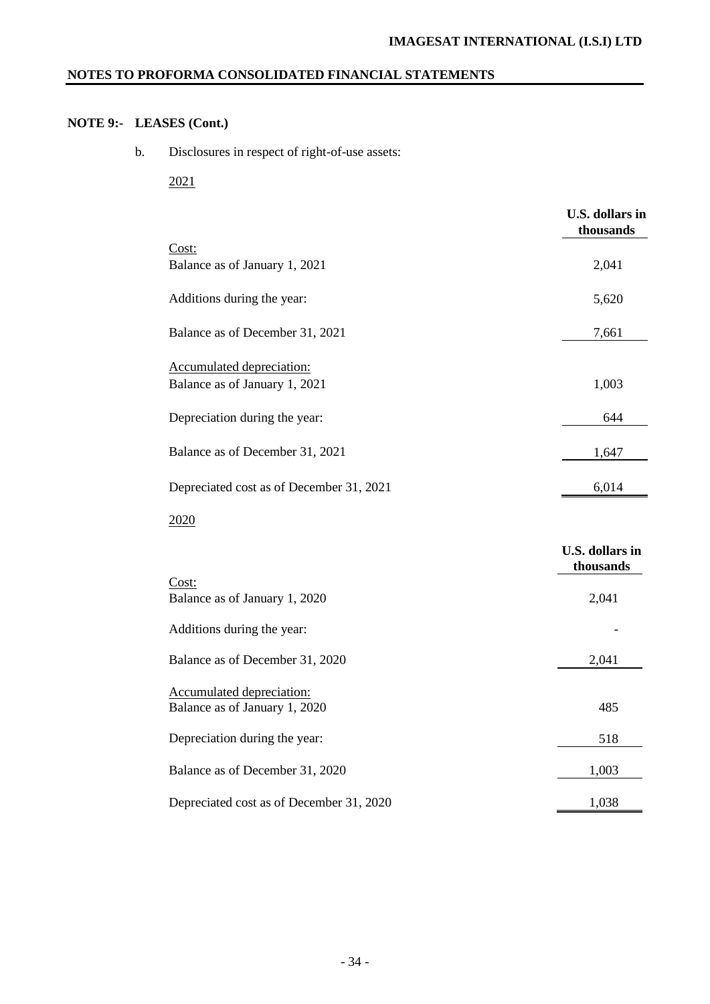# **NOTE 9:- LEASES (Cont.)**

b. Disclosures in respect of right-of-use assets:

2021

|                                          | <b>U.S. dollars in</b><br>thousands |
|------------------------------------------|-------------------------------------|
| Cost:                                    |                                     |
| Balance as of January 1, 2021            | 2,041                               |
| Additions during the year:               | 5,620                               |
| Balance as of December 31, 2021          | 7,661                               |
|                                          |                                     |
| Accumulated depreciation:                |                                     |
| Balance as of January 1, 2021            | 1,003                               |
| Depreciation during the year:            | 644                                 |
|                                          |                                     |
| Balance as of December 31, 2021          | 1,647                               |
|                                          |                                     |
| Depreciated cost as of December 31, 2021 | 6,014                               |
| 2020                                     |                                     |
|                                          | <b>U.S. dollars in</b>              |
|                                          | thousands                           |
| Cost:<br>Balance as of January 1, 2020   | 2,041                               |
|                                          |                                     |
| Additions during the year:               |                                     |
| Balance as of December 31, 2020          | 2,041                               |
|                                          |                                     |
| Accumulated depreciation:                |                                     |
| Balance as of January 1, 2020            | 485                                 |
| Depreciation during the year:            | 518                                 |
|                                          |                                     |
| Balance as of December 31, 2020          | 1,003                               |
| Depreciated cost as of December 31, 2020 | 1,038                               |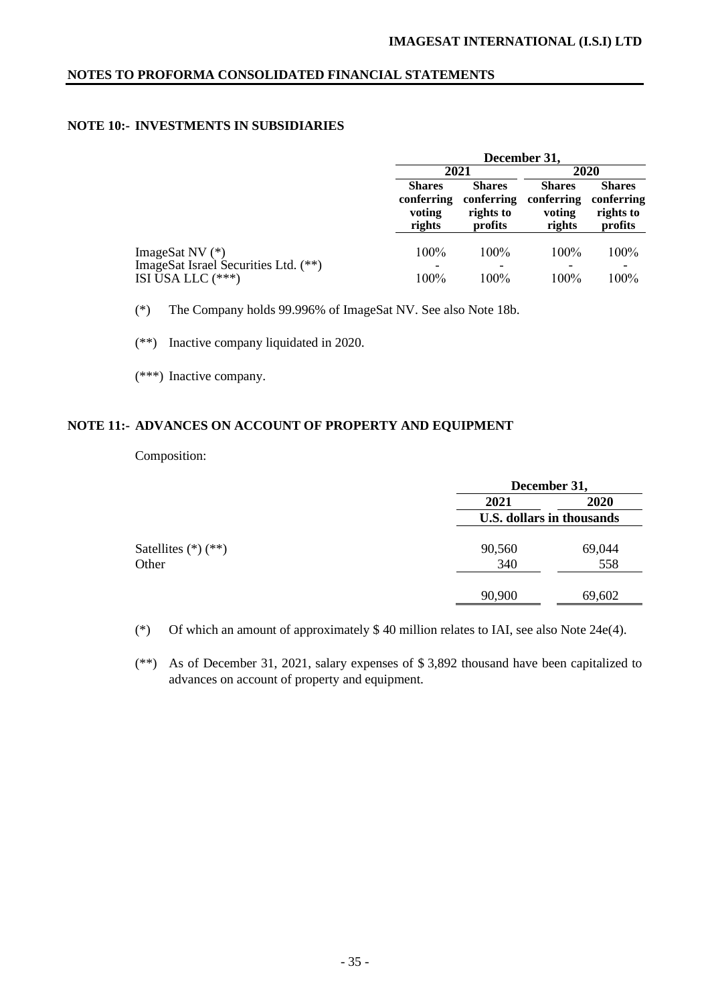# **NOTE 10:- INVESTMENTS IN SUBSIDIARIES**

|                                                         | December 31,                                    |                                                     |                                                 |                                                     |  |
|---------------------------------------------------------|-------------------------------------------------|-----------------------------------------------------|-------------------------------------------------|-----------------------------------------------------|--|
|                                                         | 2021                                            |                                                     | 2020                                            |                                                     |  |
|                                                         | <b>Shares</b><br>conferring<br>voting<br>rights | <b>Shares</b><br>conferring<br>rights to<br>profits | <b>Shares</b><br>conferring<br>voting<br>rights | <b>Shares</b><br>conferring<br>rights to<br>profits |  |
| ImageSat NV (*)<br>ImageSat Israel Securities Ltd. (**) | 100%                                            | $100\%$                                             | $100\%$                                         | 100%                                                |  |
| ISI USA LLC (***)                                       | 100%                                            | 100%                                                | 100%                                            | 100%                                                |  |

(\*) The Company holds 99.996% of ImageSat NV. See also Note 18b.

(\*\*) Inactive company liquidated in 2020.

(\*\*\*) Inactive company.

# **NOTE 11:- ADVANCES ON ACCOUNT OF PROPERTY AND EQUIPMENT**

Composition:

|                         | December 31,                     |        |  |  |  |
|-------------------------|----------------------------------|--------|--|--|--|
|                         | 2021                             | 2020   |  |  |  |
|                         | <b>U.S. dollars in thousands</b> |        |  |  |  |
| Satellites $(*)$ $(**)$ | 90,560                           | 69,044 |  |  |  |
| Other                   | 340                              | 558    |  |  |  |
|                         | 90,900                           | 69,602 |  |  |  |

(\*) Of which an amount of approximately \$ 40 million relates to IAI, see also Note 24e(4).

(\*\*) As of December 31, 2021, salary expenses of \$ 3,892 thousand have been capitalized to advances on account of property and equipment.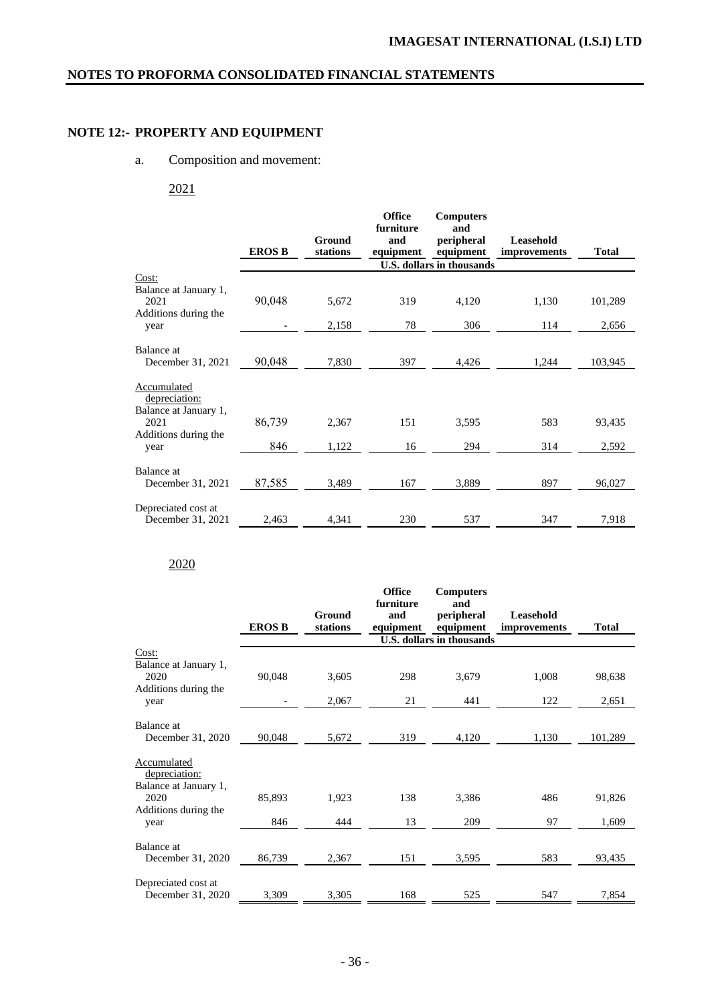# **NOTE 12:- PROPERTY AND EQUIPMENT**

# a. Composition and movement:

2021

|                                                                                                                                                                                                                     |                                   |                                           | <b>Office</b>                 | <b>Computers</b>                      |                            |                   |
|---------------------------------------------------------------------------------------------------------------------------------------------------------------------------------------------------------------------|-----------------------------------|-------------------------------------------|-------------------------------|---------------------------------------|----------------------------|-------------------|
|                                                                                                                                                                                                                     |                                   |                                           | furniture                     | and                                   |                            |                   |
|                                                                                                                                                                                                                     |                                   | Ground                                    | and                           | peripheral                            | Leasehold                  |                   |
|                                                                                                                                                                                                                     | <b>EROS B</b>                     | stations                                  | equipment                     | equipment                             | improvements               | <b>Total</b>      |
|                                                                                                                                                                                                                     |                                   |                                           |                               | <b>U.S. dollars in thousands</b>      |                            |                   |
| Cost:                                                                                                                                                                                                               |                                   |                                           |                               |                                       |                            |                   |
| Balance at January 1,                                                                                                                                                                                               |                                   |                                           |                               |                                       |                            |                   |
| 2021                                                                                                                                                                                                                | 90,048                            | 5,672                                     | 319                           | 4,120                                 | 1,130                      | 101,289           |
|                                                                                                                                                                                                                     |                                   |                                           |                               |                                       |                            |                   |
|                                                                                                                                                                                                                     |                                   |                                           |                               |                                       |                            | 2,656             |
|                                                                                                                                                                                                                     |                                   |                                           |                               |                                       |                            |                   |
|                                                                                                                                                                                                                     |                                   |                                           |                               |                                       |                            |                   |
|                                                                                                                                                                                                                     |                                   |                                           |                               |                                       |                            |                   |
|                                                                                                                                                                                                                     |                                   |                                           |                               |                                       |                            |                   |
|                                                                                                                                                                                                                     |                                   |                                           |                               |                                       |                            |                   |
|                                                                                                                                                                                                                     |                                   |                                           |                               |                                       |                            |                   |
|                                                                                                                                                                                                                     |                                   |                                           |                               |                                       |                            |                   |
|                                                                                                                                                                                                                     |                                   |                                           |                               |                                       |                            |                   |
|                                                                                                                                                                                                                     |                                   |                                           |                               |                                       |                            | 2,592             |
|                                                                                                                                                                                                                     |                                   |                                           |                               |                                       |                            |                   |
| Balance at                                                                                                                                                                                                          |                                   |                                           |                               |                                       |                            |                   |
|                                                                                                                                                                                                                     |                                   |                                           |                               |                                       | 897                        | 96,027            |
|                                                                                                                                                                                                                     |                                   |                                           |                               |                                       |                            |                   |
|                                                                                                                                                                                                                     |                                   |                                           |                               |                                       |                            |                   |
| December 31, 2021                                                                                                                                                                                                   | 2,463                             | 4,341                                     | 230                           | 537                                   | 347                        | 7,918             |
| Additions during the<br>year<br>Balance at<br>December 31, 2021<br>Accumulated<br><u>depreciation:</u><br>Balance at January 1,<br>2021<br>Additions during the<br>year<br>December 31, 2021<br>Depreciated cost at | 90,048<br>86,739<br>846<br>87,585 | 2,158<br>7,830<br>2,367<br>1,122<br>3,489 | 78<br>397<br>151<br>16<br>167 | 306<br>4,426<br>3,595<br>294<br>3,889 | 114<br>1,244<br>583<br>314 | 103,945<br>93,435 |

# 2020

|                                                       | <b>EROS B</b> | Ground<br>stations | <b>Office</b><br>furniture<br>and<br>equipment | <b>Computers</b><br>and<br>peripheral<br>equipment | Leasehold<br>improvements | <b>Total</b> |
|-------------------------------------------------------|---------------|--------------------|------------------------------------------------|----------------------------------------------------|---------------------------|--------------|
|                                                       |               |                    |                                                | <b>U.S. dollars in thousands</b>                   |                           |              |
| Cost:<br>Balance at January 1,                        |               |                    |                                                |                                                    |                           |              |
| 2020<br>Additions during the                          | 90,048        | 3,605              | 298                                            | 3,679                                              | 1,008                     | 98,638       |
| year                                                  |               | 2,067              | 21                                             | 441                                                | 122                       | 2,651        |
| Balance at<br>December 31, 2020                       | 90,048        | 5,672              | 319                                            | 4,120                                              | 1,130                     | 101,289      |
| Accumulated<br>depreciation:                          |               |                    |                                                |                                                    |                           |              |
| Balance at January 1,<br>2020<br>Additions during the | 85,893        | 1,923              | 138                                            | 3,386                                              | 486                       | 91,826       |
| year                                                  | 846           | 444                | 13                                             | 209                                                | 97                        | 1,609        |
| Balance at                                            |               |                    |                                                |                                                    |                           |              |
| December 31, 2020                                     | 86,739        | 2,367              | 151                                            | 3,595                                              | 583                       | 93,435       |
| Depreciated cost at<br>December 31, 2020              | 3,309         | 3,305              | 168                                            | 525                                                | 547                       | 7,854        |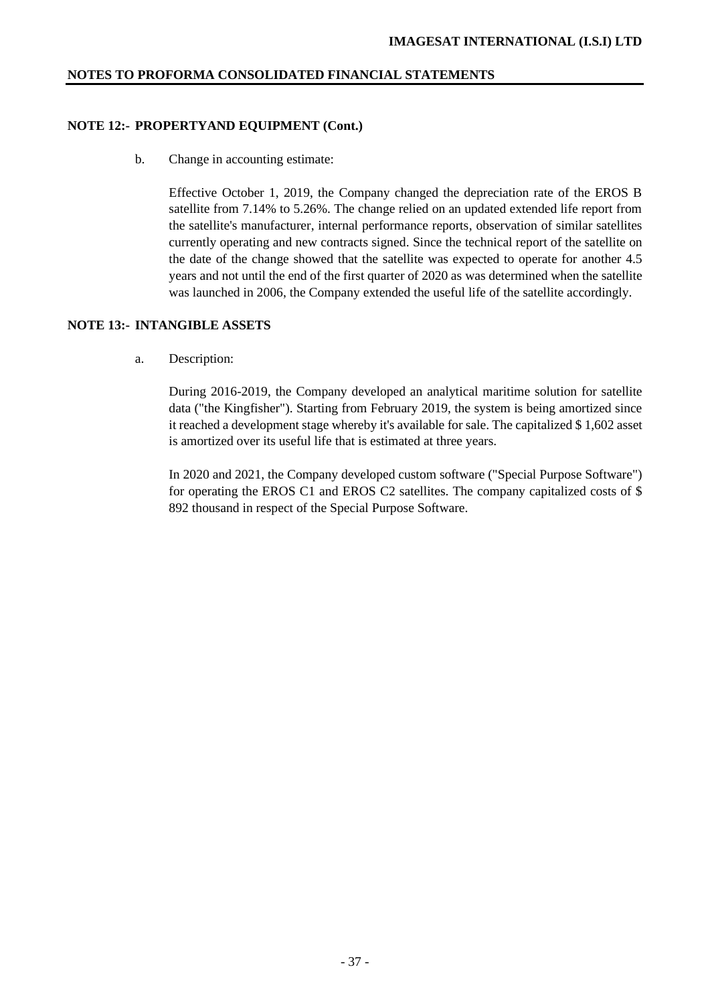# **NOTE 12:- PROPERTYAND EQUIPMENT (Cont.)**

b. Change in accounting estimate:

Effective October 1, 2019, the Company changed the depreciation rate of the EROS B satellite from 7.14% to 5.26%. The change relied on an updated extended life report from the satellite's manufacturer, internal performance reports, observation of similar satellites currently operating and new contracts signed. Since the technical report of the satellite on the date of the change showed that the satellite was expected to operate for another 4.5 years and not until the end of the first quarter of 2020 as was determined when the satellite was launched in 2006, the Company extended the useful life of the satellite accordingly.

## **NOTE 13:- INTANGIBLE ASSETS**

a. Description:

During 2016-2019, the Company developed an analytical maritime solution for satellite data ("the Kingfisher"). Starting from February 2019, the system is being amortized since it reached a development stage whereby it's available for sale. The capitalized \$ 1,602 asset is amortized over its useful life that is estimated at three years.

In 2020 and 2021, the Company developed custom software ("Special Purpose Software") for operating the EROS C1 and EROS C2 satellites. The company capitalized costs of \$ 892 thousand in respect of the Special Purpose Software.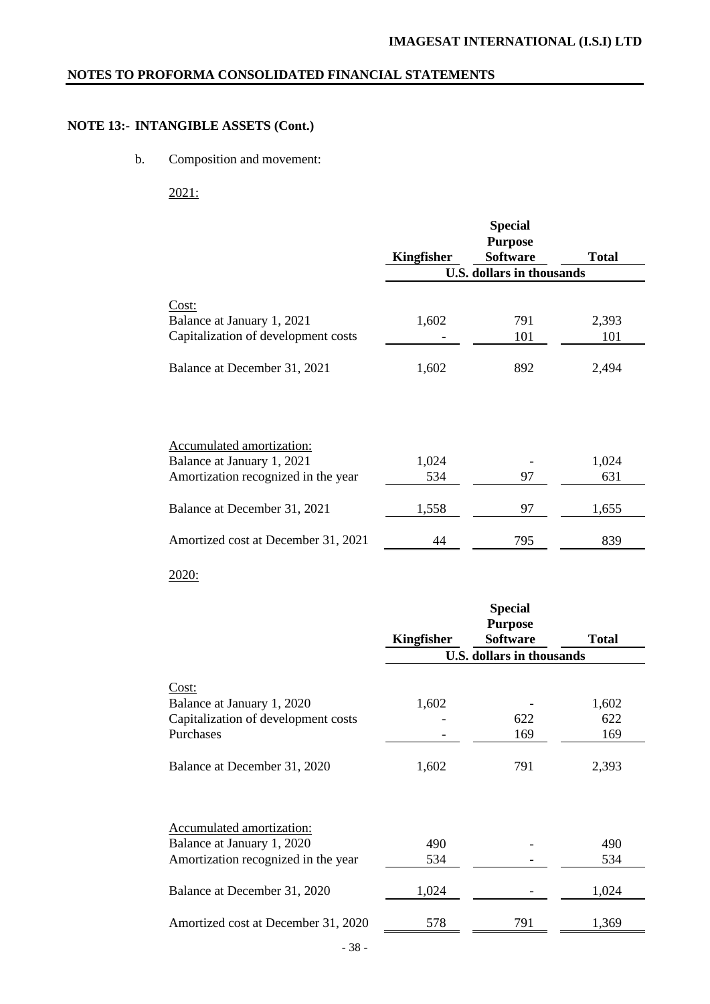# **NOTE 13:- INTANGIBLE ASSETS (Cont.)**

b. Composition and movement:

2021:

|                                     |            | <b>Special</b>                    |              |
|-------------------------------------|------------|-----------------------------------|--------------|
|                                     | Kingfisher | <b>Purpose</b><br><b>Software</b> | <b>Total</b> |
|                                     |            | <b>U.S. dollars in thousands</b>  |              |
| Cost:                               |            |                                   |              |
| Balance at January 1, 2021          | 1,602      | 791                               | 2,393        |
| Capitalization of development costs |            | 101                               | 101          |
| Balance at December 31, 2021        | 1,602      | 892                               | 2,494        |
| Accumulated amortization:           |            |                                   |              |
| Balance at January 1, 2021          | 1,024      |                                   | 1,024        |
| Amortization recognized in the year | 534        | 97                                | 631          |
| Balance at December 31, 2021        | 1,558      | 97                                | 1,655        |
| Amortized cost at December 31, 2021 | 44         | 795                               | 839          |

# 2020:

|                                     |            | <b>Special</b><br><b>Purpose</b> |              |
|-------------------------------------|------------|----------------------------------|--------------|
|                                     | Kingfisher | <b>Software</b>                  | <b>Total</b> |
|                                     |            | <b>U.S. dollars in thousands</b> |              |
| Cost:                               |            |                                  |              |
| Balance at January 1, 2020          | 1,602      |                                  | 1,602        |
| Capitalization of development costs |            | 622                              | 622          |
| Purchases                           |            | 169                              | 169          |
| Balance at December 31, 2020        | 1,602      | 791                              | 2,393        |
| Accumulated amortization:           |            |                                  |              |
| Balance at January 1, 2020          | 490        |                                  | 490          |
| Amortization recognized in the year | 534        |                                  | 534          |
| Balance at December 31, 2020        | 1,024      |                                  | 1,024        |
| Amortized cost at December 31, 2020 | 578        | 791                              | 1,369        |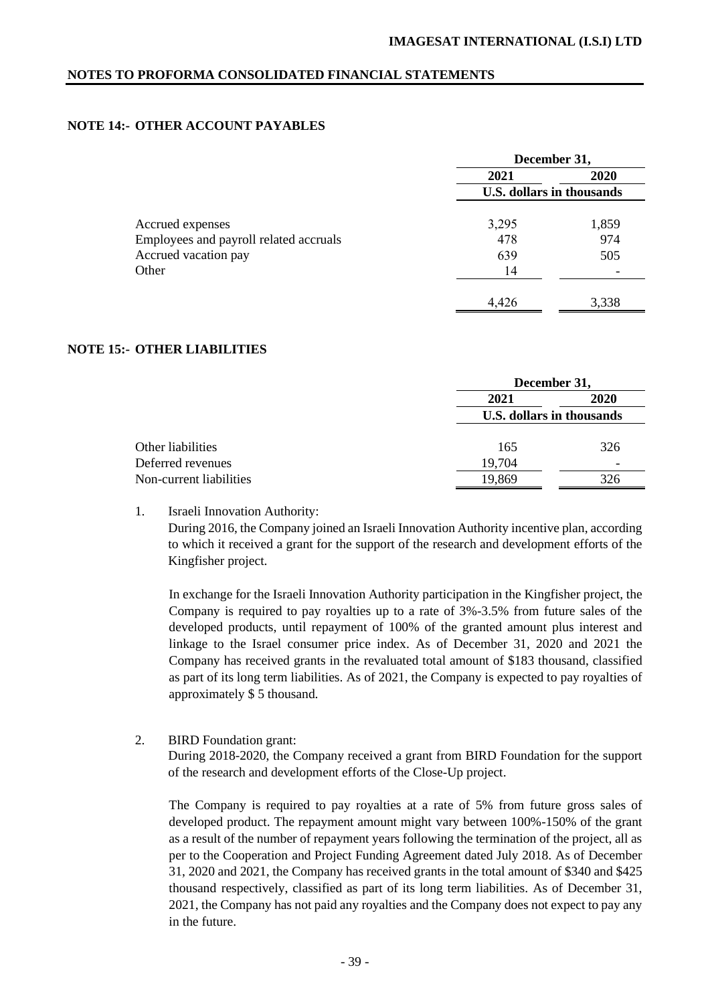# **NOTE 14:- OTHER ACCOUNT PAYABLES**

|                                        | December 31, |                           |  |
|----------------------------------------|--------------|---------------------------|--|
|                                        | 2021         | 2020                      |  |
|                                        |              | U.S. dollars in thousands |  |
| Accrued expenses                       | 3,295        | 1,859                     |  |
| Employees and payroll related accruals | 478          | 974                       |  |
| Accrued vacation pay                   | 639          | 505                       |  |
| Other                                  | 14           |                           |  |
|                                        | 4,426        | 3,338                     |  |

## **NOTE 15:- OTHER LIABILITIES**

|                         | December 31,              |      |  |
|-------------------------|---------------------------|------|--|
|                         | 2021                      | 2020 |  |
|                         | U.S. dollars in thousands |      |  |
| Other liabilities       | 165                       | 326  |  |
| Deferred revenues       | 19,704                    |      |  |
| Non-current liabilities | 19,869                    | 326  |  |

1. Israeli Innovation Authority:

During 2016, the Company joined an Israeli Innovation Authority incentive plan, according to which it received a grant for the support of the research and development efforts of the Kingfisher project.

In exchange for the Israeli Innovation Authority participation in the Kingfisher project, the Company is required to pay royalties up to a rate of 3%-3.5% from future sales of the developed products, until repayment of 100% of the granted amount plus interest and linkage to the Israel consumer price index. As of December 31, 2020 and 2021 the Company has received grants in the revaluated total amount of \$183 thousand, classified as part of its long term liabilities. As of 2021, the Company is expected to pay royalties of approximately \$ 5 thousand.

2. BIRD Foundation grant:

During 2018-2020, the Company received a grant from BIRD Foundation for the support of the research and development efforts of the Close-Up project.

The Company is required to pay royalties at a rate of 5% from future gross sales of developed product. The repayment amount might vary between 100%-150% of the grant as a result of the number of repayment years following the termination of the project, all as per to the Cooperation and Project Funding Agreement dated July 2018. As of December 31, 2020 and 2021, the Company has received grants in the total amount of \$340 and \$425 thousand respectively, classified as part of its long term liabilities. As of December 31, 2021, the Company has not paid any royalties and the Company does not expect to pay any in the future.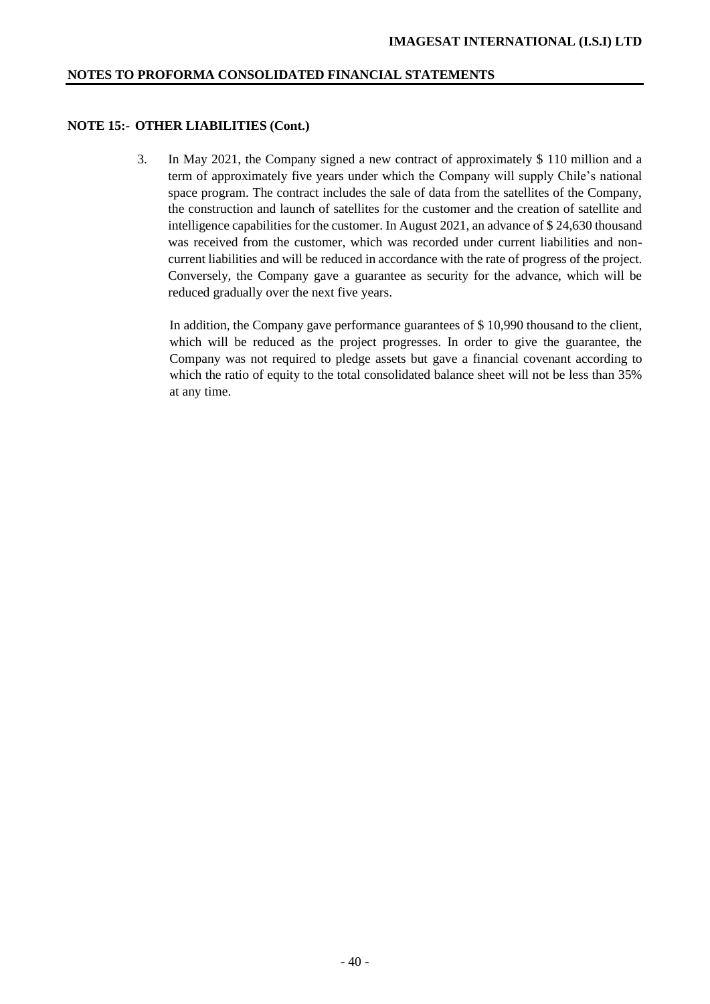#### **NOTE 15:- OTHER LIABILITIES (Cont.)**

3. In May 2021, the Company signed a new contract of approximately \$ 110 million and a term of approximately five years under which the Company will supply Chile's national space program. The contract includes the sale of data from the satellites of the Company, the construction and launch of satellites for the customer and the creation of satellite and intelligence capabilities for the customer. In August 2021, an advance of \$ 24,630 thousand was received from the customer, which was recorded under current liabilities and noncurrent liabilities and will be reduced in accordance with the rate of progress of the project. Conversely, the Company gave a guarantee as security for the advance, which will be reduced gradually over the next five years.

In addition, the Company gave performance guarantees of \$ 10,990 thousand to the client, which will be reduced as the project progresses. In order to give the guarantee, the Company was not required to pledge assets but gave a financial covenant according to which the ratio of equity to the total consolidated balance sheet will not be less than 35% at any time.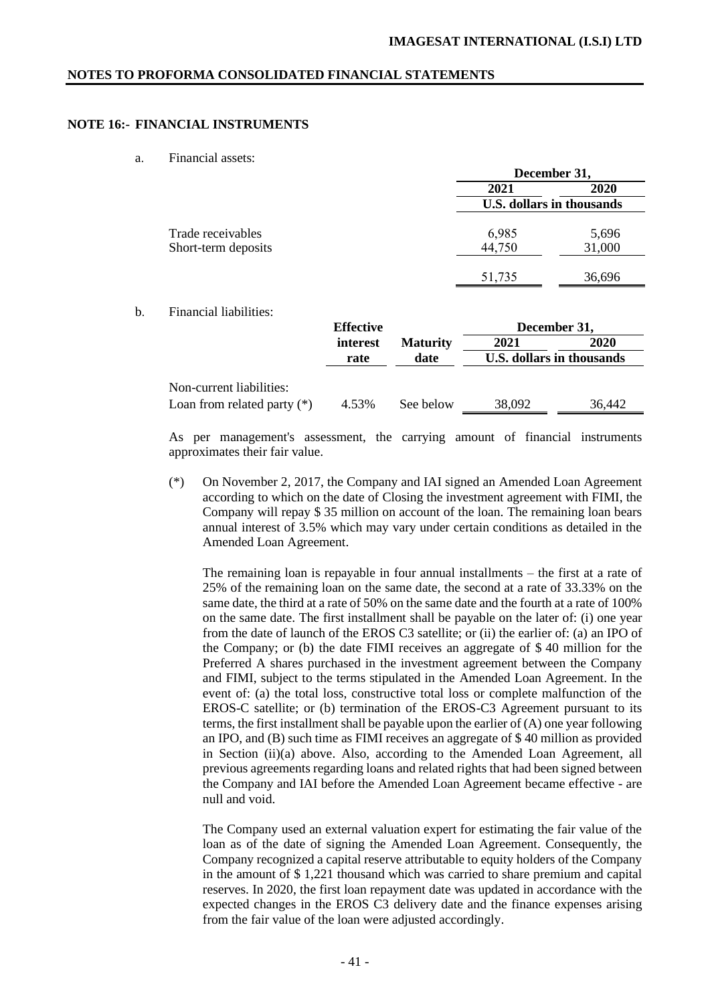## **NOTE 16:- FINANCIAL INSTRUMENTS**

a. Financial assets:

|                     | December 31,              |             |  |  |
|---------------------|---------------------------|-------------|--|--|
|                     | 2021                      | <b>2020</b> |  |  |
|                     | U.S. dollars in thousands |             |  |  |
| Trade receivables   | 6,985                     | 5,696       |  |  |
| Short-term deposits | 44,750                    | 31,000      |  |  |
|                     | 51,735                    | 36,696      |  |  |

b. Financial liabilities:

|                                                           | <b>Effective</b> |                 | December 31, |                           |  |
|-----------------------------------------------------------|------------------|-----------------|--------------|---------------------------|--|
|                                                           | interest         | <b>Maturity</b> | 2021         | 2020                      |  |
|                                                           | rate             | date            |              | U.S. dollars in thousands |  |
| Non-current liabilities:<br>Loan from related party $(*)$ | 4.53%            | See below       | 38,092       | 36.442                    |  |
|                                                           |                  |                 |              |                           |  |

As per management's assessment, the carrying amount of financial instruments approximates their fair value.

(\*) On November 2, 2017, the Company and IAI signed an Amended Loan Agreement according to which on the date of Closing the investment agreement with FIMI, the Company will repay \$ 35 million on account of the loan. The remaining loan bears annual interest of 3.5% which may vary under certain conditions as detailed in the Amended Loan Agreement.

The remaining loan is repayable in four annual installments – the first at a rate of 25% of the remaining loan on the same date, the second at a rate of 33.33% on the same date, the third at a rate of 50% on the same date and the fourth at a rate of 100% on the same date. The first installment shall be payable on the later of: (i) one year from the date of launch of the EROS C3 satellite; or (ii) the earlier of: (a) an IPO of the Company; or (b) the date FIMI receives an aggregate of \$ 40 million for the Preferred A shares purchased in the investment agreement between the Company and FIMI, subject to the terms stipulated in the Amended Loan Agreement. In the event of: (a) the total loss, constructive total loss or complete malfunction of the EROS-C satellite; or (b) termination of the EROS-C3 Agreement pursuant to its terms, the first installment shall be payable upon the earlier of (A) one year following an IPO, and (B) such time as FIMI receives an aggregate of \$ 40 million as provided in Section (ii)(a) above. Also, according to the Amended Loan Agreement, all previous agreements regarding loans and related rights that had been signed between the Company and IAI before the Amended Loan Agreement became effective - are null and void.

The Company used an external valuation expert for estimating the fair value of the loan as of the date of signing the Amended Loan Agreement. Consequently, the Company recognized a capital reserve attributable to equity holders of the Company in the amount of \$ 1,221 thousand which was carried to share premium and capital reserves. In 2020, the first loan repayment date was updated in accordance with the expected changes in the EROS C3 delivery date and the finance expenses arising from the fair value of the loan were adjusted accordingly.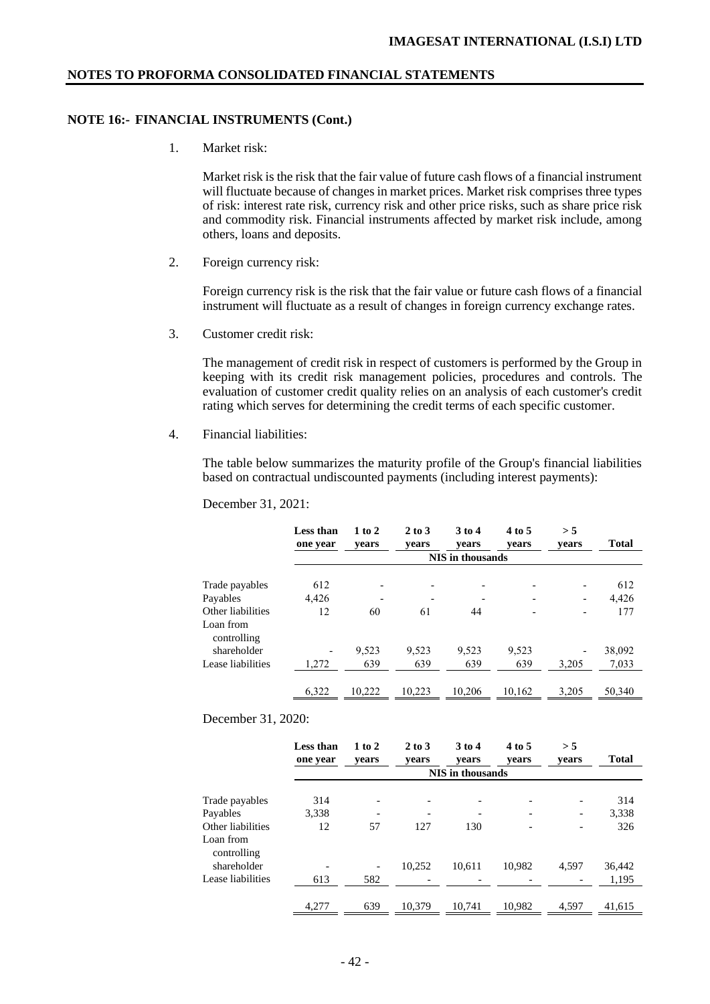#### **NOTE 16:- FINANCIAL INSTRUMENTS (Cont.)**

1. Market risk:

Market risk is the risk that the fair value of future cash flows of a financial instrument will fluctuate because of changes in market prices. Market risk comprises three types of risk: interest rate risk, currency risk and other price risks, such as share price risk and commodity risk. Financial instruments affected by market risk include, among others, loans and deposits.

2. Foreign currency risk:

Foreign currency risk is the risk that the fair value or future cash flows of a financial instrument will fluctuate as a result of changes in foreign currency exchange rates.

3. Customer credit risk:

The management of credit risk in respect of customers is performed by the Group in keeping with its credit risk management policies, procedures and controls. The evaluation of customer credit quality relies on an analysis of each customer's credit rating which serves for determining the credit terms of each specific customer.

4. Financial liabilities:

The table below summarizes the maturity profile of the Group's financial liabilities based on contractual undiscounted payments (including interest payments):

|                                               | Less than<br>one year | $1$ to $2$<br>vears      | $2$ to $3$<br>vears | $3$ to 4<br>vears | 4 to 5<br>vears          | > 5<br>vears             | <b>Total</b> |
|-----------------------------------------------|-----------------------|--------------------------|---------------------|-------------------|--------------------------|--------------------------|--------------|
|                                               |                       |                          |                     | NIS in thousands  |                          |                          |              |
| Trade payables                                | 612                   | $\overline{\phantom{0}}$ |                     |                   | $\overline{\phantom{0}}$ |                          | 612          |
| Payables                                      | 4,426                 | $\overline{\phantom{a}}$ |                     |                   |                          | $\overline{\phantom{a}}$ | 4,426        |
| Other liabilities<br>Loan from<br>controlling | 12                    | 60                       | 61                  | 44                |                          |                          | 177          |
| shareholder                                   |                       | 9,523                    | 9,523               | 9,523             | 9,523                    | $\overline{\phantom{a}}$ | 38,092       |
| Lease liabilities                             | 1,272                 | 639                      | 639                 | 639               | 639                      | 3.205                    | 7,033        |
|                                               | 6,322                 | 10.222                   | 10.223              | 10.206            | 10.162                   | 3.205                    | 50,340       |

December 31, 2020:

|                                               | Less than<br>one year | $1$ to $2$<br>vears | $2$ to $3$<br>vears | $3$ to $4$<br>vears     | 4 to 5<br>vears              | > 5<br>vears | <b>Total</b> |
|-----------------------------------------------|-----------------------|---------------------|---------------------|-------------------------|------------------------------|--------------|--------------|
|                                               |                       |                     |                     | <b>NIS</b> in thousands |                              |              |              |
| Trade payables                                | 314                   |                     |                     |                         | $\overline{\phantom{0}}$     |              | 314          |
| Payables                                      | 3,338                 |                     | $\qquad \qquad$     |                         | $\qquad \qquad \blacksquare$ |              | 3,338        |
| Other liabilities<br>Loan from<br>controlling | 12                    | 57                  | 127                 | 130                     |                              |              | 326          |
| shareholder                                   |                       |                     | 10,252              | 10.611                  | 10,982                       | 4,597        | 36,442       |
| Lease liabilities                             | 613                   | 582                 |                     |                         |                              |              | 1,195        |
|                                               | 4,277                 | 639                 | 10.379              | 10.741                  | 10.982                       | 4.597        | 41.615       |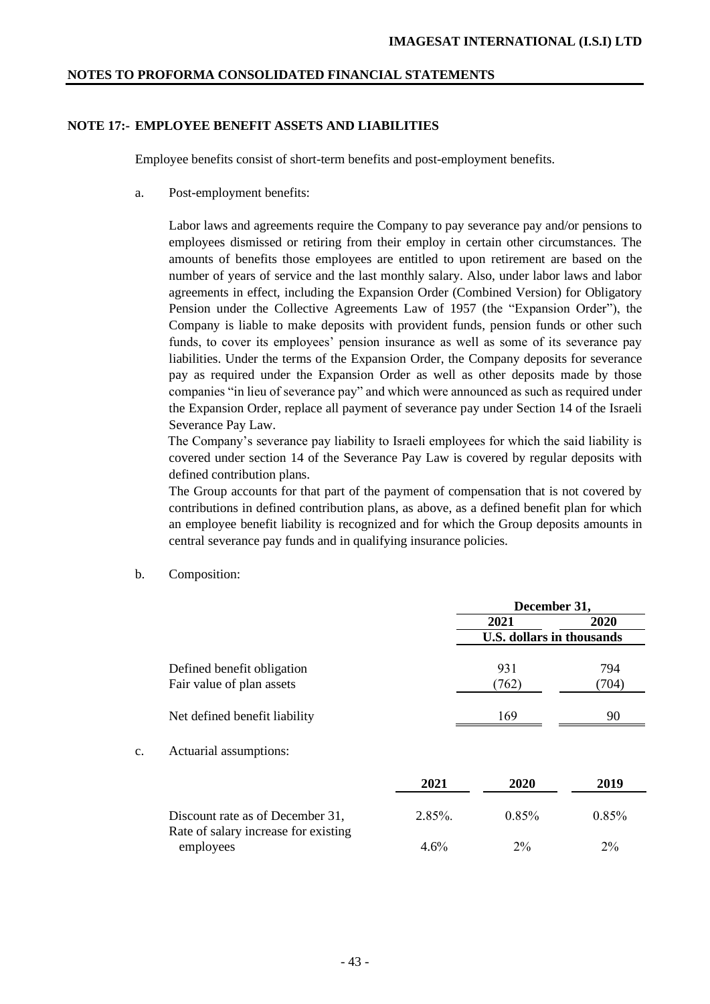# **NOTE 17:- EMPLOYEE BENEFIT ASSETS AND LIABILITIES**

Employee benefits consist of short-term benefits and post-employment benefits.

a. Post-employment benefits:

Labor laws and agreements require the Company to pay severance pay and/or pensions to employees dismissed or retiring from their employ in certain other circumstances. The amounts of benefits those employees are entitled to upon retirement are based on the number of years of service and the last monthly salary. Also, under labor laws and labor agreements in effect, including the Expansion Order (Combined Version) for Obligatory Pension under the Collective Agreements Law of 1957 (the "Expansion Order"), the Company is liable to make deposits with provident funds, pension funds or other such funds, to cover its employees' pension insurance as well as some of its severance pay liabilities. Under the terms of the Expansion Order, the Company deposits for severance pay as required under the Expansion Order as well as other deposits made by those companies "in lieu of severance pay" and which were announced as such as required under the Expansion Order, replace all payment of severance pay under Section 14 of the Israeli Severance Pay Law.

 The Company's severance pay liability to Israeli employees for which the said liability is covered under section 14 of the Severance Pay Law is covered by regular deposits with defined contribution plans.

The Group accounts for that part of the payment of compensation that is not covered by contributions in defined contribution plans, as above, as a defined benefit plan for which an employee benefit liability is recognized and for which the Group deposits amounts in central severance pay funds and in qualifying insurance policies.

- **December 31, 2021 2020 U.S. dollars in thousands** Defined benefit obligation 831 794 Fair value of plan assets  $(762)$   $(704)$ Net defined benefit liability 169 90 c. Actuarial assumptions: **2021 2020 2019** Discount rate as of December 31, 2.85%. 0.85% 0.85% Rate of salary increase for existing employees 4.6% 2% 2% 2%
- b. Composition: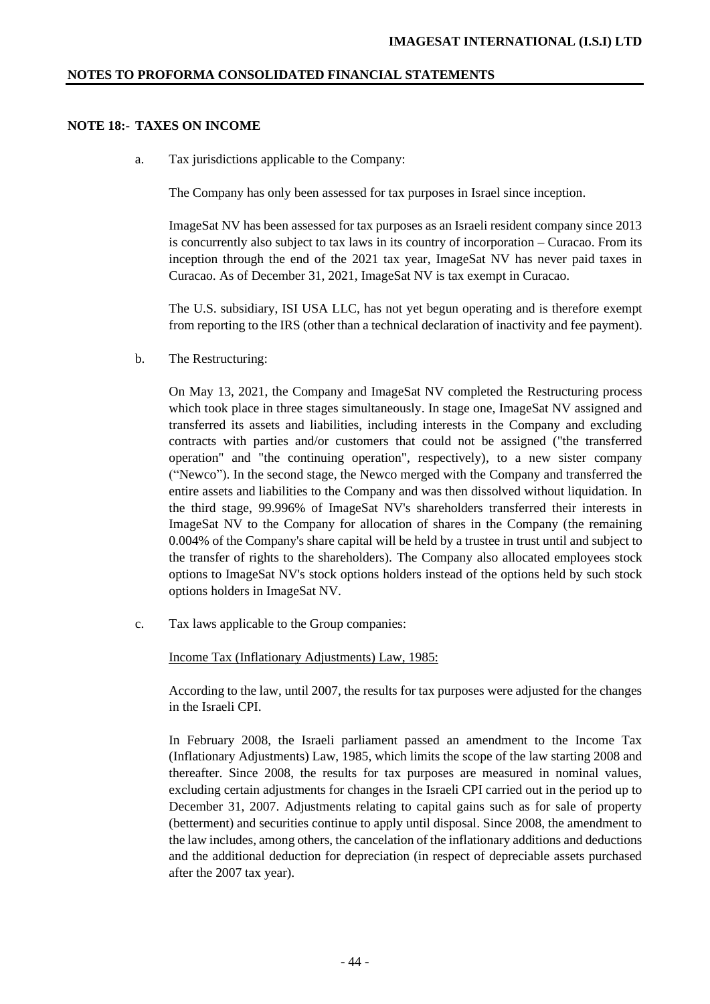# **NOTE 18:- TAXES ON INCOME**

a. Tax jurisdictions applicable to the Company:

The Company has only been assessed for tax purposes in Israel since inception.

ImageSat NV has been assessed for tax purposes as an Israeli resident company since 2013 is concurrently also subject to tax laws in its country of incorporation – Curacao. From its inception through the end of the 2021 tax year, ImageSat NV has never paid taxes in Curacao. As of December 31, 2021, ImageSat NV is tax exempt in Curacao.

The U.S. subsidiary, ISI USA LLC, has not yet begun operating and is therefore exempt from reporting to the IRS (other than a technical declaration of inactivity and fee payment).

b. The Restructuring:

On May 13, 2021, the Company and ImageSat NV completed the Restructuring process which took place in three stages simultaneously. In stage one, ImageSat NV assigned and transferred its assets and liabilities, including interests in the Company and excluding contracts with parties and/or customers that could not be assigned ("the transferred operation" and "the continuing operation", respectively), to a new sister company ("Newco"). In the second stage, the Newco merged with the Company and transferred the entire assets and liabilities to the Company and was then dissolved without liquidation. In the third stage, 99.996% of ImageSat NV's shareholders transferred their interests in ImageSat NV to the Company for allocation of shares in the Company (the remaining 0.004% of the Company's share capital will be held by a trustee in trust until and subject to the transfer of rights to the shareholders). The Company also allocated employees stock options to ImageSat NV's stock options holders instead of the options held by such stock options holders in ImageSat NV.

c. Tax laws applicable to the Group companies:

Income Tax (Inflationary Adjustments) Law, 1985:

According to the law, until 2007, the results for tax purposes were adjusted for the changes in the Israeli CPI.

In February 2008, the Israeli parliament passed an amendment to the Income Tax (Inflationary Adjustments) Law, 1985, which limits the scope of the law starting 2008 and thereafter. Since 2008, the results for tax purposes are measured in nominal values, excluding certain adjustments for changes in the Israeli CPI carried out in the period up to December 31, 2007. Adjustments relating to capital gains such as for sale of property (betterment) and securities continue to apply until disposal. Since 2008, the amendment to the law includes, among others, the cancelation of the inflationary additions and deductions and the additional deduction for depreciation (in respect of depreciable assets purchased after the 2007 tax year).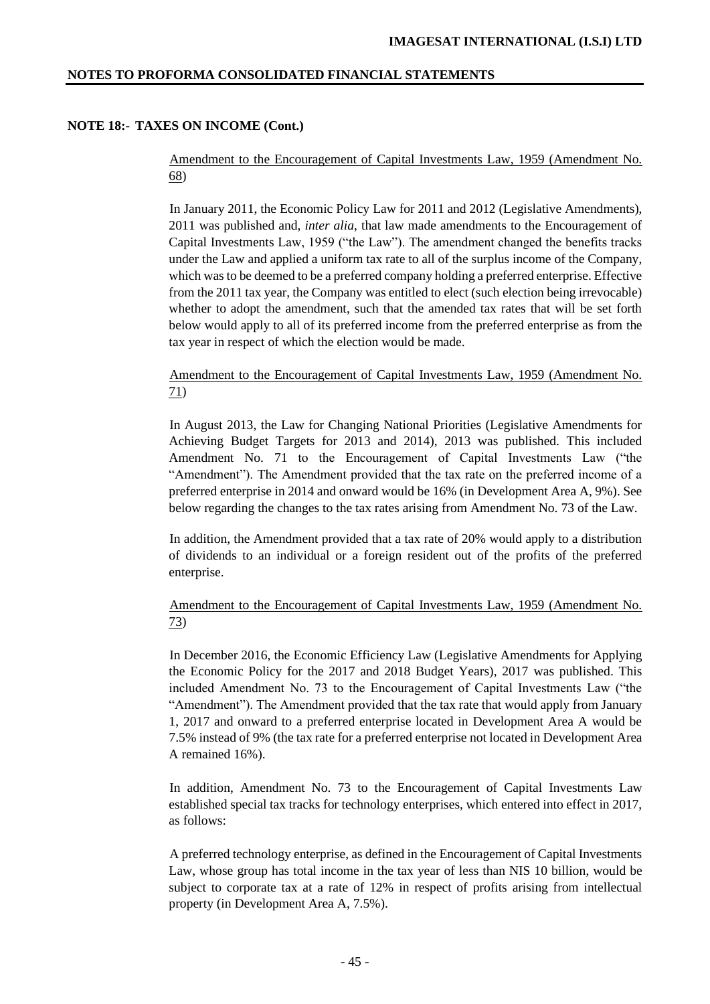# **NOTE 18:- TAXES ON INCOME (Cont.)**

Amendment to the Encouragement of Capital Investments Law, 1959 (Amendment No. 68)

In January 2011, the Economic Policy Law for 2011 and 2012 (Legislative Amendments), 2011 was published and, *inter alia*, that law made amendments to the Encouragement of Capital Investments Law, 1959 ("the Law"). The amendment changed the benefits tracks under the Law and applied a uniform tax rate to all of the surplus income of the Company, which was to be deemed to be a preferred company holding a preferred enterprise. Effective from the 2011 tax year, the Company was entitled to elect (such election being irrevocable) whether to adopt the amendment, such that the amended tax rates that will be set forth below would apply to all of its preferred income from the preferred enterprise as from the tax year in respect of which the election would be made.

# Amendment to the Encouragement of Capital Investments Law, 1959 (Amendment No. 71)

In August 2013, the Law for Changing National Priorities (Legislative Amendments for Achieving Budget Targets for 2013 and 2014), 2013 was published. This included Amendment No. 71 to the Encouragement of Capital Investments Law ("the "Amendment"). The Amendment provided that the tax rate on the preferred income of a preferred enterprise in 2014 and onward would be 16% (in Development Area A, 9%). See below regarding the changes to the tax rates arising from Amendment No. 73 of the Law.

In addition, the Amendment provided that a tax rate of 20% would apply to a distribution of dividends to an individual or a foreign resident out of the profits of the preferred enterprise.

# Amendment to the Encouragement of Capital Investments Law, 1959 (Amendment No. 73)

In December 2016, the Economic Efficiency Law (Legislative Amendments for Applying the Economic Policy for the 2017 and 2018 Budget Years), 2017 was published. This included Amendment No. 73 to the Encouragement of Capital Investments Law ("the "Amendment"). The Amendment provided that the tax rate that would apply from January 1, 2017 and onward to a preferred enterprise located in Development Area A would be 7.5% instead of 9% (the tax rate for a preferred enterprise not located in Development Area A remained 16%).

In addition, Amendment No. 73 to the Encouragement of Capital Investments Law established special tax tracks for technology enterprises, which entered into effect in 2017, as follows:

A preferred technology enterprise, as defined in the Encouragement of Capital Investments Law, whose group has total income in the tax year of less than NIS 10 billion, would be subject to corporate tax at a rate of 12% in respect of profits arising from intellectual property (in Development Area A, 7.5%).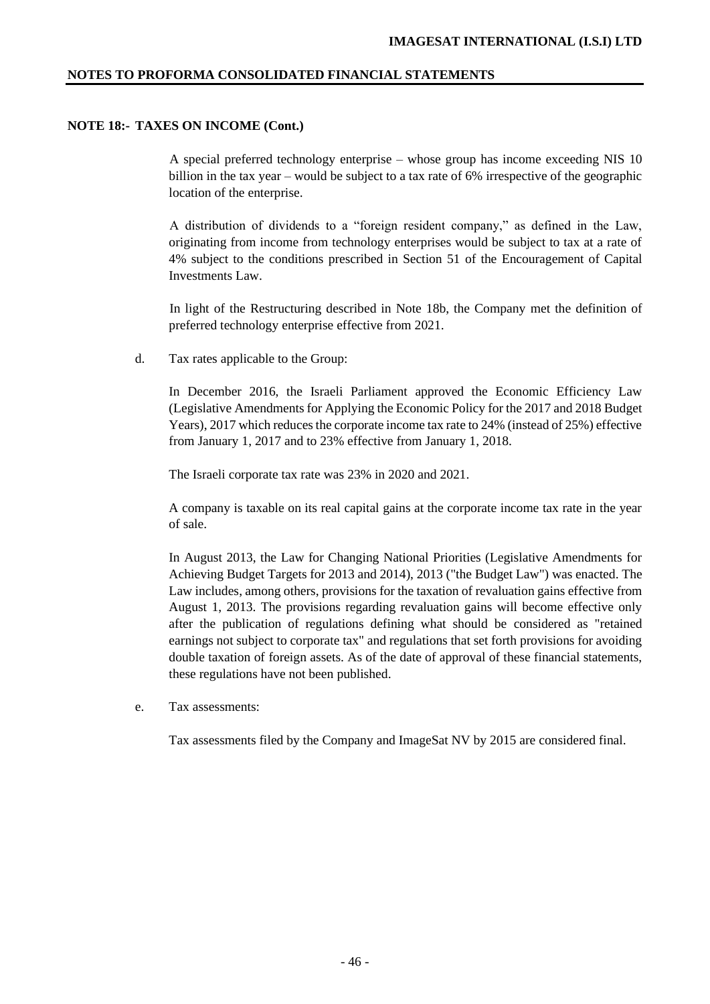## **NOTE 18:- TAXES ON INCOME (Cont.)**

A special preferred technology enterprise – whose group has income exceeding NIS 10 billion in the tax year – would be subject to a tax rate of 6% irrespective of the geographic location of the enterprise.

A distribution of dividends to a "foreign resident company," as defined in the Law, originating from income from technology enterprises would be subject to tax at a rate of 4% subject to the conditions prescribed in Section 51 of the Encouragement of Capital Investments Law.

In light of the Restructuring described in Note 18b, the Company met the definition of preferred technology enterprise effective from 2021.

d. Tax rates applicable to the Group:

In December 2016, the Israeli Parliament approved the Economic Efficiency Law (Legislative Amendments for Applying the Economic Policy for the 2017 and 2018 Budget Years), 2017 which reduces the corporate income tax rate to 24% (instead of 25%) effective from January 1, 2017 and to 23% effective from January 1, 2018.

The Israeli corporate tax rate was 23% in 2020 and 2021.

A company is taxable on its real capital gains at the corporate income tax rate in the year of sale.

In August 2013, the Law for Changing National Priorities (Legislative Amendments for Achieving Budget Targets for 2013 and 2014), 2013 ("the Budget Law") was enacted. The Law includes, among others, provisions for the taxation of revaluation gains effective from August 1, 2013. The provisions regarding revaluation gains will become effective only after the publication of regulations defining what should be considered as "retained earnings not subject to corporate tax" and regulations that set forth provisions for avoiding double taxation of foreign assets. As of the date of approval of these financial statements, these regulations have not been published.

e. Tax assessments:

Tax assessments filed by the Company and ImageSat NV by 2015 are considered final.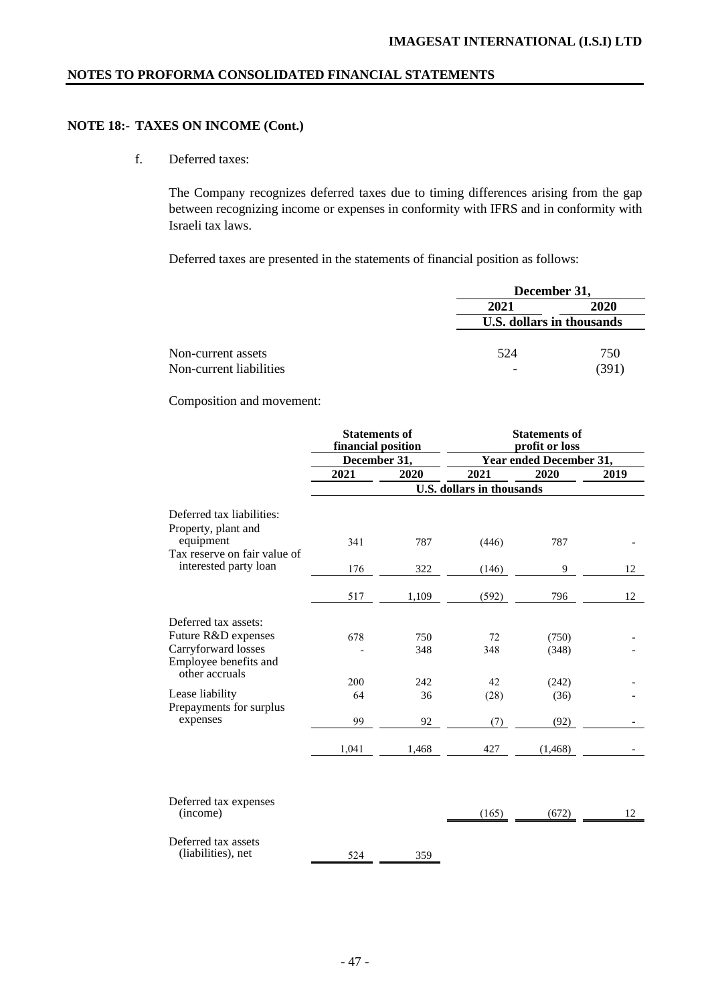# **NOTE 18:- TAXES ON INCOME (Cont.)**

f. Deferred taxes:

The Company recognizes deferred taxes due to timing differences arising from the gap between recognizing income or expenses in conformity with IFRS and in conformity with Israeli tax laws.

Deferred taxes are presented in the statements of financial position as follows:

|                         | December 31,              |      |  |
|-------------------------|---------------------------|------|--|
|                         | 2021                      | 2020 |  |
|                         | U.S. dollars in thousands |      |  |
| Non-current assets      | 524                       | 750  |  |
| Non-current liabilities | ٠                         | (391 |  |

Composition and movement:

|                              | <b>Statements of</b><br>financial position |       | <b>Statements of</b><br>profit or loss |          |      |  |
|------------------------------|--------------------------------------------|-------|----------------------------------------|----------|------|--|
|                              | December 31,                               |       | Year ended December 31,                |          |      |  |
|                              | 2021                                       | 2020  | 2021                                   | 2020     | 2019 |  |
|                              |                                            |       | <b>U.S. dollars in thousands</b>       |          |      |  |
| Deferred tax liabilities:    |                                            |       |                                        |          |      |  |
| Property, plant and          |                                            |       |                                        |          |      |  |
| equipment                    | 341                                        | 787   | (446)                                  | 787      |      |  |
| Tax reserve on fair value of |                                            |       |                                        |          |      |  |
| interested party loan        | 176                                        | 322   | (146)                                  | 9        | 12   |  |
|                              | 517                                        | 1,109 | (592)                                  | 796      | 12   |  |
| Deferred tax assets:         |                                            |       |                                        |          |      |  |
| Future R&D expenses          | 678                                        | 750   | 72                                     | (750)    |      |  |
| Carryforward losses          |                                            | 348   | 348                                    | (348)    |      |  |
| Employee benefits and        |                                            |       |                                        |          |      |  |
| other accruals               | 200                                        | 242   | 42                                     | (242)    |      |  |
| Lease liability              | 64                                         | 36    | (28)                                   | (36)     |      |  |
| Prepayments for surplus      |                                            |       |                                        |          |      |  |
| expenses                     | 99                                         | 92    | (7)                                    | (92)     |      |  |
|                              | 1,041                                      | 1,468 | 427                                    | (1, 468) |      |  |
|                              |                                            |       |                                        |          |      |  |
| Deferred tax expenses        |                                            |       |                                        |          |      |  |
| (income)                     |                                            |       | (165)                                  | (672)    | 12   |  |
| Deferred tax assets          |                                            |       |                                        |          |      |  |
| (liabilities), net           | 524                                        | 359   |                                        |          |      |  |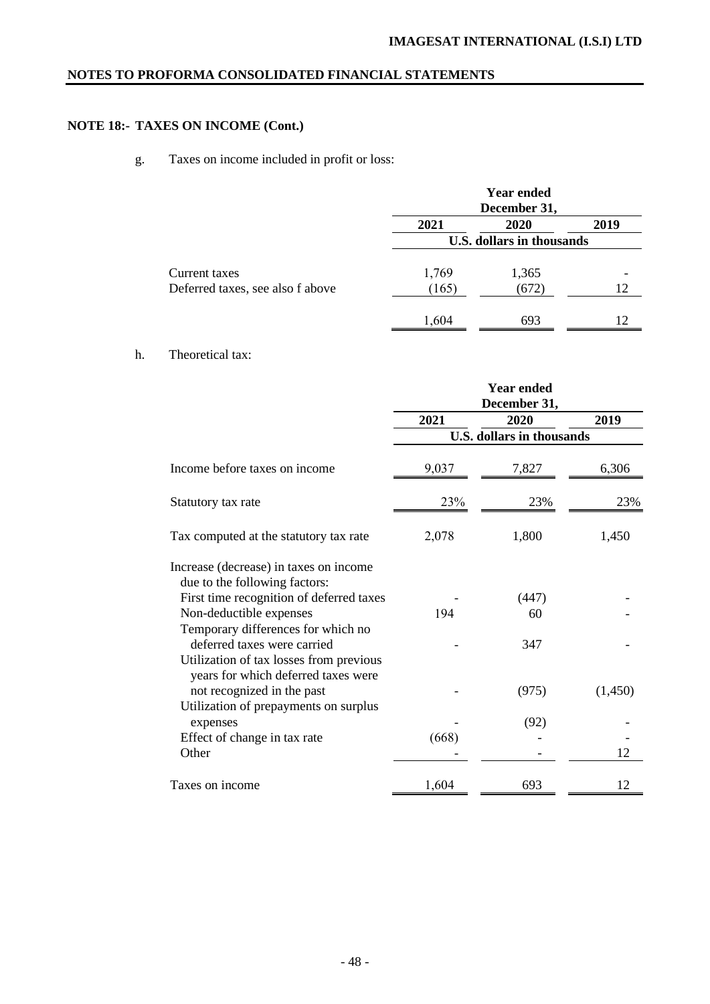# **NOTE 18:- TAXES ON INCOME (Cont.)**

# g. Taxes on income included in profit or loss:

|                                  |                           | <b>Year ended</b><br>December 31, |      |  |  |
|----------------------------------|---------------------------|-----------------------------------|------|--|--|
|                                  | 2021                      | 2020                              | 2019 |  |  |
|                                  | U.S. dollars in thousands |                                   |      |  |  |
| Current taxes                    | 1,769                     | 1,365                             |      |  |  |
| Deferred taxes, see also f above | (165)                     | (672)                             | 12   |  |  |
|                                  | 1,604                     | 693                               | 12   |  |  |

# h. Theoretical tax:

|                                                                                                              |       | <b>Year ended</b><br>December 31, |         |
|--------------------------------------------------------------------------------------------------------------|-------|-----------------------------------|---------|
|                                                                                                              | 2021  | 2020                              | 2019    |
|                                                                                                              |       | <b>U.S. dollars in thousands</b>  |         |
| Income before taxes on income                                                                                | 9,037 | 7,827                             | 6,306   |
| Statutory tax rate                                                                                           | 23%   | 23%                               | 23%     |
| Tax computed at the statutory tax rate                                                                       | 2,078 | 1,800                             | 1,450   |
| Increase (decrease) in taxes on income<br>due to the following factors:                                      |       |                                   |         |
| First time recognition of deferred taxes                                                                     |       | (447)                             |         |
| Non-deductible expenses                                                                                      | 194   | 60                                |         |
| Temporary differences for which no<br>deferred taxes were carried<br>Utilization of tax losses from previous |       | 347                               |         |
| years for which deferred taxes were<br>not recognized in the past<br>Utilization of prepayments on surplus   |       | (975)                             | (1,450) |
| expenses                                                                                                     |       | (92)                              |         |
| Effect of change in tax rate                                                                                 | (668) |                                   |         |
| Other                                                                                                        |       |                                   | 12      |
| Taxes on income                                                                                              | 1,604 | 693                               | 12      |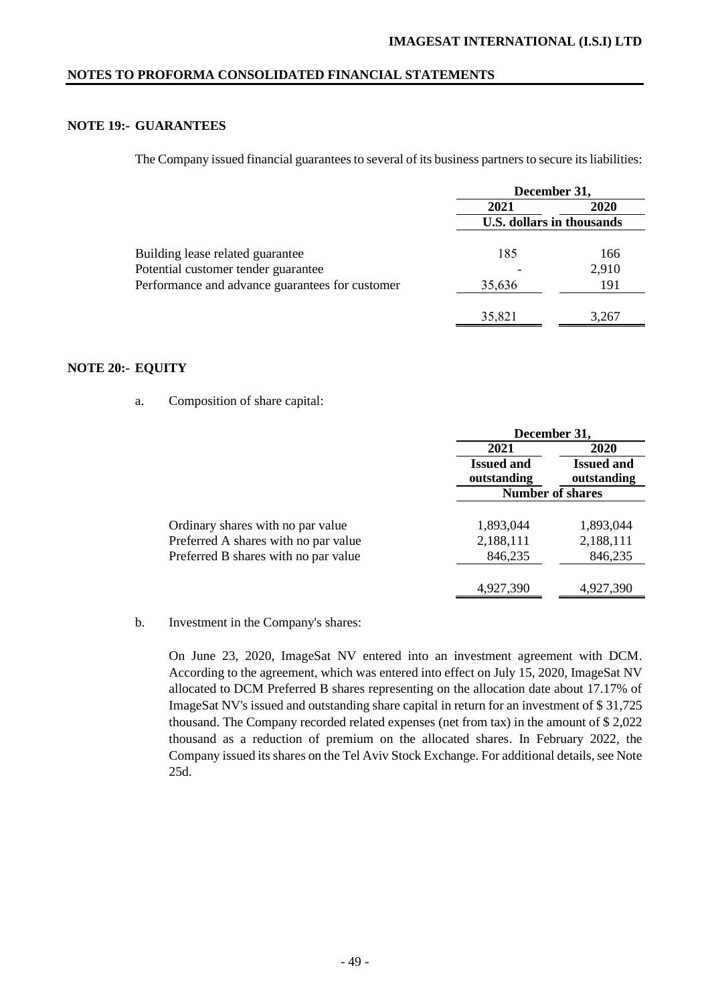# **NOTE 19:- GUARANTEES**

The Company issued financial guarantees to several of its business partners to secure its liabilities:

|                                                 | December 31,              |             |  |
|-------------------------------------------------|---------------------------|-------------|--|
|                                                 | 2021                      | <b>2020</b> |  |
|                                                 | U.S. dollars in thousands |             |  |
| Building lease related guarantee                | 185                       | 166         |  |
| Potential customer tender guarantee             |                           | 2,910       |  |
| Performance and advance guarantees for customer | 35,636                    | 191         |  |
|                                                 |                           |             |  |
|                                                 | 35,821                    | 3,267       |  |

## **NOTE 20:- EQUITY**

a. Composition of share capital:

|                                      | December 31,                     |                                  |  |
|--------------------------------------|----------------------------------|----------------------------------|--|
|                                      | 2021                             | 2020                             |  |
|                                      | <b>Issued and</b><br>outstanding | <b>Issued and</b><br>outstanding |  |
|                                      | <b>Number of shares</b>          |                                  |  |
| Ordinary shares with no par value    | 1,893,044                        | 1,893,044                        |  |
| Preferred A shares with no par value | 2,188,111                        | 2,188,111                        |  |
| Preferred B shares with no par value | 846,235                          | 846,235                          |  |
|                                      | 4,927,390                        | 4,927,390                        |  |

b. Investment in the Company's shares:

On June 23, 2020, ImageSat NV entered into an investment agreement with DCM. According to the agreement, which was entered into effect on July 15, 2020, ImageSat NV allocated to DCM Preferred B shares representing on the allocation date about 17.17% of ImageSat NV's issued and outstanding share capital in return for an investment of \$ 31,725 thousand. The Company recorded related expenses (net from tax) in the amount of \$ 2,022 thousand as a reduction of premium on the allocated shares. In February 2022, the Company issued its shares on the Tel Aviv Stock Exchange. For additional details, see Note 25d.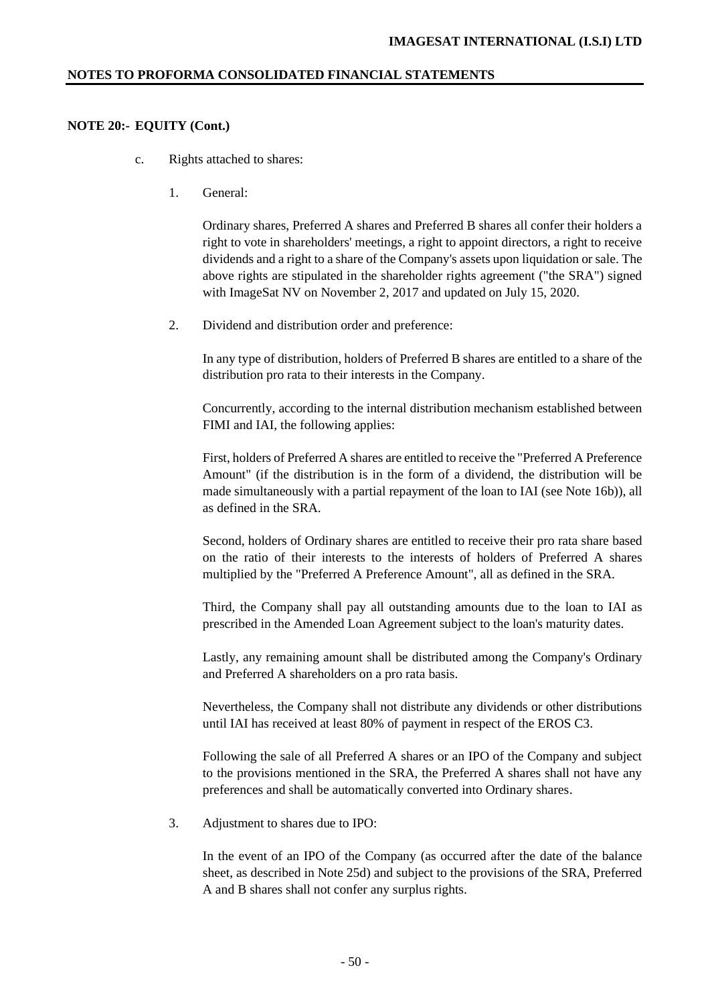### **NOTE 20:- EQUITY (Cont.)**

- c. Rights attached to shares:
	- 1. General:

Ordinary shares, Preferred A shares and Preferred B shares all confer their holders a right to vote in shareholders' meetings, a right to appoint directors, a right to receive dividends and a right to a share of the Company's assets upon liquidation or sale. The above rights are stipulated in the shareholder rights agreement ("the SRA") signed with ImageSat NV on November 2, 2017 and updated on July 15, 2020.

2. Dividend and distribution order and preference:

In any type of distribution, holders of Preferred B shares are entitled to a share of the distribution pro rata to their interests in the Company.

Concurrently, according to the internal distribution mechanism established between FIMI and IAI, the following applies:

First, holders of Preferred A shares are entitled to receive the "Preferred A Preference Amount" (if the distribution is in the form of a dividend, the distribution will be made simultaneously with a partial repayment of the loan to IAI (see Note 16b)), all as defined in the SRA.

Second, holders of Ordinary shares are entitled to receive their pro rata share based on the ratio of their interests to the interests of holders of Preferred A shares multiplied by the "Preferred A Preference Amount", all as defined in the SRA.

Third, the Company shall pay all outstanding amounts due to the loan to IAI as prescribed in the Amended Loan Agreement subject to the loan's maturity dates.

Lastly, any remaining amount shall be distributed among the Company's Ordinary and Preferred A shareholders on a pro rata basis.

Nevertheless, the Company shall not distribute any dividends or other distributions until IAI has received at least 80% of payment in respect of the EROS C3.

Following the sale of all Preferred A shares or an IPO of the Company and subject to the provisions mentioned in the SRA, the Preferred A shares shall not have any preferences and shall be automatically converted into Ordinary shares.

3. Adjustment to shares due to IPO:

In the event of an IPO of the Company (as occurred after the date of the balance sheet, as described in Note 25d) and subject to the provisions of the SRA, Preferred A and B shares shall not confer any surplus rights.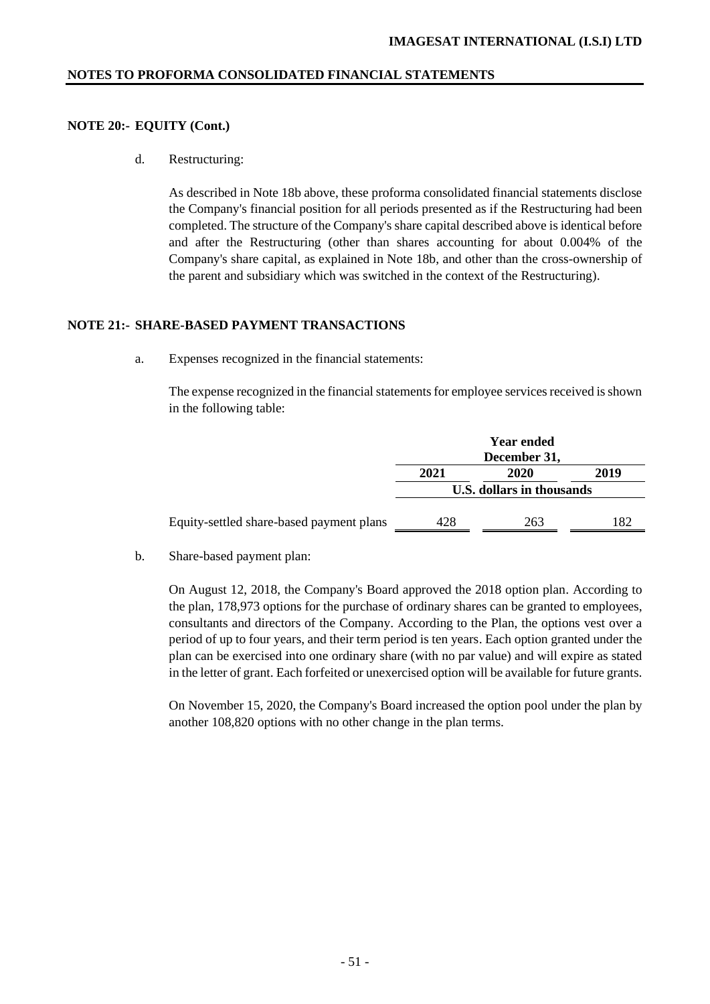### **NOTE 20:- EQUITY (Cont.)**

d. Restructuring:

As described in Note 18b above, these proforma consolidated financial statements disclose the Company's financial position for all periods presented as if the Restructuring had been completed. The structure of the Company's share capital described above is identical before and after the Restructuring (other than shares accounting for about 0.004% of the Company's share capital, as explained in Note 18b, and other than the cross-ownership of the parent and subsidiary which was switched in the context of the Restructuring).

#### **NOTE 21:- SHARE-BASED PAYMENT TRANSACTIONS**

a. Expenses recognized in the financial statements:

The expense recognized in the financial statements for employee services received is shown in the following table:

|                                          | <b>Year ended</b><br>December 31, |     |     |  |
|------------------------------------------|-----------------------------------|-----|-----|--|
|                                          | 2021<br>2019<br>2020              |     |     |  |
|                                          | U.S. dollars in thousands         |     |     |  |
| Equity-settled share-based payment plans | 428                               | 263 | 182 |  |

b. Share-based payment plan:

On August 12, 2018, the Company's Board approved the 2018 option plan. According to the plan, 178,973 options for the purchase of ordinary shares can be granted to employees, consultants and directors of the Company. According to the Plan, the options vest over a period of up to four years, and their term period is ten years. Each option granted under the plan can be exercised into one ordinary share (with no par value) and will expire as stated in the letter of grant. Each forfeited or unexercised option will be available for future grants.

On November 15, 2020, the Company's Board increased the option pool under the plan by another 108,820 options with no other change in the plan terms.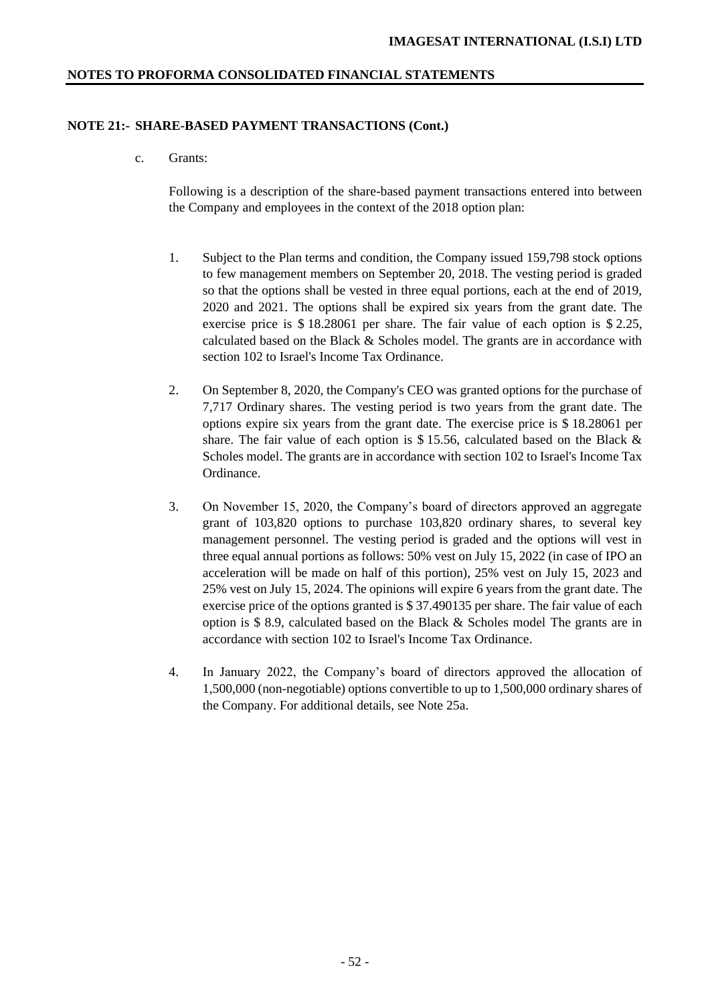#### **NOTE 21:- SHARE-BASED PAYMENT TRANSACTIONS (Cont.)**

c. Grants:

Following is a description of the share-based payment transactions entered into between the Company and employees in the context of the 2018 option plan:

- 1. Subject to the Plan terms and condition, the Company issued 159,798 stock options to few management members on September 20, 2018. The vesting period is graded so that the options shall be vested in three equal portions, each at the end of 2019, 2020 and 2021. The options shall be expired six years from the grant date. The exercise price is \$ 18.28061 per share. The fair value of each option is \$ 2.25, calculated based on the Black & Scholes model. The grants are in accordance with section 102 to Israel's Income Tax Ordinance.
- 2. On September 8, 2020, the Company's CEO was granted options for the purchase of 7,717 Ordinary shares. The vesting period is two years from the grant date. The options expire six years from the grant date. The exercise price is \$ 18.28061 per share. The fair value of each option is \$ 15.56, calculated based on the Black  $\&$ Scholes model. The grants are in accordance with section 102 to Israel's Income Tax Ordinance.
- 3. On November 15, 2020, the Company's board of directors approved an aggregate grant of 103,820 options to purchase 103,820 ordinary shares, to several key management personnel. The vesting period is graded and the options will vest in three equal annual portions as follows: 50% vest on July 15, 2022 (in case of IPO an acceleration will be made on half of this portion), 25% vest on July 15, 2023 and 25% vest on July 15, 2024. The opinions will expire 6 years from the grant date. The exercise price of the options granted is \$ 37.490135 per share. The fair value of each option is \$ 8.9, calculated based on the Black & Scholes model The grants are in accordance with section 102 to Israel's Income Tax Ordinance.
- 4. In January 2022, the Company's board of directors approved the allocation of 1,500,000 (non-negotiable) options convertible to up to 1,500,000 ordinary shares of the Company. For additional details, see Note 25a.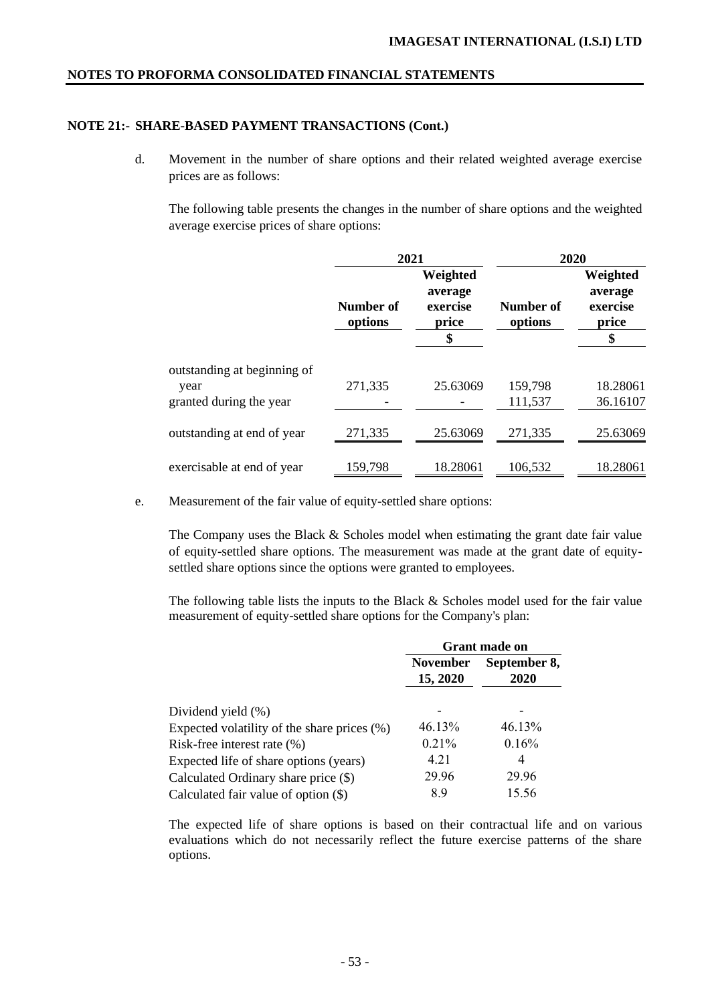# **NOTE 21:- SHARE-BASED PAYMENT TRANSACTIONS (Cont.)**

d. Movement in the number of share options and their related weighted average exercise prices are as follows:

The following table presents the changes in the number of share options and the weighted average exercise prices of share options:

|                             | 2021                 |                                                |                      | 2020                                           |  |
|-----------------------------|----------------------|------------------------------------------------|----------------------|------------------------------------------------|--|
|                             | Number of<br>options | Weighted<br>average<br>exercise<br>price<br>\$ | Number of<br>options | Weighted<br>average<br>exercise<br>price<br>\$ |  |
| outstanding at beginning of |                      |                                                |                      |                                                |  |
| year                        | 271,335              | 25.63069                                       | 159,798              | 18.28061                                       |  |
| granted during the year     |                      |                                                | 111,537              | 36.16107                                       |  |
| outstanding at end of year  | 271,335              | 25.63069                                       | 271,335              | 25.63069                                       |  |
| exercisable at end of year  | 159,798              | 18.28061                                       | 106,532              | 18.28061                                       |  |

e. Measurement of the fair value of equity-settled share options:

The Company uses the Black  $\&$  Scholes model when estimating the grant date fair value of equity-settled share options. The measurement was made at the grant date of equitysettled share options since the options were granted to employees.

The following table lists the inputs to the Black & Scholes model used for the fair value measurement of equity-settled share options for the Company's plan:

|                                                | <b>Grant made on</b>        |                      |  |
|------------------------------------------------|-----------------------------|----------------------|--|
|                                                | <b>November</b><br>15, 2020 | September 8,<br>2020 |  |
| Dividend yield (%)                             |                             |                      |  |
| Expected volatility of the share prices $(\%)$ | 46.13%                      | 46.13%               |  |
| Risk-free interest rate $(\%)$                 | $0.21\%$                    | 0.16%                |  |
| Expected life of share options (years)         | 4.21                        | 4                    |  |
| Calculated Ordinary share price (\$)           | 29.96                       | 29.96                |  |
| Calculated fair value of option $(\$)$         | 8.9                         | 15.56                |  |

The expected life of share options is based on their contractual life and on various evaluations which do not necessarily reflect the future exercise patterns of the share options.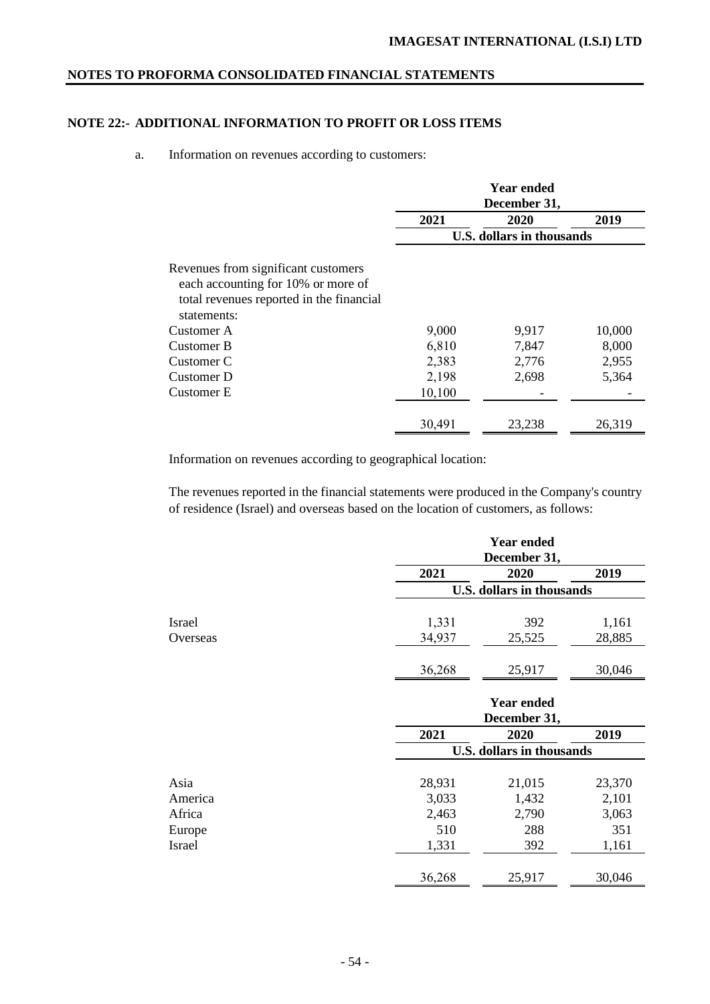# **NOTE 22:- ADDITIONAL INFORMATION TO PROFIT OR LOSS ITEMS**

### a. Information on revenues according to customers:

|                                          | <b>Year ended</b><br>December 31, |        |        |  |
|------------------------------------------|-----------------------------------|--------|--------|--|
|                                          | 2021                              | 2020   | 2019   |  |
|                                          | <b>U.S. dollars in thousands</b>  |        |        |  |
| Revenues from significant customers      |                                   |        |        |  |
| each accounting for 10% or more of       |                                   |        |        |  |
| total revenues reported in the financial |                                   |        |        |  |
| statements:                              |                                   |        |        |  |
| Customer A                               | 9,000                             | 9,917  | 10,000 |  |
| Customer B                               | 6,810                             | 7,847  | 8,000  |  |
| Customer C                               | 2,383                             | 2,776  | 2,955  |  |
| Customer D                               | 2,198                             | 2,698  | 5,364  |  |
| Customer E                               | 10,100                            |        |        |  |
|                                          |                                   |        |        |  |
|                                          | 30,491                            | 23,238 | 26,319 |  |

Information on revenues according to geographical location:

The revenues reported in the financial statements were produced in the Company's country of residence (Israel) and overseas based on the location of customers, as follows:

|               |                   | <b>Year ended</b><br>December 31, |        |  |
|---------------|-------------------|-----------------------------------|--------|--|
|               | 2021              | 2020                              | 2019   |  |
|               |                   | <b>U.S. dollars in thousands</b>  |        |  |
|               |                   |                                   |        |  |
| <b>Israel</b> | 1,331             | 392                               | 1,161  |  |
| Overseas      | 34,937            | 25,525                            | 28,885 |  |
|               | 36,268            | 25,917                            | 30,046 |  |
|               | <b>Year ended</b> |                                   |        |  |
|               | 2021              | December 31,<br>2020              | 2019   |  |
|               |                   | <b>U.S. dollars in thousands</b>  |        |  |
|               |                   |                                   |        |  |
| Asia          | 28,931            | 21,015                            | 23,370 |  |
| America       | 3,033             | 1,432                             | 2,101  |  |
| Africa        | 2,463             | 2,790                             | 3,063  |  |
| Europe        | 510               | 288                               | 351    |  |
| <b>Israel</b> | 1,331             | 392                               | 1,161  |  |
|               |                   |                                   |        |  |
|               | 36,268            | 25,917                            | 30,046 |  |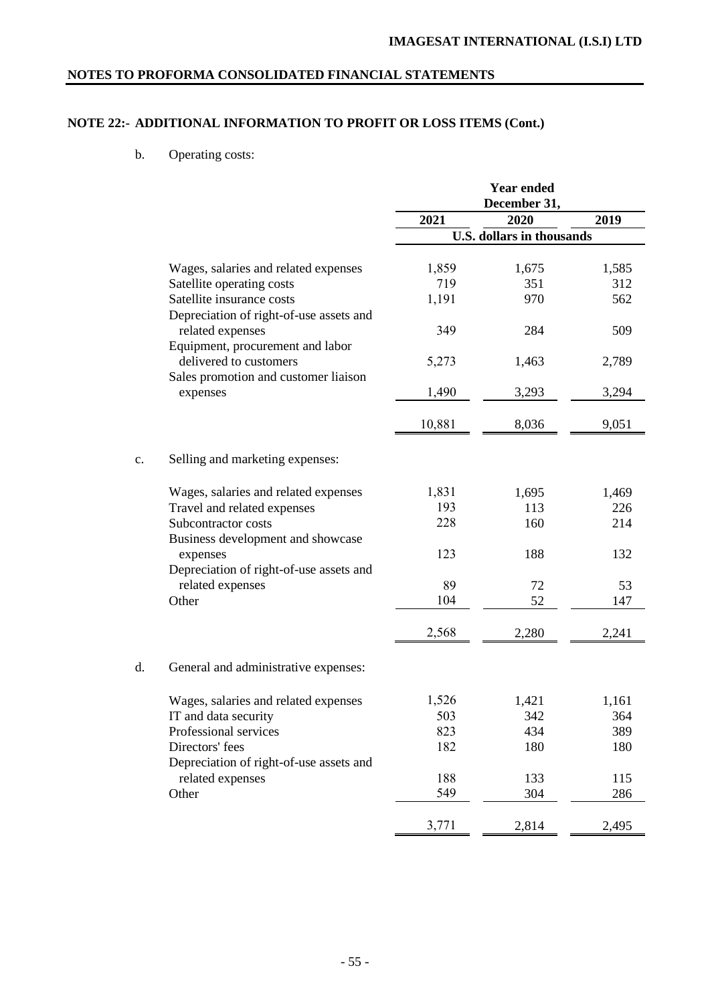# **NOTE 22:- ADDITIONAL INFORMATION TO PROFIT OR LOSS ITEMS (Cont.)**

b. Operating costs:

|    |                                         |        | <b>Year ended</b><br>December 31, |       |
|----|-----------------------------------------|--------|-----------------------------------|-------|
|    |                                         | 2021   | 2020                              | 2019  |
|    |                                         |        | <b>U.S. dollars in thousands</b>  |       |
|    | Wages, salaries and related expenses    | 1,859  | 1,675                             | 1,585 |
|    | Satellite operating costs               | 719    | 351                               | 312   |
|    | Satellite insurance costs               | 1,191  | 970                               | 562   |
|    | Depreciation of right-of-use assets and |        |                                   |       |
|    | related expenses                        | 349    | 284                               | 509   |
|    | Equipment, procurement and labor        |        |                                   |       |
|    | delivered to customers                  | 5,273  | 1,463                             | 2,789 |
|    | Sales promotion and customer liaison    |        |                                   |       |
|    | expenses                                | 1,490  | 3,293                             | 3,294 |
|    |                                         | 10,881 | 8,036                             | 9,051 |
| c. | Selling and marketing expenses:         |        |                                   |       |
|    | Wages, salaries and related expenses    | 1,831  | 1,695                             | 1,469 |
|    | Travel and related expenses             | 193    | 113                               | 226   |
|    | Subcontractor costs                     | 228    | 160                               | 214   |
|    | Business development and showcase       |        |                                   |       |
|    | expenses                                | 123    | 188                               | 132   |
|    | Depreciation of right-of-use assets and |        |                                   |       |
|    | related expenses                        | 89     | 72                                | 53    |
|    | Other                                   | 104    | 52                                | 147   |
|    |                                         | 2,568  | 2,280                             | 2,241 |
| d. | General and administrative expenses:    |        |                                   |       |
|    | Wages, salaries and related expenses    | 1,526  | 1,421                             | 1,161 |
|    | IT and data security                    | 503    | 342                               | 364   |
|    | Professional services                   | 823    | 434                               | 389   |
|    | Directors' fees                         | 182    | 180                               | 180   |
|    | Depreciation of right-of-use assets and |        |                                   |       |
|    | related expenses                        | 188    | 133                               | 115   |
|    | Other                                   | 549    | 304                               | 286   |
|    |                                         | 3,771  | 2,814                             | 2,495 |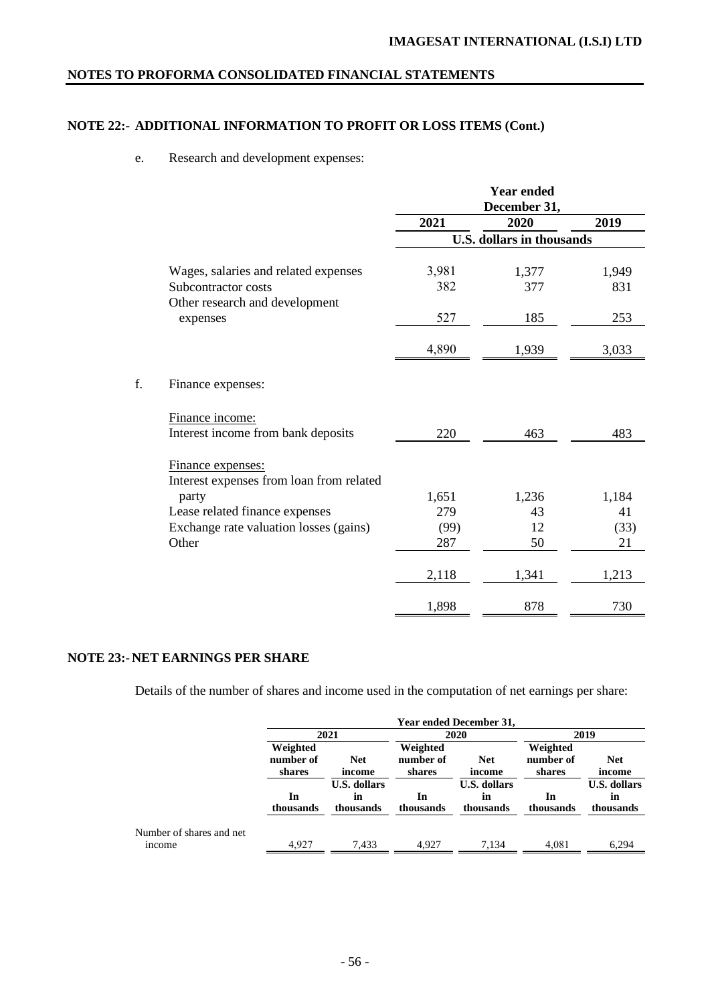# **NOTE 22:- ADDITIONAL INFORMATION TO PROFIT OR LOSS ITEMS (Cont.)**

## e. Research and development expenses:

|    |                                          |       | <b>Year ended</b><br>December 31, |       |
|----|------------------------------------------|-------|-----------------------------------|-------|
|    |                                          | 2021  | 2020                              | 2019  |
|    |                                          |       | <b>U.S. dollars in thousands</b>  |       |
|    | Wages, salaries and related expenses     | 3,981 | 1,377                             | 1,949 |
|    | Subcontractor costs                      | 382   | 377                               | 831   |
|    | Other research and development           |       |                                   |       |
|    | expenses                                 | 527   | 185                               | 253   |
|    |                                          | 4,890 | 1,939                             | 3,033 |
| f. | Finance expenses:                        |       |                                   |       |
|    | Finance income:                          |       |                                   |       |
|    | Interest income from bank deposits       | 220   | 463                               | 483   |
|    | Finance expenses:                        |       |                                   |       |
|    | Interest expenses from loan from related |       |                                   |       |
|    | party                                    | 1,651 | 1,236                             | 1,184 |
|    | Lease related finance expenses           | 279   | 43                                | 41    |
|    | Exchange rate valuation losses (gains)   | (99)  | 12                                | (33)  |
|    | Other                                    | 287   | 50                                | 21    |
|    |                                          | 2,118 | 1,341                             | 1,213 |
|    |                                          | 1,898 | 878                               | 730   |

# **NOTE 23:- NET EARNINGS PER SHARE**

Details of the number of shares and income used in the computation of net earnings per share:

|                                           | <b>Year ended December 31,</b>                |                                       |                 |                                        |                                                         |                                       |  |  |                                 |                      |
|-------------------------------------------|-----------------------------------------------|---------------------------------------|-----------------|----------------------------------------|---------------------------------------------------------|---------------------------------------|--|--|---------------------------------|----------------------|
|                                           |                                               | 2021<br>2020                          |                 |                                        | 2019                                                    |                                       |  |  |                                 |                      |
|                                           | Weighted<br>number of<br><b>Net</b><br>shares |                                       | income          |                                        | Weighted<br>number of<br><b>Net</b><br>shares<br>income |                                       |  |  | Weighted<br>number of<br>shares | <b>Net</b><br>income |
|                                           | In<br>thousands                               | <b>U.S. dollars</b><br>m<br>thousands | In<br>thousands | <b>U.S. dollars</b><br>in<br>thousands | In<br>thousands                                         | <b>U.S. dollars</b><br>m<br>thousands |  |  |                                 |                      |
| Number of shares and net<br><i>n</i> come | 4.927                                         | 7,433                                 | 4.927           | 7,134                                  | 4,081                                                   | 6.294                                 |  |  |                                 |                      |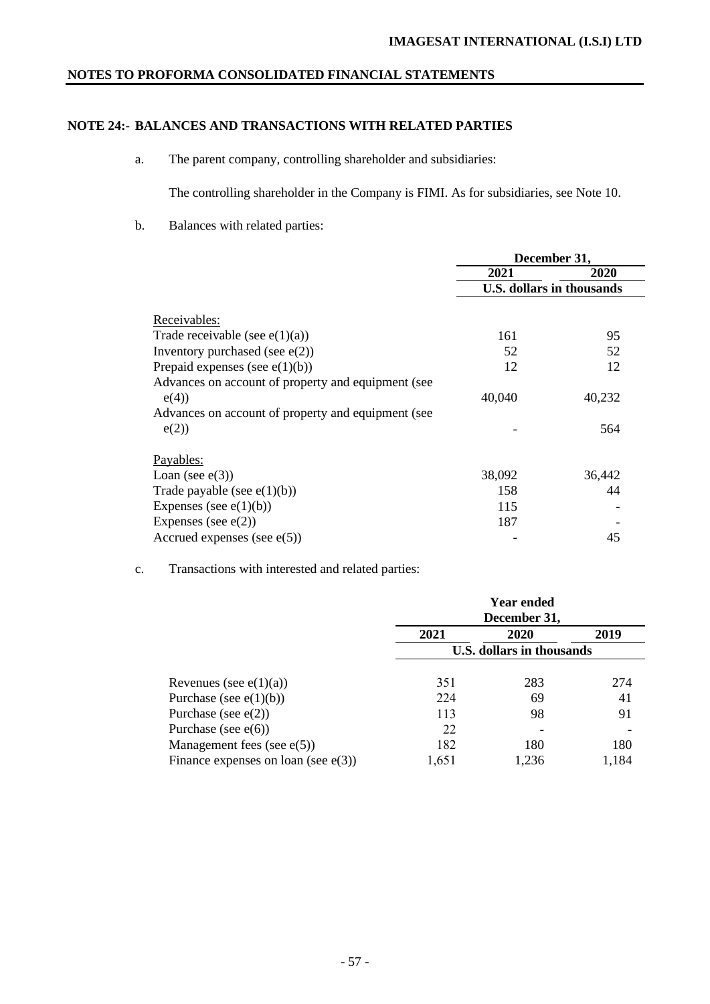# **NOTE 24:- BALANCES AND TRANSACTIONS WITH RELATED PARTIES**

a. The parent company, controlling shareholder and subsidiaries:

The controlling shareholder in the Company is FIMI. As for subsidiaries, see Note 10.

b. Balances with related parties:

|                                                    | December 31, |                                  |
|----------------------------------------------------|--------------|----------------------------------|
|                                                    | 2021         | 2020                             |
|                                                    |              | <b>U.S. dollars in thousands</b> |
| Receivables:                                       |              |                                  |
|                                                    |              |                                  |
| Trade receivable (see $e(1)(a)$ )                  | 161          | 95                               |
| Inventory purchased (see $e(2)$ )                  | 52           | 52                               |
| Prepaid expenses (see $e(1)(b)$ )                  | 12           | 12                               |
| Advances on account of property and equipment (see |              |                                  |
| e(4)                                               | 40,040       | 40,232                           |
| Advances on account of property and equipment (see |              |                                  |
| e(2)                                               |              | 564                              |
| Payables:                                          |              |                                  |
| Loan (see $e(3)$ )                                 | 38,092       | 36,442                           |
| Trade payable (see $e(1)(b)$ )                     | 158          | 44                               |
| Expenses (see $e(1)(b)$ )                          | 115          |                                  |
| Expenses (see $e(2)$ )                             | 187          |                                  |
| Accrued expenses (see $e(5)$ )                     |              | 45                               |

# c. Transactions with interested and related parties:

|                                        | <b>Year ended</b><br>December 31, |       |       |  |
|----------------------------------------|-----------------------------------|-------|-------|--|
|                                        | 2021                              | 2020  | 2019  |  |
|                                        | <b>U.S. dollars in thousands</b>  |       |       |  |
| Revenues (see $e(1)(a)$ )              | 351                               | 283   | 274   |  |
| Purchase (see $e(1)(b)$ )              | 224                               | 69    | 41    |  |
| Purchase (see $e(2)$ )                 | 113                               | 98    | 91    |  |
| Purchase (see $e(6)$ )                 | 22                                |       |       |  |
| Management fees (see $e(5)$ )          | 182                               | 180   | 180   |  |
| Finance expenses on loan (see $e(3)$ ) | 1,651                             | 1.236 | 1.184 |  |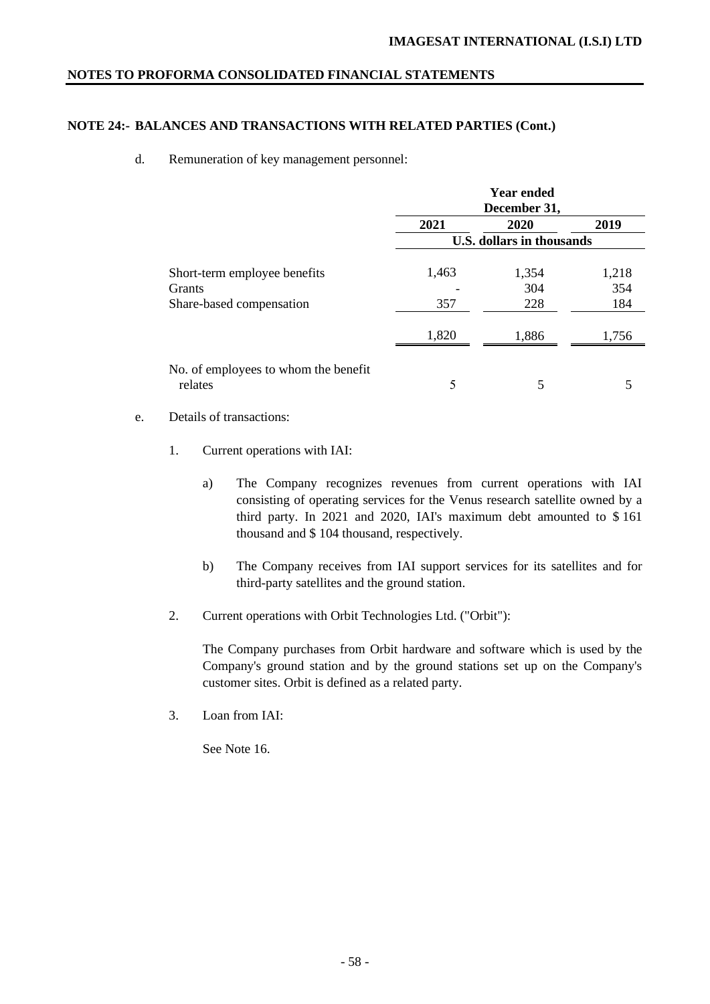# **NOTE 24:- BALANCES AND TRANSACTIONS WITH RELATED PARTIES (Cont.)**

## d. Remuneration of key management personnel:

|                                                 | <b>Year ended</b><br>December 31, |              |              |
|-------------------------------------------------|-----------------------------------|--------------|--------------|
|                                                 | 2021                              | 2020         | 2019         |
|                                                 | <b>U.S. dollars in thousands</b>  |              |              |
| Short-term employee benefits<br>Grants          | 1,463                             | 1,354<br>304 | 1,218<br>354 |
| Share-based compensation                        | 357                               | 228          | 184          |
|                                                 | 1,820                             | 1,886        | 1,756        |
| No. of employees to whom the benefit<br>relates | 5                                 | 5            |              |

# e. Details of transactions:

- 1. Current operations with IAI:
	- a) The Company recognizes revenues from current operations with IAI consisting of operating services for the Venus research satellite owned by a third party. In 2021 and 2020, IAI's maximum debt amounted to \$ 161 thousand and \$ 104 thousand, respectively.
	- b) The Company receives from IAI support services for its satellites and for third-party satellites and the ground station.
- 2. Current operations with Orbit Technologies Ltd. ("Orbit"):

The Company purchases from Orbit hardware and software which is used by the Company's ground station and by the ground stations set up on the Company's customer sites. Orbit is defined as a related party.

3. Loan from IAI:

See Note 16.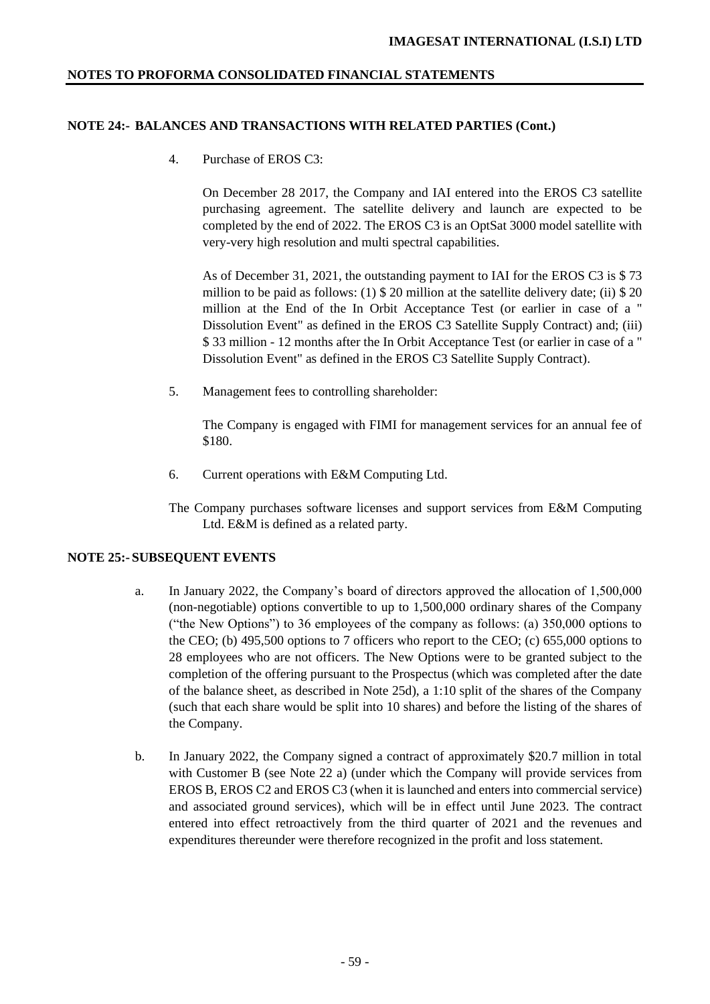# **NOTE 24:- BALANCES AND TRANSACTIONS WITH RELATED PARTIES (Cont.)**

4. Purchase of EROS C3:

On December 28 2017, the Company and IAI entered into the EROS C3 satellite purchasing agreement. The satellite delivery and launch are expected to be completed by the end of 2022. The EROS C3 is an OptSat 3000 model satellite with very-very high resolution and multi spectral capabilities.

As of December 31, 2021, the outstanding payment to IAI for the EROS C3 is \$ 73 million to be paid as follows: (1) \$ 20 million at the satellite delivery date; (ii) \$ 20 million at the End of the In Orbit Acceptance Test (or earlier in case of a " Dissolution Event" as defined in the EROS C3 Satellite Supply Contract) and; (iii) \$ 33 million - 12 months after the In Orbit Acceptance Test (or earlier in case of a " Dissolution Event" as defined in the EROS C3 Satellite Supply Contract).

5. Management fees to controlling shareholder:

The Company is engaged with FIMI for management services for an annual fee of \$180.

- 6. Current operations with E&M Computing Ltd.
- The Company purchases software licenses and support services from E&M Computing Ltd. E&M is defined as a related party.

## **NOTE 25:- SUBSEQUENT EVENTS**

- a. In January 2022, the Company's board of directors approved the allocation of 1,500,000 (non-negotiable) options convertible to up to 1,500,000 ordinary shares of the Company ("the New Options") to 36 employees of the company as follows: (a) 350,000 options to the CEO; (b) 495,500 options to 7 officers who report to the CEO; (c) 655,000 options to 28 employees who are not officers. The New Options were to be granted subject to the completion of the offering pursuant to the Prospectus (which was completed after the date of the balance sheet, as described in Note 25d), a 1:10 split of the shares of the Company (such that each share would be split into 10 shares) and before the listing of the shares of the Company.
- b. In January 2022, the Company signed a contract of approximately \$20.7 million in total with Customer B (see Note 22 a) (under which the Company will provide services from EROS B, EROS C2 and EROS C3 (when it is launched and enters into commercial service) and associated ground services), which will be in effect until June 2023. The contract entered into effect retroactively from the third quarter of 2021 and the revenues and expenditures thereunder were therefore recognized in the profit and loss statement.